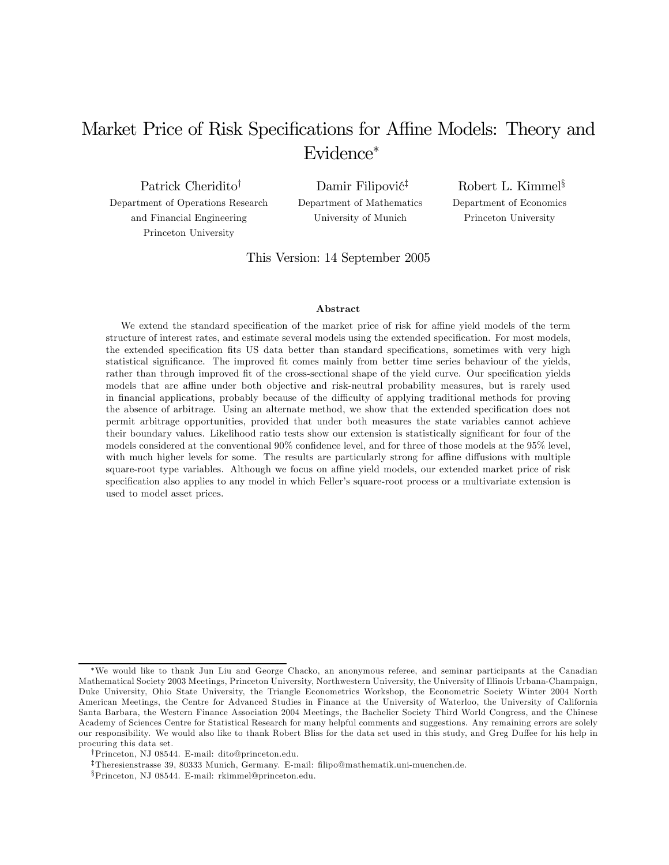# Market Price of Risk Specifications for Affine Models: Theory and Evidence<sup>∗</sup>

Patrick Cheridito† Department of Operations Research and Financial Engineering Princeton University

Damir Filipović<sup>‡</sup> Department of Mathematics University of Munich

Robert L. Kimmel§ Department of Economics Princeton University

This Version: 14 September 2005

#### Abstract

We extend the standard specification of the market price of risk for affine yield models of the term structure of interest rates, and estimate several models using the extended specification. For most models, the extended specification fits US data better than standard specifications, sometimes with very high statistical significance. The improved fit comes mainly from better time series behaviour of the yields, rather than through improved fit of the cross-sectional shape of the yield curve. Our specification yields models that are affine under both objective and risk-neutral probability measures, but is rarely used in financial applications, probably because of the difficulty of applying traditional methods for proving the absence of arbitrage. Using an alternate method, we show that the extended specification does not permit arbitrage opportunities, provided that under both measures the state variables cannot achieve their boundary values. Likelihood ratio tests show our extension is statistically significant for four of the models considered at the conventional 90% confidence level, and for three of those models at the 95% level, with much higher levels for some. The results are particularly strong for affine diffusions with multiple square-root type variables. Although we focus on affine yield models, our extended market price of risk specification also applies to any model in which Feller's square-root process or a multivariate extension is used to model asset prices.

<sup>∗</sup>We would like to thank Jun Liu and George Chacko, an anonymous referee, and seminar participants at the Canadian Mathematical Society 2003 Meetings, Princeton University, Northwestern University, the University of Illinois Urbana-Champaign, Duke University, Ohio State University, the Triangle Econometrics Workshop, the Econometric Society Winter 2004 North American Meetings, the Centre for Advanced Studies in Finance at the University of Waterloo, the University of California Santa Barbara, the Western Finance Association 2004 Meetings, the Bachelier Society Third World Congress, and the Chinese Academy of Sciences Centre for Statistical Research for many helpful comments and suggestions. Any remaining errors are solely our responsibility. We would also like to thank Robert Bliss for the data set used in this study, and Greg Duffee for his help in procuring this data set.

<sup>†</sup>Princeton, NJ 08544. E-mail: dito@princeton.edu.

<sup>‡</sup>Theresienstrasse 39, 80333 Munich, Germany. E-mail: filipo@mathematik.uni-muenchen.de.

<sup>§</sup>Princeton, NJ 08544. E-mail: rkimmel@princeton.edu.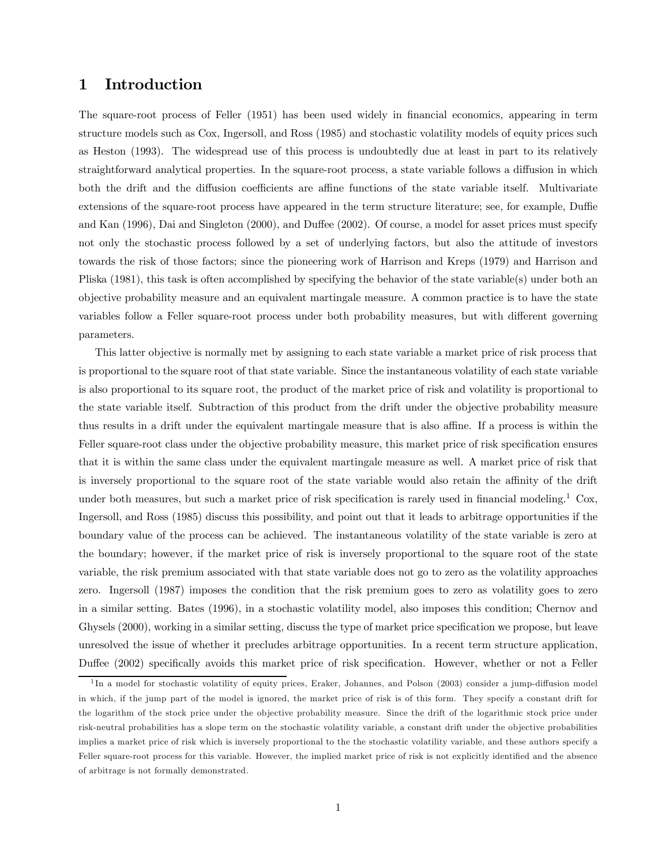### 1 Introduction

The square-root process of Feller (1951) has been used widely in financial economics, appearing in term structure models such as Cox, Ingersoll, and Ross (1985) and stochastic volatility models of equity prices such as Heston (1993). The widespread use of this process is undoubtedly due at least in part to its relatively straightforward analytical properties. In the square-root process, a state variable follows a diffusion in which both the drift and the diffusion coefficients are affine functions of the state variable itself. Multivariate extensions of the square-root process have appeared in the term structure literature; see, for example, Duffie and Kan (1996), Dai and Singleton (2000), and Duffee (2002). Of course, a model for asset prices must specify not only the stochastic process followed by a set of underlying factors, but also the attitude of investors towards the risk of those factors; since the pioneering work of Harrison and Kreps (1979) and Harrison and Pliska (1981), this task is often accomplished by specifying the behavior of the state variable(s) under both an objective probability measure and an equivalent martingale measure. A common practice is to have the state variables follow a Feller square-root process under both probability measures, but with different governing parameters.

This latter objective is normally met by assigning to each state variable a market price of risk process that is proportional to the square root of that state variable. Since the instantaneous volatility of each state variable is also proportional to its square root, the product of the market price of risk and volatility is proportional to the state variable itself. Subtraction of this product from the drift under the objective probability measure thus results in a drift under the equivalent martingale measure that is also affine. If a process is within the Feller square-root class under the objective probability measure, this market price of risk specification ensures that it is within the same class under the equivalent martingale measure as well. A market price of risk that is inversely proportional to the square root of the state variable would also retain the affinity of the drift under both measures, but such a market price of risk specification is rarely used in financial modeling.<sup>1</sup> Cox, Ingersoll, and Ross (1985) discuss this possibility, and point out that it leads to arbitrage opportunities if the boundary value of the process can be achieved. The instantaneous volatility of the state variable is zero at the boundary; however, if the market price of risk is inversely proportional to the square root of the state variable, the risk premium associated with that state variable does not go to zero as the volatility approaches zero. Ingersoll (1987) imposes the condition that the risk premium goes to zero as volatility goes to zero in a similar setting. Bates (1996), in a stochastic volatility model, also imposes this condition; Chernov and Ghysels (2000), working in a similar setting, discuss the type of market price specification we propose, but leave unresolved the issue of whether it precludes arbitrage opportunities. In a recent term structure application, Duffee (2002) specifically avoids this market price of risk specification. However, whether or not a Feller

<sup>&</sup>lt;sup>1</sup>In a model for stochastic volatility of equity prices, Eraker, Johannes, and Polson (2003) consider a jump-diffusion model in which, if the jump part of the model is ignored, the market price of risk is of this form. They specify a constant drift for the logarithm of the stock price under the objective probability measure. Since the drift of the logarithmic stock price under risk-neutral probabilities has a slope term on the stochastic volatility variable, a constant drift under the ob jective probabilities implies a market price of risk which is inversely proportional to the the stochastic volatility variable, and these authors specify a Feller square-root process for this variable. However, the implied market price of risk is not explicitly identified and the absence of arbitrage is not formally demonstrated.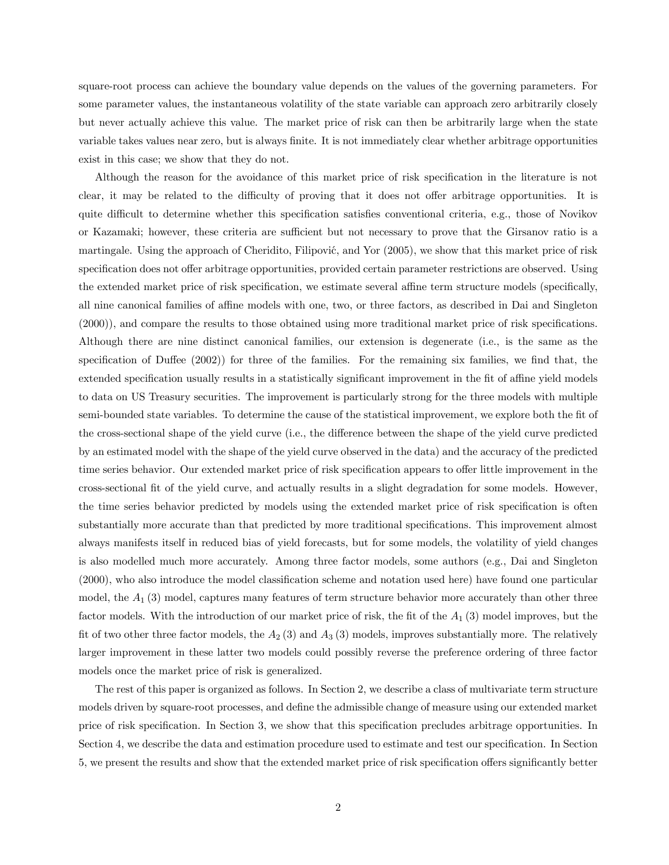square-root process can achieve the boundary value depends on the values of the governing parameters. For some parameter values, the instantaneous volatility of the state variable can approach zero arbitrarily closely but never actually achieve this value. The market price of risk can then be arbitrarily large when the state variable takes values near zero, but is always finite. It is not immediately clear whether arbitrage opportunities exist in this case; we show that they do not.

Although the reason for the avoidance of this market price of risk specification in the literature is not clear, it may be related to the difficulty of proving that it does not offer arbitrage opportunities. It is quite difficult to determine whether this specification satisfies conventional criteria, e.g., those of Novikov or Kazamaki; however, these criteria are sufficient but not necessary to prove that the Girsanov ratio is a martingale. Using the approach of Cheridito, Filipović, and Yor (2005), we show that this market price of risk specification does not offer arbitrage opportunities, provided certain parameter restrictions are observed. Using the extended market price of risk specification, we estimate several affine term structure models (specifically, all nine canonical families of affine models with one, two, or three factors, as described in Dai and Singleton (2000)), and compare the results to those obtained using more traditional market price of risk specifications. Although there are nine distinct canonical families, our extension is degenerate (i.e., is the same as the specification of Duffee (2002)) for three of the families. For the remaining six families, we find that, the extended specification usually results in a statistically significant improvement in the fit of affine yield models to data on US Treasury securities. The improvement is particularly strong for the three models with multiple semi-bounded state variables. To determine the cause of the statistical improvement, we explore both the fit of the cross-sectional shape of the yield curve (i.e., the difference between the shape of the yield curve predicted by an estimated model with the shape of the yield curve observed in the data) and the accuracy of the predicted time series behavior. Our extended market price of risk specification appears to offer little improvement in the cross-sectional fit of the yield curve, and actually results in a slight degradation for some models. However, the time series behavior predicted by models using the extended market price of risk specification is often substantially more accurate than that predicted by more traditional specifications. This improvement almost always manifests itself in reduced bias of yield forecasts, but for some models, the volatility of yield changes is also modelled much more accurately. Among three factor models, some authors (e.g., Dai and Singleton (2000), who also introduce the model classification scheme and notation used here) have found one particular model, the  $A_1$  (3) model, captures many features of term structure behavior more accurately than other three factor models. With the introduction of our market price of risk, the fit of the  $A_1$  (3) model improves, but the fit of two other three factor models, the  $A_2$  (3) and  $A_3$  (3) models, improves substantially more. The relatively larger improvement in these latter two models could possibly reverse the preference ordering of three factor models once the market price of risk is generalized.

The rest of this paper is organized as follows. In Section 2, we describe a class of multivariate term structure models driven by square-root processes, and define the admissible change of measure using our extended market price of risk specification. In Section 3, we show that this specification precludes arbitrage opportunities. In Section 4, we describe the data and estimation procedure used to estimate and test our specification. In Section 5, we present the results and show that the extended market price of risk specification offers significantly better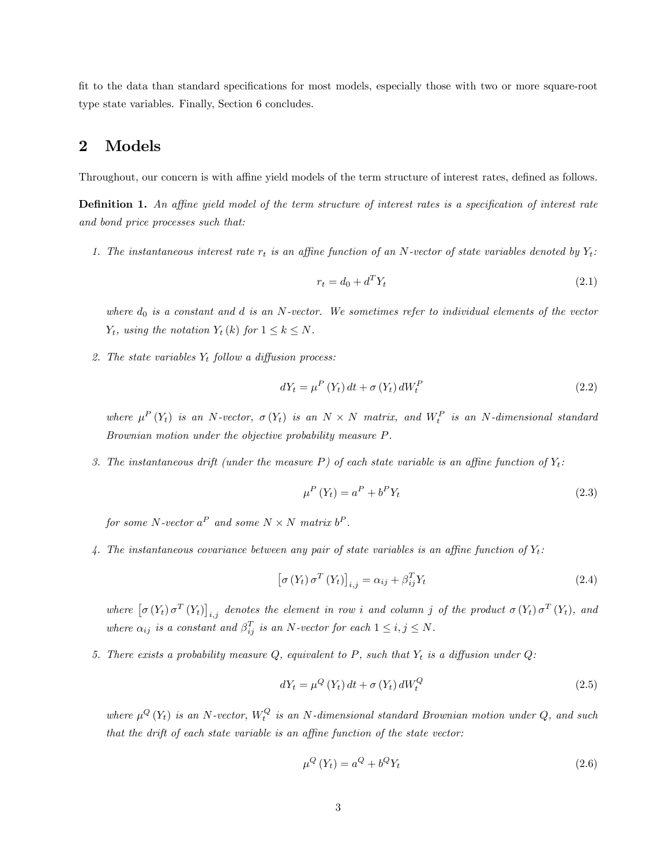fit to the data than standard specifications for most models, especially those with two or more square-root type state variables. Finally, Section 6 concludes.

### 2 Models

Throughout, our concern is with affine yield models of the term structure of interest rates, defined as follows.

Definition 1. An affine yield model of the term structure of interest rates is a specification of interest rate and bond price processes such that:

1. The instantaneous interest rate  $r_t$  is an affine function of an N-vector of state variables denoted by  $Y_t$ :

$$
r_t = d_0 + d^T Y_t \tag{2.1}
$$

where  $d_0$  is a constant and  $d$  is an N-vector. We sometimes refer to individual elements of the vector  $Y_t$ , using the notation  $Y_t(k)$  for  $1 \leq k \leq N$ .

2. The state variables  $Y_t$  follow a diffusion process:

$$
dY_t = \mu^P(Y_t) dt + \sigma(Y_t) dW_t^P \qquad (2.2)
$$

where  $\mu^P(Y_t)$  is an N-vector,  $\sigma(Y_t)$  is an  $N \times N$  matrix, and  $W_t^P$  is an N-dimensional standard Brownian motion under the objective probability measure P.

3. The instantaneous drift (under the measure P) of each state variable is an affine function of  $Y_t$ :

$$
\mu^P \left( Y_t \right) = a^P + b^P Y_t \tag{2.3}
$$

for some N-vector  $a^P$  and some  $N \times N$  matrix  $b^P$ .

4. The instantaneous covariance between any pair of state variables is an affine function of  $Y_t$ :

$$
\left[\sigma\left(Y_t\right)\sigma^T\left(Y_t\right)\right]_{i,j} = \alpha_{ij} + \beta_{ij}^T Y_t \tag{2.4}
$$

where  $[\sigma(Y_t) \sigma^T(Y_t)]_{i,j}$  denotes the element in row i and column j of the product  $\sigma(Y_t) \sigma^T(Y_t)$ , and where  $\alpha_{ij}$  is a constant and  $\beta_{ij}^T$  is an N-vector for each  $1 \le i, j \le N$ .

5. There exists a probability measure  $Q$ , equivalent to P, such that  $Y_t$  is a diffusion under  $Q$ :

$$
dY_t = \mu^Q(Y_t) dt + \sigma(Y_t) dW_t^Q \qquad (2.5)
$$

where  $\mu^{Q}(Y_t)$  is an N-vector,  $W_t^Q$  is an N-dimensional standard Brownian motion under Q, and such that the drift of each state variable is an affine function of the state vector:

$$
\mu^Q(Y_t) = a^Q + b^Q Y_t \tag{2.6}
$$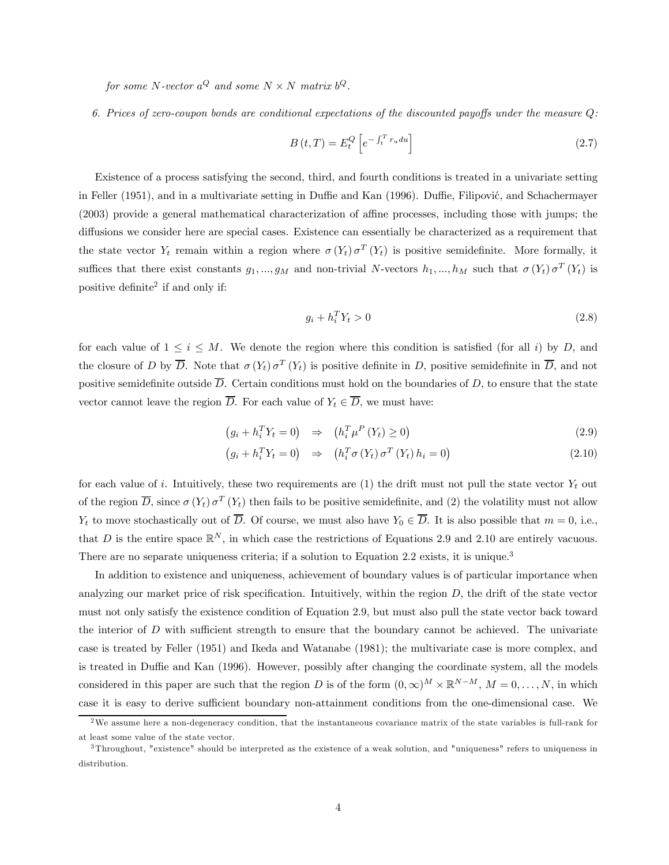for some N-vector  $a^{Q}$  and some  $N \times N$  matrix  $b^{Q}$ .

6. Prices of zero-coupon bonds are conditional expectations of the discounted payoffs under the measure Q:

$$
B\left(t,T\right) = E_t^Q \left[e^{-\int_t^T r_u du}\right] \tag{2.7}
$$

Existence of a process satisfying the second, third, and fourth conditions is treated in a univariate setting in Feller (1951), and in a multivariate setting in Duffie and Kan (1996). Duffie, Filipović, and Schachermayer (2003) provide a general mathematical characterization of affine processes, including those with jumps; the diffusions we consider here are special cases. Existence can essentially be characterized as a requirement that the state vector  $Y_t$  remain within a region where  $\sigma(Y_t) \sigma^T(Y_t)$  is positive semidefinite. More formally, it suffices that there exist constants  $g_1, ..., g_M$  and non-trivial N-vectors  $h_1, ..., h_M$  such that  $\sigma(Y_t) \sigma^T(Y_t)$  is positive definite<sup>2</sup> if and only if:

$$
g_i + h_i^T Y_t > 0 \tag{2.8}
$$

for each value of  $1 \leq i \leq M$ . We denote the region where this condition is satisfied (for all i) by D, and the closure of D by  $\overline{D}$ . Note that  $\sigma(Y_t) \sigma^T(Y_t)$  is positive definite in D, positive semidefinite in  $\overline{D}$ , and not positive semidefinite outside  $\overline{D}$ . Certain conditions must hold on the boundaries of D, to ensure that the state vector cannot leave the region  $\overline{D}$ . For each value of  $Y_t \in \overline{D}$ , we must have:

$$
\left(g_i + h_i^T Y_t = 0\right) \Rightarrow \left(h_i^T \mu^P \left(Y_t\right) \ge 0\right) \tag{2.9}
$$

$$
(g_i + h_i^T Y_t = 0) \Rightarrow (h_i^T \sigma (Y_t) \sigma^T (Y_t) h_i = 0)
$$
\n(2.10)

for each value of i. Intuitively, these two requirements are  $(1)$  the drift must not pull the state vector  $Y_t$  out of the region  $\overline{D}$ , since  $\sigma(Y_t)$   $\sigma^T(Y_t)$  then fails to be positive semidefinite, and (2) the volatility must not allow  $Y_t$  to move stochastically out of  $\overline{D}$ . Of course, we must also have  $Y_0 \in \overline{D}$ . It is also possible that  $m = 0$ , i.e., that D is the entire space  $\mathbb{R}^N$ , in which case the restrictions of Equations 2.9 and 2.10 are entirely vacuous. There are no separate uniqueness criteria; if a solution to Equation 2.2 exists, it is unique.<sup>3</sup>

In addition to existence and uniqueness, achievement of boundary values is of particular importance when analyzing our market price of risk specification. Intuitively, within the region  $D$ , the drift of the state vector must not only satisfy the existence condition of Equation 2.9, but must also pull the state vector back toward the interior of  $D$  with sufficient strength to ensure that the boundary cannot be achieved. The univariate case is treated by Feller (1951) and Ikeda and Watanabe (1981); the multivariate case is more complex, and is treated in Duffie and Kan (1996). However, possibly after changing the coordinate system, all the models considered in this paper are such that the region D is of the form  $(0, \infty)^M \times \mathbb{R}^{N-M}$ ,  $M = 0, \ldots, N$ , in which case it is easy to derive sufficient boundary non-attainment conditions from the one-dimensional case. We

<sup>&</sup>lt;sup>2</sup>We assume here a non-degeneracy condition, that the instantaneous covariance matrix of the state variables is full-rank for at least some value of the state vector.

<sup>3</sup>Throughout, "existence" should be interpreted as the existence of a weak solution, and "uniqueness" refers to uniqueness in distribution.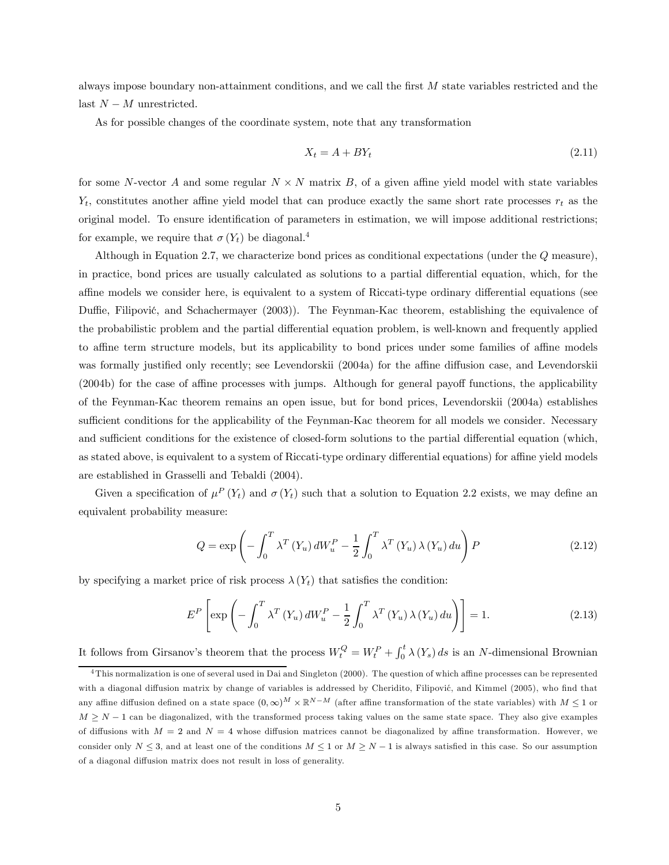always impose boundary non-attainment conditions, and we call the first M state variables restricted and the last  $N - M$  unrestricted.

As for possible changes of the coordinate system, note that any transformation

$$
X_t = A + BY_t \tag{2.11}
$$

for some N-vector A and some regular  $N \times N$  matrix B, of a given affine yield model with state variables  $Y_t$ , constitutes another affine yield model that can produce exactly the same short rate processes  $r_t$  as the original model. To ensure identification of parameters in estimation, we will impose additional restrictions; for example, we require that  $\sigma(Y_t)$  be diagonal.<sup>4</sup>

Although in Equation 2.7, we characterize bond prices as conditional expectations (under the Q measure), in practice, bond prices are usually calculated as solutions to a partial differential equation, which, for the affine models we consider here, is equivalent to a system of Riccati-type ordinary differential equations (see Duffie, Filipović, and Schachermayer (2003)). The Feynman-Kac theorem, establishing the equivalence of the probabilistic problem and the partial differential equation problem, is well-known and frequently applied to affine term structure models, but its applicability to bond prices under some families of affine models was formally justified only recently; see Levendorskii (2004a) for the affine diffusion case, and Levendorskii (2004b) for the case of affine processes with jumps. Although for general payoff functions, the applicability of the Feynman-Kac theorem remains an open issue, but for bond prices, Levendorskii (2004a) establishes sufficient conditions for the applicability of the Feynman-Kac theorem for all models we consider. Necessary and sufficient conditions for the existence of closed-form solutions to the partial differential equation (which, as stated above, is equivalent to a system of Riccati-type ordinary differential equations) for affine yield models are established in Grasselli and Tebaldi (2004).

Given a specification of  $\mu^P(Y_t)$  and  $\sigma(Y_t)$  such that a solution to Equation 2.2 exists, we may define an equivalent probability measure:

$$
Q = \exp\left(-\int_0^T \lambda^T \left(Y_u\right) dW_u^P - \frac{1}{2} \int_0^T \lambda^T \left(Y_u\right) \lambda \left(Y_u\right) du\right) P \tag{2.12}
$$

by specifying a market price of risk process  $\lambda(Y_t)$  that satisfies the condition:

$$
E^{P}\left[\exp\left(-\int_{0}^{T} \lambda^{T}\left(Y_{u}\right) dW_{u}^{P} - \frac{1}{2} \int_{0}^{T} \lambda^{T}\left(Y_{u}\right) \lambda\left(Y_{u}\right) du\right)\right] = 1.
$$
\n(2.13)

It follows from Girsanov's theorem that the process  $W_t^Q = W_t^P + \int_0^t \lambda(Y_s) ds$  is an N-dimensional Brownian

<sup>4</sup>This normalization is one of several used in Dai and Singleton (2000). The question of which affine processes can be represented with a diagonal diffusion matrix by change of variables is addressed by Cheridito, Filipović, and Kimmel (2005), who find that any affine diffusion defined on a state space  $(0, \infty)^M \times \mathbb{R}^{N-M}$  (after affine transformation of the state variables) with  $M \leq 1$  or  $M \geq N - 1$  can be diagonalized, with the transformed process taking values on the same state space. They also give examples of diffusions with  $M = 2$  and  $N = 4$  whose diffusion matrices cannot be diagonalized by affine transformation. However, we consider only  $N \leq 3$ , and at least one of the conditions  $M \leq 1$  or  $M \geq N-1$  is always satisfied in this case. So our assumption of a diagonal diffusion matrix does not result in loss of generality.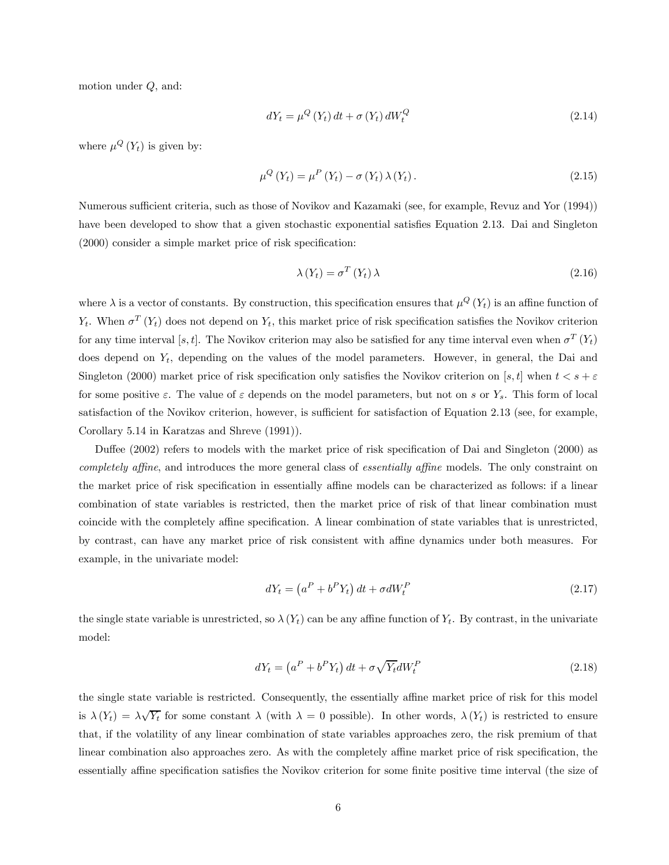motion under Q, and:

$$
dY_t = \mu^Q(Y_t) dt + \sigma(Y_t) dW_t^Q \tag{2.14}
$$

where  $\mu^{Q}(Y_{t})$  is given by:

$$
\mu^{Q}\left(Y_{t}\right) = \mu^{P}\left(Y_{t}\right) - \sigma\left(Y_{t}\right)\lambda\left(Y_{t}\right). \tag{2.15}
$$

Numerous sufficient criteria, such as those of Novikov and Kazamaki (see, for example, Revuz and Yor (1994)) have been developed to show that a given stochastic exponential satisfies Equation 2.13. Dai and Singleton (2000) consider a simple market price of risk specification:

$$
\lambda \left( Y_t \right) = \sigma^T \left( Y_t \right) \lambda \tag{2.16}
$$

where  $\lambda$  is a vector of constants. By construction, this specification ensures that  $\mu^Q(Y_t)$  is an affine function of  $Y_t$ . When  $\sigma^T(Y_t)$  does not depend on  $Y_t$ , this market price of risk specification satisfies the Novikov criterion for any time interval [s, t]. The Novikov criterion may also be satisfied for any time interval even when  $\sigma^T(Y_t)$ does depend on  $Y_t$ , depending on the values of the model parameters. However, in general, the Dai and Singleton (2000) market price of risk specification only satisfies the Novikov criterion on [s, t] when  $t < s + \varepsilon$ for some positive  $\varepsilon$ . The value of  $\varepsilon$  depends on the model parameters, but not on s or  $Y_s$ . This form of local satisfaction of the Novikov criterion, however, is sufficient for satisfaction of Equation 2.13 (see, for example, Corollary 5.14 in Karatzas and Shreve (1991)).

Duffee (2002) refers to models with the market price of risk specification of Dai and Singleton (2000) as completely affine, and introduces the more general class of essentially affine models. The only constraint on the market price of risk specification in essentially affine models can be characterized as follows: if a linear combination of state variables is restricted, then the market price of risk of that linear combination must coincide with the completely affine specification. A linear combination of state variables that is unrestricted, by contrast, can have any market price of risk consistent with affine dynamics under both measures. For example, in the univariate model:

$$
dY_t = \left(a^P + b^P Y_t\right) dt + \sigma dW_t^P \tag{2.17}
$$

the single state variable is unrestricted, so  $\lambda(Y_t)$  can be any affine function of  $Y_t$ . By contrast, in the univariate model:

$$
dY_t = \left(a^P + b^P Y_t\right) dt + \sigma \sqrt{Y_t} dW_t^P \tag{2.18}
$$

the single state variable is restricted. Consequently, the essentially affine market price of risk for this model is  $\lambda(Y_t) = \lambda \sqrt{Y_t}$  for some constant  $\lambda$  (with  $\lambda = 0$  possible). In other words,  $\lambda(Y_t)$  is restricted to ensure that, if the volatility of any linear combination of state variables approaches zero, the risk premium of that linear combination also approaches zero. As with the completely affine market price of risk specification, the essentially affine specification satisfies the Novikov criterion for some finite positive time interval (the size of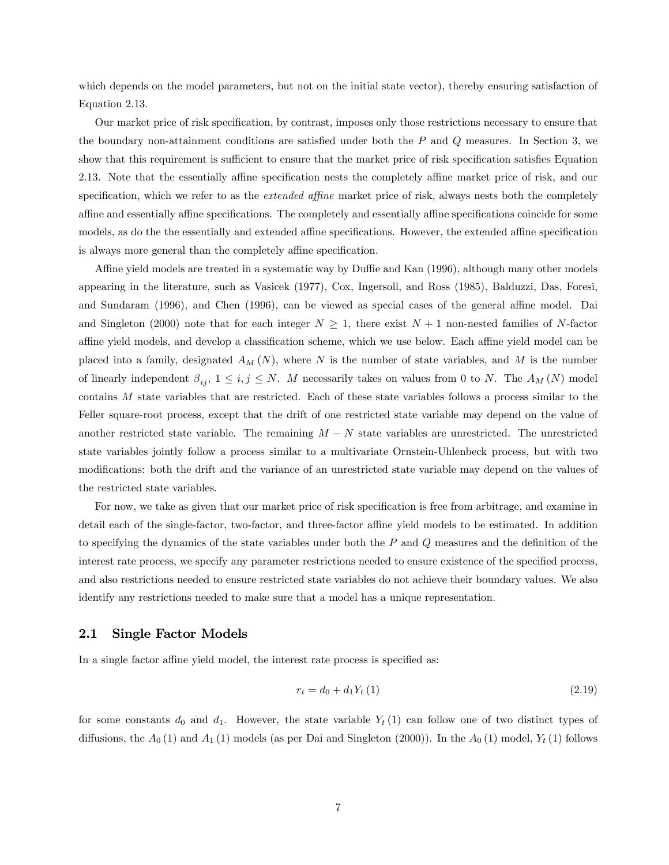which depends on the model parameters, but not on the initial state vector), thereby ensuring satisfaction of Equation 2.13.

Our market price of risk specification, by contrast, imposes only those restrictions necessary to ensure that the boundary non-attainment conditions are satisfied under both the  $P$  and  $Q$  measures. In Section 3, we show that this requirement is sufficient to ensure that the market price of risk specification satisfies Equation 2.13. Note that the essentially affine specification nests the completely affine market price of risk, and our specification, which we refer to as the *extended affine* market price of risk, always nests both the completely affine and essentially affine specifications. The completely and essentially affine specifications coincide for some models, as do the the essentially and extended affine specifications. However, the extended affine specification is always more general than the completely affine specification.

Affine yield models are treated in a systematic way by Duffie and Kan (1996), although many other models appearing in the literature, such as Vasicek (1977), Cox, Ingersoll, and Ross (1985), Balduzzi, Das, Foresi, and Sundaram (1996), and Chen (1996), can be viewed as special cases of the general affine model. Dai and Singleton (2000) note that for each integer  $N \geq 1$ , there exist  $N + 1$  non-nested families of N-factor affine yield models, and develop a classification scheme, which we use below. Each affine yield model can be placed into a family, designated  $A_M(N)$ , where N is the number of state variables, and M is the number of linearly independent  $\beta_{ij}$ ,  $1 \le i, j \le N$ . M necessarily takes on values from 0 to N. The  $A_M(N)$  model contains M state variables that are restricted. Each of these state variables follows a process similar to the Feller square-root process, except that the drift of one restricted state variable may depend on the value of another restricted state variable. The remaining  $M - N$  state variables are unrestricted. The unrestricted state variables jointly follow a process similar to a multivariate Ornstein-Uhlenbeck process, but with two modifications: both the drift and the variance of an unrestricted state variable may depend on the values of the restricted state variables.

For now, we take as given that our market price of risk specification is free from arbitrage, and examine in detail each of the single-factor, two-factor, and three-factor affine yield models to be estimated. In addition to specifying the dynamics of the state variables under both the  $P$  and  $Q$  measures and the definition of the interest rate process, we specify any parameter restrictions needed to ensure existence of the specified process, and also restrictions needed to ensure restricted state variables do not achieve their boundary values. We also identify any restrictions needed to make sure that a model has a unique representation.

#### 2.1 Single Factor Models

In a single factor affine yield model, the interest rate process is specified as:

$$
r_t = d_0 + d_1 Y_t (1) \tag{2.19}
$$

for some constants  $d_0$  and  $d_1$ . However, the state variable  $Y_t(1)$  can follow one of two distinct types of diffusions, the  $A_0(1)$  and  $A_1(1)$  models (as per Dai and Singleton (2000)). In the  $A_0(1)$  model,  $Y_t(1)$  follows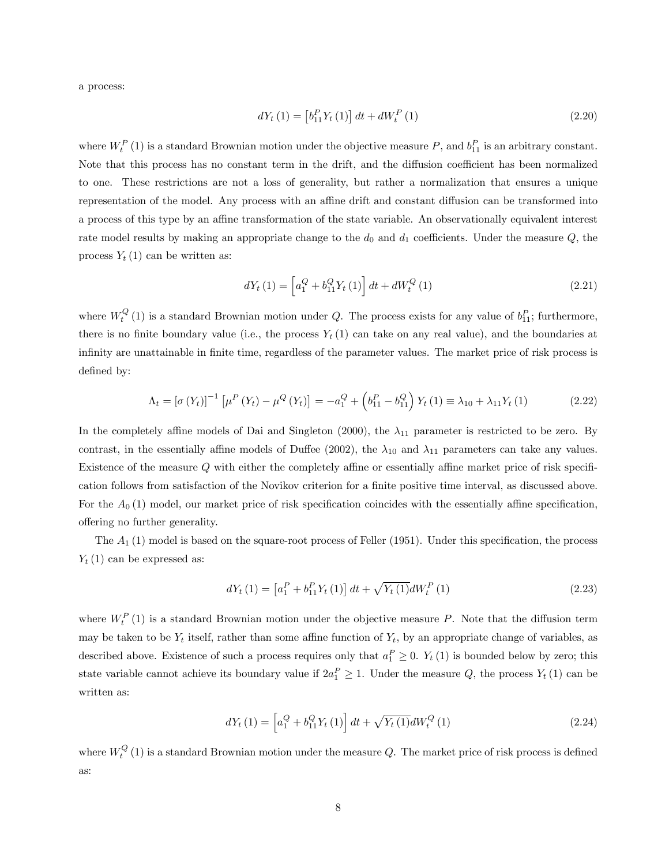a process:

$$
dY_{t}(1) = \left[ b_{11}^{P} Y_{t}(1) \right] dt + dW_{t}^{P}(1)
$$
\n(2.20)

where  $W_t^P(1)$  is a standard Brownian motion under the objective measure P, and  $b_{11}^P$  is an arbitrary constant. Note that this process has no constant term in the drift, and the diffusion coefficient has been normalized to one. These restrictions are not a loss of generality, but rather a normalization that ensures a unique representation of the model. Any process with an affine drift and constant diffusion can be transformed into a process of this type by an affine transformation of the state variable. An observationally equivalent interest rate model results by making an appropriate change to the  $d_0$  and  $d_1$  coefficients. Under the measure  $Q$ , the process  $Y_t(1)$  can be written as:

$$
dY_t(1) = \left[a_1^Q + b_{11}^Q Y_t(1)\right]dt + dW_t^Q(1)
$$
\n(2.21)

where  $W_t^Q(1)$  is a standard Brownian motion under Q. The process exists for any value of  $b_{11}^P$ ; furthermore, there is no finite boundary value (i.e., the process  $Y_t(1)$  can take on any real value), and the boundaries at infinity are unattainable in finite time, regardless of the parameter values. The market price of risk process is defined by:

$$
\Lambda_t = [\sigma(Y_t)]^{-1} [\mu^P(Y_t) - \mu^Q(Y_t)] = -a_1^Q + (b_{11}^P - b_{11}^Q) Y_t (1) \equiv \lambda_{10} + \lambda_{11} Y_t (1)
$$
\n(2.22)

In the completely affine models of Dai and Singleton (2000), the  $\lambda_{11}$  parameter is restricted to be zero. By contrast, in the essentially affine models of Duffee (2002), the  $\lambda_{10}$  and  $\lambda_{11}$  parameters can take any values. Existence of the measure Q with either the completely affine or essentially affine market price of risk specification follows from satisfaction of the Novikov criterion for a finite positive time interval, as discussed above. For the  $A_0$  (1) model, our market price of risk specification coincides with the essentially affine specification, offering no further generality.

The  $A_1$  (1) model is based on the square-root process of Feller (1951). Under this specification, the process  $Y_t(1)$  can be expressed as:

$$
dY_{t}(1) = \left[a_{1}^{P} + b_{11}^{P} Y_{t}(1)\right] dt + \sqrt{Y_{t}(1)} dW_{t}^{P}(1)
$$
\n(2.23)

where  $W_t^P(1)$  is a standard Brownian motion under the objective measure P. Note that the diffusion term may be taken to be  $Y_t$  itself, rather than some affine function of  $Y_t$ , by an appropriate change of variables, as described above. Existence of such a process requires only that  $a_1^P \geq 0$ .  $Y_t(1)$  is bounded below by zero; this state variable cannot achieve its boundary value if  $2a_1^P \geq 1$ . Under the measure Q, the process  $Y_t(1)$  can be written as:

$$
dY_t(1) = \left[a_1^Q + b_{11}^Q Y_t(1)\right]dt + \sqrt{Y_t(1)}dW_t^Q(1)
$$
\n(2.24)

where  $W_t^Q(1)$  is a standard Brownian motion under the measure Q. The market price of risk process is defined as: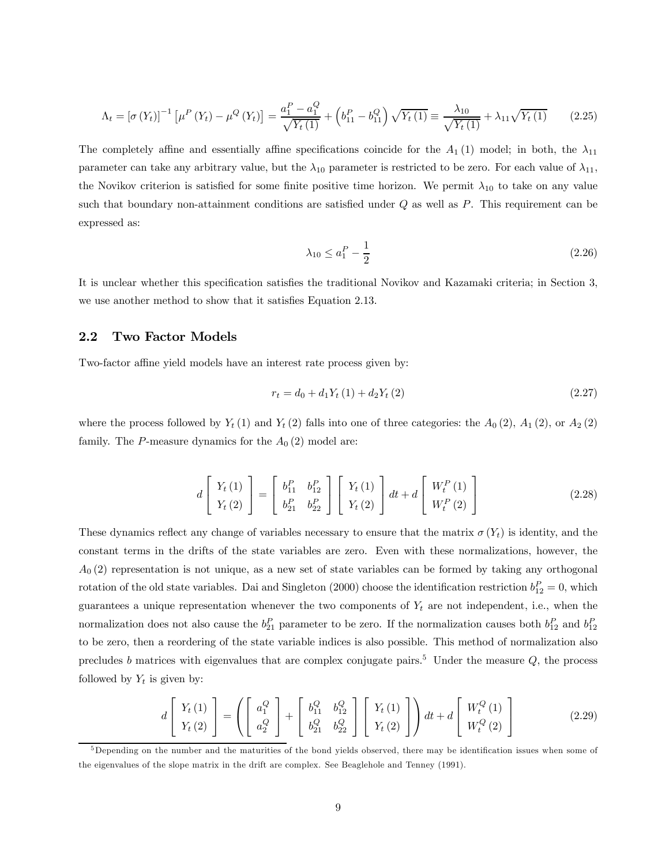$$
\Lambda_t = \left[\sigma\left(Y_t\right)\right]^{-1} \left[\mu^P\left(Y_t\right) - \mu^Q\left(Y_t\right)\right] = \frac{a_1^P - a_1^Q}{\sqrt{Y_t\left(1\right)}} + \left(b_{11}^P - b_{11}^Q\right)\sqrt{Y_t\left(1\right)} \equiv \frac{\lambda_{10}}{\sqrt{Y_t\left(1\right)}} + \lambda_{11}\sqrt{Y_t\left(1\right)} \tag{2.25}
$$

The completely affine and essentially affine specifications coincide for the  $A_1(1)$  model; in both, the  $\lambda_{11}$ parameter can take any arbitrary value, but the  $\lambda_{10}$  parameter is restricted to be zero. For each value of  $\lambda_{11}$ , the Novikov criterion is satisfied for some finite positive time horizon. We permit  $\lambda_{10}$  to take on any value such that boundary non-attainment conditions are satisfied under  $Q$  as well as  $P$ . This requirement can be expressed as:

$$
\lambda_{10} \le a_1^P - \frac{1}{2} \tag{2.26}
$$

It is unclear whether this specification satisfies the traditional Novikov and Kazamaki criteria; in Section 3, we use another method to show that it satisfies Equation 2.13.

#### 2.2 Two Factor Models

Two-factor affine yield models have an interest rate process given by:

$$
r_t = d_0 + d_1 Y_t (1) + d_2 Y_t (2)
$$
\n(2.27)

where the process followed by  $Y_t(1)$  and  $Y_t(2)$  falls into one of three categories: the  $A_0(2)$ ,  $A_1(2)$ , or  $A_2(2)$ family. The P-measure dynamics for the  $A_0(2)$  model are:

$$
d\begin{bmatrix} Y_t(1) \\ Y_t(2) \end{bmatrix} = \begin{bmatrix} b_{11}^P & b_{12}^P \\ b_{21}^P & b_{22}^P \end{bmatrix} \begin{bmatrix} Y_t(1) \\ Y_t(2) \end{bmatrix} dt + d \begin{bmatrix} W_t^P(1) \\ W_t^P(2) \end{bmatrix}
$$
(2.28)

These dynamics reflect any change of variables necessary to ensure that the matrix  $\sigma(Y_t)$  is identity, and the constant terms in the drifts of the state variables are zero. Even with these normalizations, however, the  $A_0$  (2) representation is not unique, as a new set of state variables can be formed by taking any orthogonal rotation of the old state variables. Dai and Singleton (2000) choose the identification restriction  $b_{12}^P = 0$ , which guarantees a unique representation whenever the two components of  $Y_t$  are not independent, i.e., when the normalization does not also cause the  $b_{21}^P$  parameter to be zero. If the normalization causes both  $b_{12}^P$  and  $b_{12}^P$ to be zero, then a reordering of the state variable indices is also possible. This method of normalization also precludes b matrices with eigenvalues that are complex conjugate pairs.<sup>5</sup> Under the measure  $Q$ , the process followed by  $Y_t$  is given by:

$$
d\left[\begin{array}{c} Y_t(1) \\ Y_t(2) \end{array}\right] = \left(\left[\begin{array}{c} a_1^Q \\ a_2^Q \end{array}\right] + \left[\begin{array}{cc} b_{11}^Q & b_{12}^Q \\ b_{21}^Q & b_{22}^Q \end{array}\right] \left[\begin{array}{c} Y_t(1) \\ Y_t(2) \end{array}\right]\right) dt + d\left[\begin{array}{c} W_t^Q(1) \\ W_t^Q(2) \end{array}\right] \tag{2.29}
$$

<sup>&</sup>lt;sup>5</sup>Depending on the number and the maturities of the bond yields observed, there may be identification issues when some of the eigenvalues of the slope matrix in the drift are complex. See Beaglehole and Tenney (1991).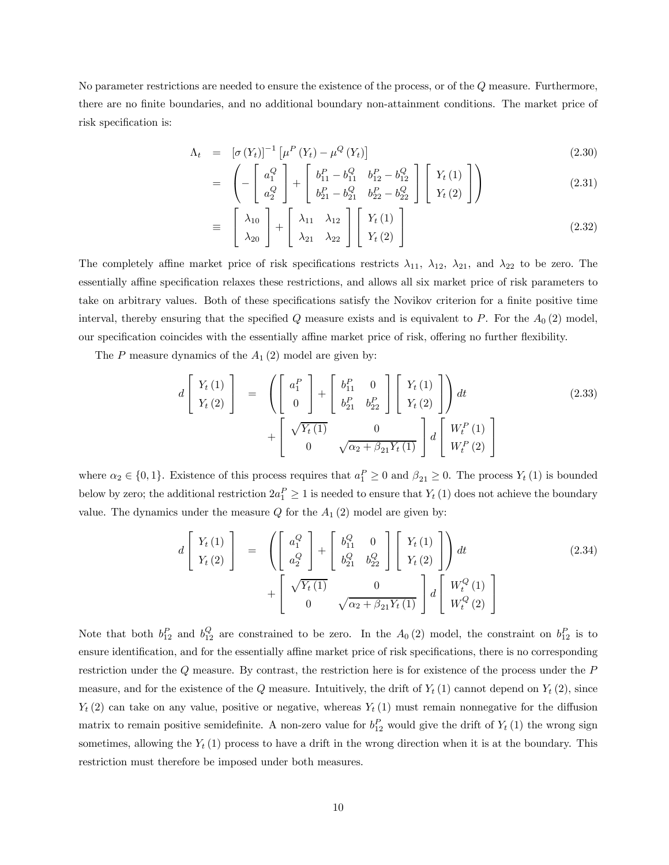No parameter restrictions are needed to ensure the existence of the process, or of the Q measure. Furthermore, there are no finite boundaries, and no additional boundary non-attainment conditions. The market price of risk specification is:

$$
\Lambda_t = \left[ \sigma \left( Y_t \right) \right]^{-1} \left[ \mu^P \left( Y_t \right) - \mu^Q \left( Y_t \right) \right] \tag{2.30}
$$
\n
$$
\left( \begin{array}{cc} \left[ \begin{array}{cc} \circ \\ \circ \end{array} \right] & \left[ \begin{array}{cc} P & \circ \\ \circ \end{array} \right] & \left[ \begin{array}{cc} P & \circ \\ \circ \end{array} \right] & \left[ \begin{array}{cc} \circ \\ \circ \end{array} \right] & \left[ \begin{array}{cc} \circ \\ \circ \end{array} \right] & \left[ \begin{array}{cc} \circ \\ \circ \end{array} \right] & \left[ \begin{array}{cc} \circ \\ \circ \end{array} \right] & \left[ \begin{array}{cc} \circ \\ \circ \end{array} \right] & \left[ \begin{array}{cc} \circ \\ \circ \end{array} \right] & \left[ \begin{array}{cc} \circ \\ \circ \end{array} \right] & \left[ \begin{array}{cc} \circ \\ \circ \end{array} \right] & \left[ \begin{array}{cc} \circ \\ \circ \end{array} \right] & \left[ \begin{array}{cc} \circ \\ \circ \end{array} \right] & \left[ \begin{array}{cc} \circ \\ \circ \end{array} \right] & \left[ \begin{array}{cc} \circ \\ \circ \end{array} \right] & \left[ \begin{array}{cc} \circ \\ \circ \end{array} \right] & \left[ \begin{array}{cc} \circ \\ \circ \end{array} \right] & \left[ \begin{array}{cc} \circ \\ \circ \end{array} \right] & \left[ \begin{array}{cc} \circ \\ \circ \end{array} \right] & \left[ \begin{array}{cc} \circ \\ \circ \end{array} \right] & \left[ \begin{array}{cc} \circ \\ \circ \end{array} \right] & \left[ \begin{array}{cc} \circ \\ \circ \end{array} \right] & \left[ \begin{array}{cc} \circ \\ \circ \end{array} \right] & \left[ \begin{array}{cc} \circ \\ \circ \end{array} \right] & \left[ \begin{array}{cc} \circ \\ \circ \end{array} \right] & \left[ \begin{array}{cc} \circ \\ \circ \end{array} \right] & \left[ \begin{array}{cc} \circ \\ \circ \end{array} \right] & \left[ \begin{array}{cc} \circ \\ \circ \end{array} \right] & \left[ \
$$

$$
= \left(-\begin{bmatrix} a_1^Q \\ a_2^Q \end{bmatrix} + \begin{bmatrix} b_{11}^P - b_{11}^Q & b_{12}^P - b_{12}^Q \\ b_{21}^P - b_{21}^Q & b_{22}^P - b_{22}^Q \end{bmatrix} \begin{bmatrix} Y_t(1) \\ Y_t(2) \end{bmatrix}\right) \tag{2.31}
$$

$$
\equiv \begin{bmatrix} \lambda_{10} \\ \lambda_{20} \end{bmatrix} + \begin{bmatrix} \lambda_{11} & \lambda_{12} \\ \lambda_{21} & \lambda_{22} \end{bmatrix} \begin{bmatrix} Y_t(1) \\ Y_t(2) \end{bmatrix}
$$
(2.32)

The completely affine market price of risk specifications restricts  $\lambda_{11}$ ,  $\lambda_{12}$ ,  $\lambda_{21}$ , and  $\lambda_{22}$  to be zero. The essentially affine specification relaxes these restrictions, and allows all six market price of risk parameters to take on arbitrary values. Both of these specifications satisfy the Novikov criterion for a finite positive time interval, thereby ensuring that the specified Q measure exists and is equivalent to P. For the  $A_0(2)$  model, our specification coincides with the essentially affine market price of risk, offering no further flexibility.

The P measure dynamics of the  $A_1(2)$  model are given by:

$$
d\begin{bmatrix} Y_t(1) \\ Y_t(2) \end{bmatrix} = \begin{pmatrix} a_1^P \\ 0 \end{pmatrix} + \begin{bmatrix} b_{11}^P & 0 \\ b_{21}^P & b_{22}^P \end{bmatrix} \begin{bmatrix} Y_t(1) \\ Y_t(2) \end{bmatrix} dt + \begin{bmatrix} \sqrt{Y_t(1)} & 0 \\ 0 & \sqrt{\alpha_2 + \beta_{21} Y_t(1)} \end{bmatrix} d \begin{bmatrix} W_t^P(1) \\ W_t^P(2) \end{bmatrix}
$$
(2.33)

where  $\alpha_2 \in \{0, 1\}$ . Existence of this process requires that  $a_1^P \ge 0$  and  $\beta_{21} \ge 0$ . The process  $Y_t(1)$  is bounded below by zero; the additional restriction  $2a_1^P \ge 1$  is needed to ensure that  $Y_t(1)$  does not achieve the boundary value. The dynamics under the measure  $Q$  for the  $A_1(2)$  model are given by:

$$
d\begin{bmatrix} Y_t(1) \\ Y_t(2) \end{bmatrix} = \begin{bmatrix} a_1^Q \\ a_2^Q \end{bmatrix} + \begin{bmatrix} b_{11}^Q & 0 \\ b_{21}^Q & b_{22}^Q \end{bmatrix} \begin{bmatrix} Y_t(1) \\ Y_t(2) \end{bmatrix} dt + \begin{bmatrix} \sqrt{Y_t(1)} & 0 \\ 0 & \sqrt{\alpha_2 + \beta_{21} Y_t(1)} \end{bmatrix} d \begin{bmatrix} W_t^Q(1) \\ W_t^Q(2) \end{bmatrix}
$$
(2.34)

Note that both  $b_{12}^P$  and  $b_{12}^Q$  are constrained to be zero. In the  $A_0(2)$  model, the constraint on  $b_{12}^P$  is to ensure identification, and for the essentially affine market price of risk specifications, there is no corresponding restriction under the Q measure. By contrast, the restriction here is for existence of the process under the P measure, and for the existence of the Q measure. Intuitively, the drift of  $Y_t(1)$  cannot depend on  $Y_t(2)$ , since  $Y_t(2)$  can take on any value, positive or negative, whereas  $Y_t(1)$  must remain nonnegative for the diffusion matrix to remain positive semidefinite. A non-zero value for  $b_{12}^P$  would give the drift of  $Y_t(1)$  the wrong sign sometimes, allowing the  $Y_t(1)$  process to have a drift in the wrong direction when it is at the boundary. This restriction must therefore be imposed under both measures.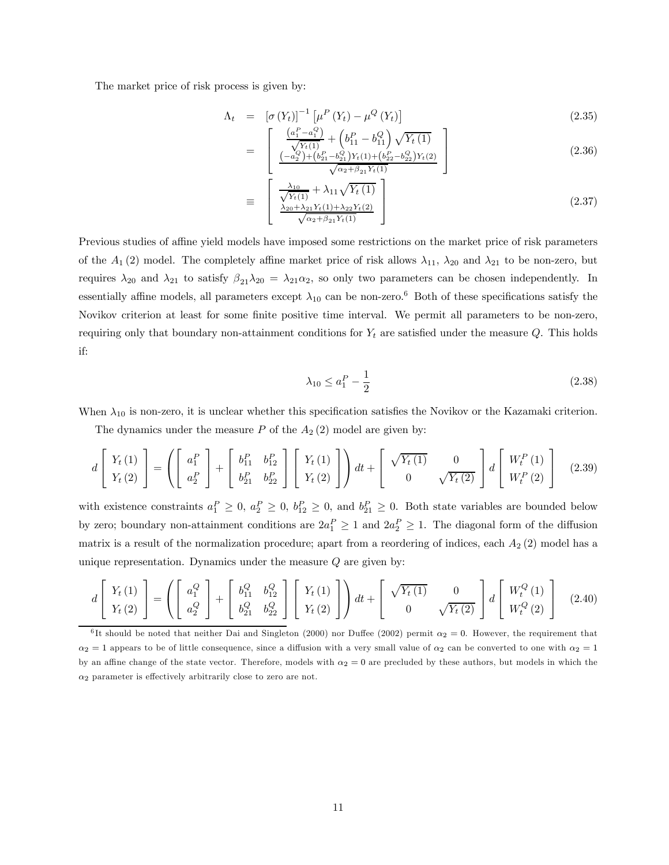The market price of risk process is given by:

$$
\Lambda_t = \left[ \sigma \left( Y_t \right) \right]^{-1} \left[ \mu^P \left( Y_t \right) - \mu^Q \left( Y_t \right) \right] \tag{2.35}
$$
\n
$$
\left[ \begin{array}{cc} \left( a_1^P - a_1^Q \right) & \left( I P - I Q \right) & \sqrt{Y - I \lambda} \\ \end{array} \right]
$$

$$
= \left[ \frac{\frac{\left(a_1^P - a_1^Q\right)}{\sqrt{Y_t(1)}} + \left(b_{11}^P - b_{11}^Q\right)\sqrt{Y_t(1)}}{\frac{\left(-a_2^Q\right) + \left(b_{21}^P - b_{21}^Q\right)Y_t(1) + \left(b_{22}^P - b_{22}^Q\right)Y_t(2)}{\sqrt{\alpha_2 + \beta_{21}Y_t(1)}}} \right]
$$
(2.36)

$$
\equiv \left[ \frac{\frac{\lambda_{10}}{\sqrt{Y_t(1)}} + \lambda_{11}\sqrt{Y_t(1)}}{\frac{\lambda_{20} + \lambda_{21}Y_t(1) + \lambda_{22}Y_t(2)}{\sqrt{\alpha_2 + \beta_{21}Y_t(1)}}} \right]
$$
(2.37)

Previous studies of affine yield models have imposed some restrictions on the market price of risk parameters of the  $A_1$  (2) model. The completely affine market price of risk allows  $\lambda_{11}$ ,  $\lambda_{20}$  and  $\lambda_{21}$  to be non-zero, but requires  $\lambda_{20}$  and  $\lambda_{21}$  to satisfy  $\beta_{21}\lambda_{20} = \lambda_{21}\alpha_2$ , so only two parameters can be chosen independently. In essentially affine models, all parameters except  $\lambda_{10}$  can be non-zero.<sup>6</sup> Both of these specifications satisfy the Novikov criterion at least for some finite positive time interval. We permit all parameters to be non-zero, requiring only that boundary non-attainment conditions for  $Y_t$  are satisfied under the measure  $Q$ . This holds if:

$$
\lambda_{10} \le a_1^P - \frac{1}{2} \tag{2.38}
$$

When  $\lambda_{10}$  is non-zero, it is unclear whether this specification satisfies the Novikov or the Kazamaki criterion.

The dynamics under the measure  $P$  of the  $A_2(2)$  model are given by:

$$
d\begin{bmatrix} Y_t(1) \\ Y_t(2) \end{bmatrix} = \left( \begin{bmatrix} a_1^P \\ a_2^P \end{bmatrix} + \begin{bmatrix} b_{11}^P & b_{12}^P \\ b_{21}^P & b_{22}^P \end{bmatrix} \begin{bmatrix} Y_t(1) \\ Y_t(2) \end{bmatrix} \right) dt + \begin{bmatrix} \sqrt{Y_t(1)} & 0 \\ 0 & \sqrt{Y_t(2)} \end{bmatrix} d \begin{bmatrix} W_t^P(1) \\ W_t^P(2) \end{bmatrix}
$$
(2.39)

with existence constraints  $a_1^P \geq 0$ ,  $a_2^P \geq 0$ ,  $b_{12}^P \geq 0$ , and  $b_{21}^P \geq 0$ . Both state variables are bounded below by zero; boundary non-attainment conditions are  $2a_1^P \ge 1$  and  $2a_2^P \ge 1$ . The diagonal form of the diffusion matrix is a result of the normalization procedure; apart from a reordering of indices, each  $A_2$  (2) model has a unique representation. Dynamics under the measure  $Q$  are given by:

$$
d\begin{bmatrix} Y_t(1) \\ Y_t(2) \end{bmatrix} = \left( \begin{bmatrix} a_1^Q \\ a_2^Q \end{bmatrix} + \begin{bmatrix} b_{11}^Q & b_{12}^Q \\ b_{21}^Q & b_{22}^Q \end{bmatrix} \begin{bmatrix} Y_t(1) \\ Y_t(2) \end{bmatrix} \right) dt + \begin{bmatrix} \sqrt{Y_t(1)} & 0 \\ 0 & \sqrt{Y_t(2)} \end{bmatrix} d\begin{bmatrix} W_t^Q(1) \\ W_t^Q(2) \end{bmatrix}
$$
(2.40)

<sup>6</sup>It should be noted that neither Dai and Singleton (2000) nor Duffee (2002) permit  $\alpha_2 = 0$ . However, the requirement that  $\alpha_2 = 1$  appears to be of little consequence, since a diffusion with a very small value of  $\alpha_2$  can be converted to one with  $\alpha_2 = 1$ by an affine change of the state vector. Therefore, models with  $\alpha_2 = 0$  are precluded by these authors, but models in which the  $\alpha_2$  parameter is effectively arbitrarily close to zero are not.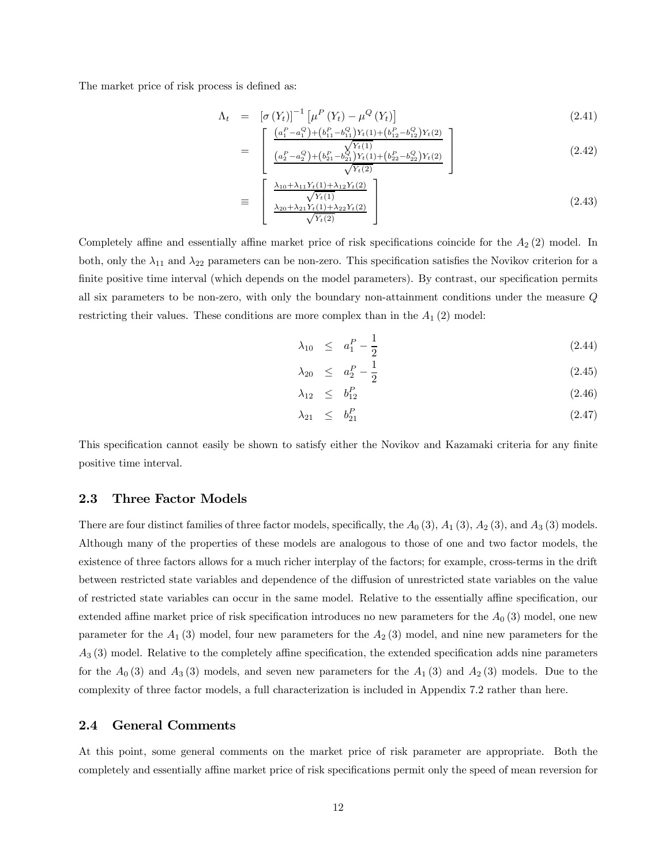The market price of risk process is defined as:

$$
\Lambda_t = \left[ \sigma \left( Y_t \right) \right]^{-1} \left[ \mu^P \left( Y_t \right) - \mu^Q \left( Y_t \right) \right]
$$
\n
$$
\left[ \begin{array}{cc} \left( a_1^P - a_1^Q \right) + \left( b_{11}^P - b_{11}^Q \right) Y_t(1) + \left( b_{12}^P - b_{12}^Q \right) Y_t(2) \end{array} \right] \tag{2.41}
$$

$$
= \left[\begin{array}{cc} \frac{\sqrt{Y_t(1)}}{\sqrt{Y_t(1)}} & \frac{\sqrt{Y_t(1)}}{\sqrt{Y_t(1)}}\\ \frac{(a_2^P - a_2^Q) + (b_{21}^P - b_{21}^Q)Y_t(1) + (b_{22}^P - b_{22}^Q)Y_t(2)}{\sqrt{Y_t(2)}} \end{array}\right]
$$
(2.42)

$$
\equiv \begin{bmatrix} \frac{\lambda_{10} + \lambda_{11} Y_t(1) + \lambda_{12} Y_t(2)}{\sqrt{Y_t(1)}}\\ \frac{\lambda_{20} + \lambda_{21} Y_t(1) + \lambda_{22} Y_t(2)}{\sqrt{Y_t(2)}} \end{bmatrix}
$$
 (2.43)

Completely affine and essentially affine market price of risk specifications coincide for the  $A_2$  (2) model. In both, only the  $\lambda_{11}$  and  $\lambda_{22}$  parameters can be non-zero. This specification satisfies the Novikov criterion for a finite positive time interval (which depends on the model parameters). By contrast, our specification permits all six parameters to be non-zero, with only the boundary non-attainment conditions under the measure Q restricting their values. These conditions are more complex than in the  $A_1$  (2) model:

$$
\lambda_{10} \leq a_1^P - \frac{1}{2} \tag{2.44}
$$

$$
\lambda_{20} \leq a_2^P - \frac{1}{2} \tag{2.45}
$$

$$
\lambda_{12} \leq b_{12}^P \tag{2.46}
$$

$$
\lambda_{21} \leq b_{21}^P \tag{2.47}
$$

This specification cannot easily be shown to satisfy either the Novikov and Kazamaki criteria for any finite positive time interval.

#### 2.3 Three Factor Models

There are four distinct families of three factor models, specifically, the  $A_0$  (3),  $A_1$  (3),  $A_2$  (3), and  $A_3$  (3) models. Although many of the properties of these models are analogous to those of one and two factor models, the existence of three factors allows for a much richer interplay of the factors; for example, cross-terms in the drift between restricted state variables and dependence of the diffusion of unrestricted state variables on the value of restricted state variables can occur in the same model. Relative to the essentially affine specification, our extended affine market price of risk specification introduces no new parameters for the  $A_0$  (3) model, one new parameter for the  $A_1$  (3) model, four new parameters for the  $A_2$  (3) model, and nine new parameters for the  $A_3$  (3) model. Relative to the completely affine specification, the extended specification adds nine parameters for the  $A_0(3)$  and  $A_3(3)$  models, and seven new parameters for the  $A_1(3)$  and  $A_2(3)$  models. Due to the complexity of three factor models, a full characterization is included in Appendix 7.2 rather than here.

#### 2.4 General Comments

At this point, some general comments on the market price of risk parameter are appropriate. Both the completely and essentially affine market price of risk specifications permit only the speed of mean reversion for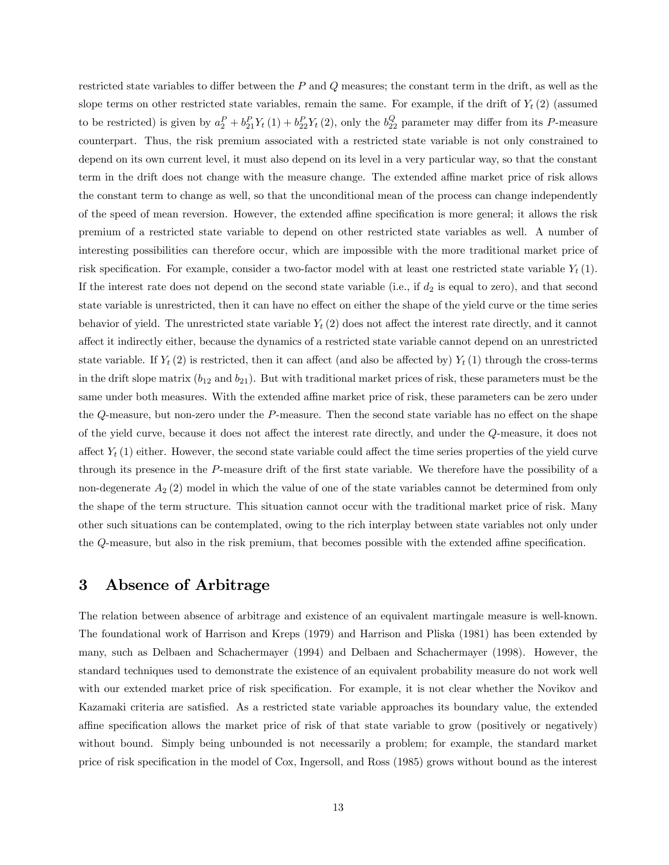restricted state variables to differ between the P and Q measures; the constant term in the drift, as well as the slope terms on other restricted state variables, remain the same. For example, if the drift of  $Y_t(2)$  (assumed to be restricted) is given by  $a_2^P + b_{21}^P Y_t(1) + b_{22}^P Y_t(2)$ , only the  $b_{22}^Q$  parameter may differ from its P-measure counterpart. Thus, the risk premium associated with a restricted state variable is not only constrained to depend on its own current level, it must also depend on its level in a very particular way, so that the constant term in the drift does not change with the measure change. The extended affine market price of risk allows the constant term to change as well, so that the unconditional mean of the process can change independently of the speed of mean reversion. However, the extended affine specification is more general; it allows the risk premium of a restricted state variable to depend on other restricted state variables as well. A number of interesting possibilities can therefore occur, which are impossible with the more traditional market price of risk specification. For example, consider a two-factor model with at least one restricted state variable  $Y_t(1)$ . If the interest rate does not depend on the second state variable (i.e., if  $d_2$  is equal to zero), and that second state variable is unrestricted, then it can have no effect on either the shape of the yield curve or the time series behavior of yield. The unrestricted state variable  $Y_t(2)$  does not affect the interest rate directly, and it cannot affect it indirectly either, because the dynamics of a restricted state variable cannot depend on an unrestricted state variable. If  $Y_t(2)$  is restricted, then it can affect (and also be affected by)  $Y_t(1)$  through the cross-terms in the drift slope matrix  $(b_{12} \text{ and } b_{21})$ . But with traditional market prices of risk, these parameters must be the same under both measures. With the extended affine market price of risk, these parameters can be zero under the Q-measure, but non-zero under the P-measure. Then the second state variable has no effect on the shape of the yield curve, because it does not affect the interest rate directly, and under the Q-measure, it does not affect  $Y_t(1)$  either. However, the second state variable could affect the time series properties of the yield curve through its presence in the P-measure drift of the first state variable. We therefore have the possibility of a non-degenerate  $A_2$  (2) model in which the value of one of the state variables cannot be determined from only the shape of the term structure. This situation cannot occur with the traditional market price of risk. Many other such situations can be contemplated, owing to the rich interplay between state variables not only under the Q-measure, but also in the risk premium, that becomes possible with the extended affine specification.

### 3 Absence of Arbitrage

The relation between absence of arbitrage and existence of an equivalent martingale measure is well-known. The foundational work of Harrison and Kreps (1979) and Harrison and Pliska (1981) has been extended by many, such as Delbaen and Schachermayer (1994) and Delbaen and Schachermayer (1998). However, the standard techniques used to demonstrate the existence of an equivalent probability measure do not work well with our extended market price of risk specification. For example, it is not clear whether the Novikov and Kazamaki criteria are satisfied. As a restricted state variable approaches its boundary value, the extended affine specification allows the market price of risk of that state variable to grow (positively or negatively) without bound. Simply being unbounded is not necessarily a problem; for example, the standard market price of risk specification in the model of Cox, Ingersoll, and Ross (1985) grows without bound as the interest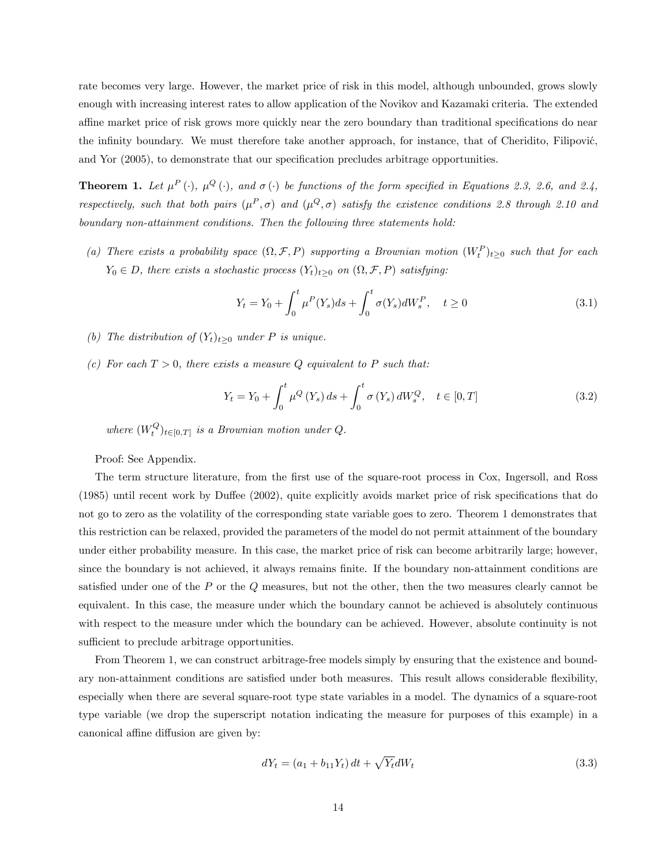rate becomes very large. However, the market price of risk in this model, although unbounded, grows slowly enough with increasing interest rates to allow application of the Novikov and Kazamaki criteria. The extended affine market price of risk grows more quickly near the zero boundary than traditional specifications do near the infinity boundary. We must therefore take another approach, for instance, that of Cheridito, Filipović, and Yor (2005), to demonstrate that our specification precludes arbitrage opportunities.

**Theorem 1.** Let  $\mu^P(\cdot)$ ,  $\mu^Q(\cdot)$ , and  $\sigma(\cdot)$  be functions of the form specified in Equations 2.3, 2.6, and 2.4, respectively, such that both pairs  $(\mu^P, \sigma)$  and  $(\mu^Q, \sigma)$  satisfy the existence conditions 2.8 through 2.10 and boundary non-attainment conditions. Then the following three statements hold:

(a) There exists a probability space  $(\Omega, \mathcal{F}, P)$  supporting a Brownian motion  $(W_t^P)_{t\geq 0}$  such that for each  $Y_0 \in D$ , there exists a stochastic process  $(Y_t)_{t\geq 0}$  on  $(\Omega, \mathcal{F}, P)$  satisfying:

$$
Y_t = Y_0 + \int_0^t \mu^P(Y_s)ds + \int_0^t \sigma(Y_s)dW_s^P, \quad t \ge 0
$$
\n(3.1)

- (b) The distribution of  $(Y_t)_{t>0}$  under P is unique.
- (c) For each  $T > 0$ , there exists a measure Q equivalent to P such that:

$$
Y_{t} = Y_{0} + \int_{0}^{t} \mu^{Q} \left( Y_{s} \right) ds + \int_{0}^{t} \sigma \left( Y_{s} \right) dW_{s}^{Q}, \quad t \in [0, T]
$$
\n(3.2)

where  $(W_t^Q)_{t \in [0,T]}$  is a Brownian motion under Q.

Proof: See Appendix.

The term structure literature, from the first use of the square-root process in Cox, Ingersoll, and Ross (1985) until recent work by Duffee (2002), quite explicitly avoids market price of risk specifications that do not go to zero as the volatility of the corresponding state variable goes to zero. Theorem 1 demonstrates that this restriction can be relaxed, provided the parameters of the model do not permit attainment of the boundary under either probability measure. In this case, the market price of risk can become arbitrarily large; however, since the boundary is not achieved, it always remains finite. If the boundary non-attainment conditions are satisfied under one of the  $P$  or the  $Q$  measures, but not the other, then the two measures clearly cannot be equivalent. In this case, the measure under which the boundary cannot be achieved is absolutely continuous with respect to the measure under which the boundary can be achieved. However, absolute continuity is not sufficient to preclude arbitrage opportunities.

From Theorem 1, we can construct arbitrage-free models simply by ensuring that the existence and boundary non-attainment conditions are satisfied under both measures. This result allows considerable flexibility, especially when there are several square-root type state variables in a model. The dynamics of a square-root type variable (we drop the superscript notation indicating the measure for purposes of this example) in a canonical affine diffusion are given by:

$$
dY_t = (a_1 + b_{11}Y_t) dt + \sqrt{Y_t} dW_t
$$
\n(3.3)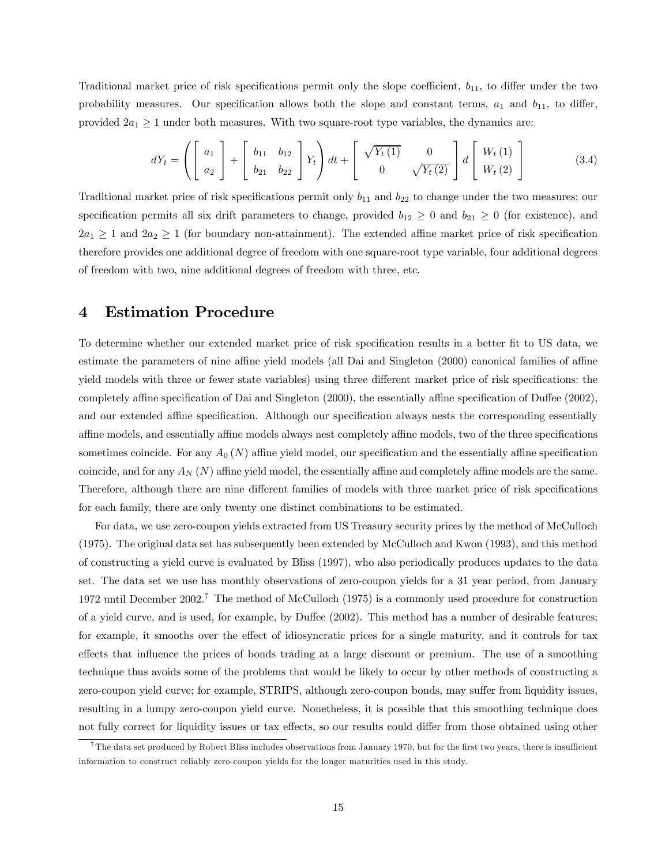Traditional market price of risk specifications permit only the slope coefficient,  $b_{11}$ , to differ under the two probability measures. Our specification allows both the slope and constant terms,  $a_1$  and  $b_{11}$ , to differ, provided  $2a_1 \geq 1$  under both measures. With two square-root type variables, the dynamics are:

$$
dY_t = \left( \begin{bmatrix} a_1 \\ a_2 \end{bmatrix} + \begin{bmatrix} b_{11} & b_{12} \\ b_{21} & b_{22} \end{bmatrix} Y_t \right) dt + \begin{bmatrix} \sqrt{Y_t(1)} & 0 \\ 0 & \sqrt{Y_t(2)} \end{bmatrix} d \begin{bmatrix} W_t(1) \\ W_t(2) \end{bmatrix}
$$
(3.4)

Traditional market price of risk specifications permit only  $b_{11}$  and  $b_{22}$  to change under the two measures; our specification permits all six drift parameters to change, provided  $b_{12} \geq 0$  and  $b_{21} \geq 0$  (for existence), and  $2a_1 \geq 1$  and  $2a_2 \geq 1$  (for boundary non-attainment). The extended affine market price of risk specification therefore provides one additional degree of freedom with one square-root type variable, four additional degrees of freedom with two, nine additional degrees of freedom with three, etc.

# 4 Estimation Procedure

To determine whether our extended market price of risk specification results in a better fit to US data, we estimate the parameters of nine affine yield models (all Dai and Singleton (2000) canonical families of affine yield models with three or fewer state variables) using three different market price of risk specifications: the completely affine specification of Dai and Singleton (2000), the essentially affine specification of Duffee (2002), and our extended affine specification. Although our specification always nests the corresponding essentially affine models, and essentially affine models always nest completely affine models, two of the three specifications sometimes coincide. For any  $A_0(N)$  affine yield model, our specification and the essentially affine specification coincide, and for any  $A_N(N)$  affine yield model, the essentially affine and completely affine models are the same. Therefore, although there are nine different families of models with three market price of risk specifications for each family, there are only twenty one distinct combinations to be estimated.

For data, we use zero-coupon yields extracted from US Treasury security prices by the method of McCulloch (1975). The original data set has subsequently been extended by McCulloch and Kwon (1993), and this method of constructing a yield curve is evaluated by Bliss (1997), who also periodically produces updates to the data set. The data set we use has monthly observations of zero-coupon yields for a 31 year period, from January 1972 until December 2002.7 The method of McCulloch (1975) is a commonly used procedure for construction of a yield curve, and is used, for example, by Duffee (2002). This method has a number of desirable features; for example, it smooths over the effect of idiosyncratic prices for a single maturity, and it controls for tax effects that influence the prices of bonds trading at a large discount or premium. The use of a smoothing technique thus avoids some of the problems that would be likely to occur by other methods of constructing a zero-coupon yield curve; for example, STRIPS, although zero-coupon bonds, may suffer from liquidity issues, resulting in a lumpy zero-coupon yield curve. Nonetheless, it is possible that this smoothing technique does not fully correct for liquidity issues or tax effects, so our results could differ from those obtained using other

<sup>&</sup>lt;sup>7</sup>The data set produced by Robert Bliss includes observations from January 1970, but for the first two years, there is insufficient information to construct reliably zero-coupon yields for the longer maturities used in this study.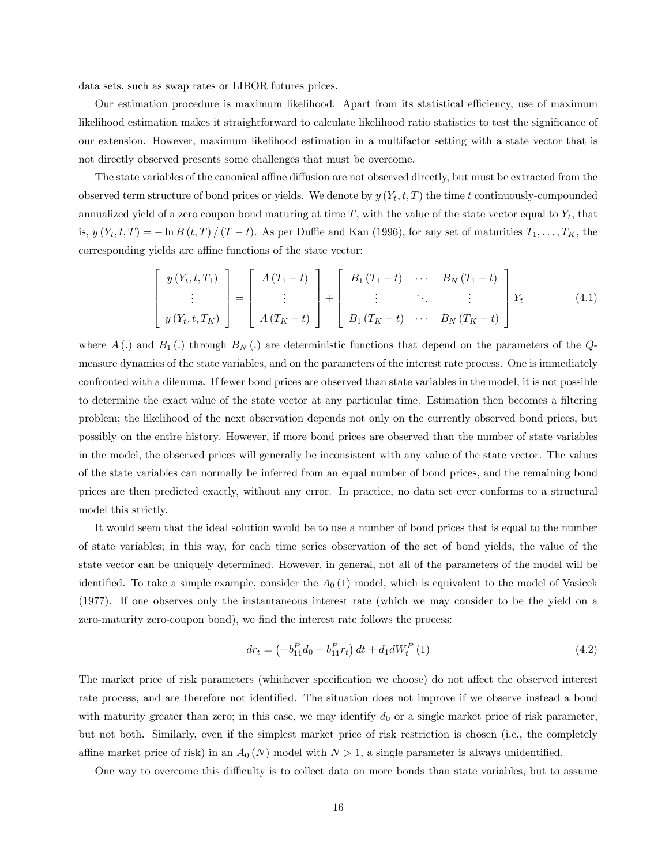data sets, such as swap rates or LIBOR futures prices.

Our estimation procedure is maximum likelihood. Apart from its statistical efficiency, use of maximum likelihood estimation makes it straightforward to calculate likelihood ratio statistics to test the significance of our extension. However, maximum likelihood estimation in a multifactor setting with a state vector that is not directly observed presents some challenges that must be overcome.

The state variables of the canonical affine diffusion are not observed directly, but must be extracted from the observed term structure of bond prices or yields. We denote by  $y(Y_t, t, T)$  the time t continuously-compounded annualized yield of a zero coupon bond maturing at time  $T$ , with the value of the state vector equal to  $Y_t$ , that is,  $y(Y_t, t, T) = -\ln B(t, T) / (T - t)$ . As per Duffie and Kan (1996), for any set of maturities  $T_1, \ldots, T_K$ , the corresponding yields are affine functions of the state vector:

$$
\begin{bmatrix}\ny(Y_t, t, T_1) \\
\vdots \\
y(Y_t, t, T_K)\n\end{bmatrix} =\n\begin{bmatrix}\nA(T_1 - t) \\
\vdots \\
A(T_K - t)\n\end{bmatrix} +\n\begin{bmatrix}\nB_1(T_1 - t) & \cdots & B_N(T_1 - t) \\
\vdots & \ddots & \vdots \\
B_1(T_K - t) & \cdots & B_N(T_K - t)\n\end{bmatrix} Y_t
$$
\n(4.1)

where  $A(.)$  and  $B_1(.)$  through  $B_N(.)$  are deterministic functions that depend on the parameters of the  $Q$ measure dynamics of the state variables, and on the parameters of the interest rate process. One is immediately confronted with a dilemma. If fewer bond prices are observed than state variables in the model, it is not possible to determine the exact value of the state vector at any particular time. Estimation then becomes a filtering problem; the likelihood of the next observation depends not only on the currently observed bond prices, but possibly on the entire history. However, if more bond prices are observed than the number of state variables in the model, the observed prices will generally be inconsistent with any value of the state vector. The values of the state variables can normally be inferred from an equal number of bond prices, and the remaining bond prices are then predicted exactly, without any error. In practice, no data set ever conforms to a structural model this strictly.

It would seem that the ideal solution would be to use a number of bond prices that is equal to the number of state variables; in this way, for each time series observation of the set of bond yields, the value of the state vector can be uniquely determined. However, in general, not all of the parameters of the model will be identified. To take a simple example, consider the  $A_0(1)$  model, which is equivalent to the model of Vasicek (1977). If one observes only the instantaneous interest rate (which we may consider to be the yield on a zero-maturity zero-coupon bond), we find the interest rate follows the process:

$$
dr_{t} = \left(-b_{11}^{P}d_{0} + b_{11}^{P}r_{t}\right)dt + d_{1}dW_{t}^{P}\left(1\right)
$$
\n(4.2)

The market price of risk parameters (whichever specification we choose) do not affect the observed interest rate process, and are therefore not identified. The situation does not improve if we observe instead a bond with maturity greater than zero; in this case, we may identify  $d_0$  or a single market price of risk parameter, but not both. Similarly, even if the simplest market price of risk restriction is chosen (i.e., the completely affine market price of risk) in an  $A_0(N)$  model with  $N > 1$ , a single parameter is always unidentified.

One way to overcome this difficulty is to collect data on more bonds than state variables, but to assume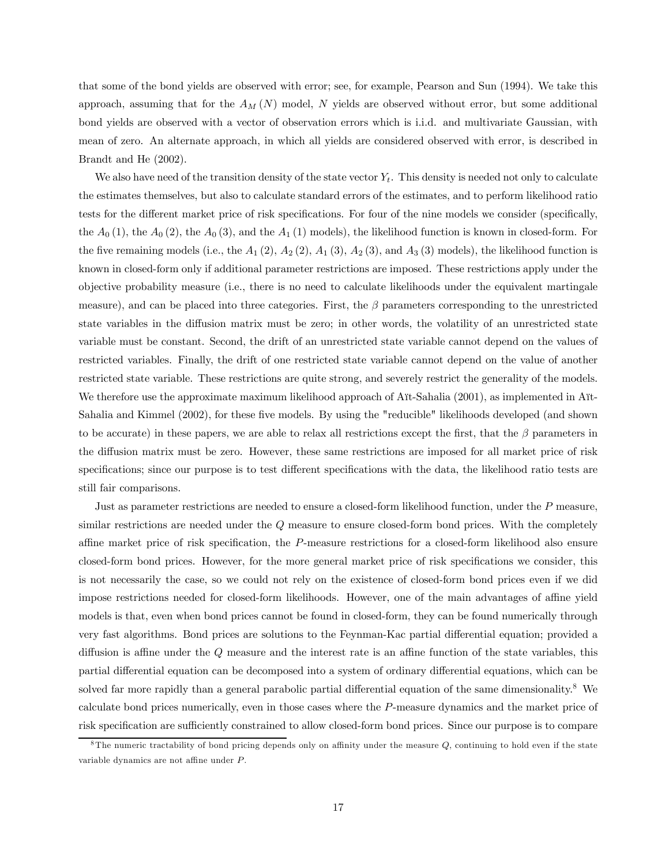that some of the bond yields are observed with error; see, for example, Pearson and Sun (1994). We take this approach, assuming that for the  $A_M(N)$  model, N yields are observed without error, but some additional bond yields are observed with a vector of observation errors which is i.i.d. and multivariate Gaussian, with mean of zero. An alternate approach, in which all yields are considered observed with error, is described in Brandt and He (2002).

We also have need of the transition density of the state vector  $Y_t$ . This density is needed not only to calculate the estimates themselves, but also to calculate standard errors of the estimates, and to perform likelihood ratio tests for the different market price of risk specifications. For four of the nine models we consider (specifically, the  $A_0(1)$ , the  $A_0(2)$ , the  $A_0(3)$ , and the  $A_1(1)$  models), the likelihood function is known in closed-form. For the five remaining models (i.e., the  $A_1$  (2),  $A_2$  (2),  $A_1$  (3),  $A_2$  (3), and  $A_3$  (3) models), the likelihood function is known in closed-form only if additional parameter restrictions are imposed. These restrictions apply under the objective probability measure (i.e., there is no need to calculate likelihoods under the equivalent martingale measure), and can be placed into three categories. First, the  $\beta$  parameters corresponding to the unrestricted state variables in the diffusion matrix must be zero; in other words, the volatility of an unrestricted state variable must be constant. Second, the drift of an unrestricted state variable cannot depend on the values of restricted variables. Finally, the drift of one restricted state variable cannot depend on the value of another restricted state variable. These restrictions are quite strong, and severely restrict the generality of the models. We therefore use the approximate maximum likelihood approach of Aït-Sahalia (2001), as implemented in Aït-Sahalia and Kimmel (2002), for these five models. By using the "reducible" likelihoods developed (and shown to be accurate) in these papers, we are able to relax all restrictions except the first, that the  $\beta$  parameters in the diffusion matrix must be zero. However, these same restrictions are imposed for all market price of risk specifications; since our purpose is to test different specifications with the data, the likelihood ratio tests are still fair comparisons.

Just as parameter restrictions are needed to ensure a closed-form likelihood function, under the P measure, similar restrictions are needed under the  $Q$  measure to ensure closed-form bond prices. With the completely affine market price of risk specification, the P-measure restrictions for a closed-form likelihood also ensure closed-form bond prices. However, for the more general market price of risk specifications we consider, this is not necessarily the case, so we could not rely on the existence of closed-form bond prices even if we did impose restrictions needed for closed-form likelihoods. However, one of the main advantages of affine yield models is that, even when bond prices cannot be found in closed-form, they can be found numerically through very fast algorithms. Bond prices are solutions to the Feynman-Kac partial differential equation; provided a diffusion is affine under the Q measure and the interest rate is an affine function of the state variables, this partial differential equation can be decomposed into a system of ordinary differential equations, which can be solved far more rapidly than a general parabolic partial differential equation of the same dimensionality.8 We calculate bond prices numerically, even in those cases where the P-measure dynamics and the market price of risk specification are sufficiently constrained to allow closed-form bond prices. Since our purpose is to compare

 ${}^8$ The numeric tractability of bond pricing depends only on affinity under the measure Q, continuing to hold even if the state variable dynamics are not affine under P.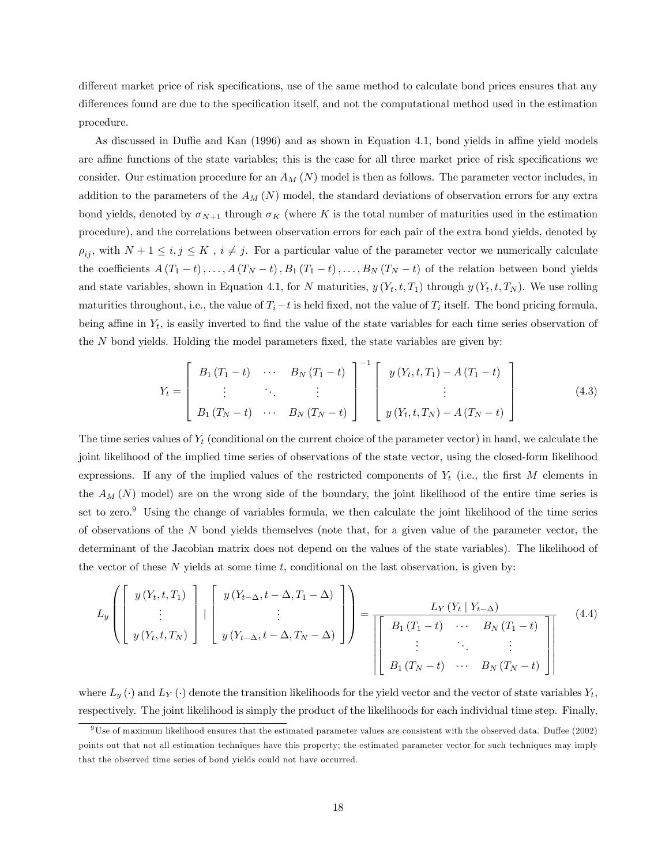different market price of risk specifications, use of the same method to calculate bond prices ensures that any differences found are due to the specification itself, and not the computational method used in the estimation procedure.

As discussed in Duffie and Kan (1996) and as shown in Equation 4.1, bond yields in affine yield models are affine functions of the state variables; this is the case for all three market price of risk specifications we consider. Our estimation procedure for an  $A_M(N)$  model is then as follows. The parameter vector includes, in addition to the parameters of the  $A_M(N)$  model, the standard deviations of observation errors for any extra bond yields, denoted by  $\sigma_{N+1}$  through  $\sigma_K$  (where K is the total number of maturities used in the estimation procedure), and the correlations between observation errors for each pair of the extra bond yields, denoted by  $\rho_{ij}$ , with  $N+1 \leq i,j \leq K$ ,  $i \neq j$ . For a particular value of the parameter vector we numerically calculate the coefficients  $A(T_1-t),...,A(T_N-t),B_1(T_1-t),...,B_N(T_N-t)$  of the relation between bond yields and state variables, shown in Equation 4.1, for N maturities,  $y(Y_t, t, T_1)$  through  $y(Y_t, t, T_N)$ . We use rolling maturities throughout, i.e., the value of  $T_i - t$  is held fixed, not the value of  $T_i$  itself. The bond pricing formula, being affine in  $Y_t$ , is easily inverted to find the value of the state variables for each time series observation of the  $N$  bond yields. Holding the model parameters fixed, the state variables are given by:

$$
Y_{t} = \begin{bmatrix} B_{1}(T_{1} - t) & \cdots & B_{N}(T_{1} - t) \\ \vdots & \ddots & \vdots \\ B_{1}(T_{N} - t) & \cdots & B_{N}(T_{N} - t) \end{bmatrix}^{-1} \begin{bmatrix} y(Y_{t}, t, T_{1}) - A(T_{1} - t) \\ \vdots \\ y(Y_{t}, t, T_{N}) - A(T_{N} - t) \end{bmatrix}
$$
(4.3)

The time series values of  $Y_t$  (conditional on the current choice of the parameter vector) in hand, we calculate the joint likelihood of the implied time series of observations of the state vector, using the closed-form likelihood expressions. If any of the implied values of the restricted components of  $Y_t$  (i.e., the first M elements in the  $A_M(N)$  model) are on the wrong side of the boundary, the joint likelihood of the entire time series is set to zero.<sup>9</sup> Using the change of variables formula, we then calculate the joint likelihood of the time series of observations of the N bond yields themselves (note that, for a given value of the parameter vector, the determinant of the Jacobian matrix does not depend on the values of the state variables). The likelihood of the vector of these  $N$  yields at some time  $t$ , conditional on the last observation, is given by:

$$
L_y\left(\left[\begin{array}{c}y\left(Y_t, t, T_1\right) \\ \vdots \\ y\left(Y_t, t, T_N\right)\end{array}\right] \mid \left[\begin{array}{c}y\left(Y_{t-\Delta}, t-\Delta, T_1-\Delta\right) \\ \vdots \\ y\left(Y_{t-\Delta}, t-\Delta, T_N-\Delta\right)\end{array}\right]\right) = \frac{L_Y\left(Y_t \mid Y_{t-\Delta}\right)}{\left[\left[\begin{array}{cccc}B_1\left(T_1-t\right) & \cdots & B_N\left(T_1-t\right) \\ \vdots & \ddots & \vdots \\ B_1\left(T_N-t\right) & \cdots & B_N\left(T_N-t\right)\end{array}\right]\right]} \tag{4.4}
$$

where  $L_y(\cdot)$  and  $L_Y(\cdot)$  denote the transition likelihoods for the yield vector and the vector of state variables  $Y_t$ , respectively. The joint likelihood is simply the product of the likelihoods for each individual time step. Finally,

 $9$ Use of maximum likelihood ensures that the estimated parameter values are consistent with the observed data. Duffee (2002) points out that not all estimation techniques have this property; the estimated parameter vector for such techniques may imply that the observed time series of bond yields could not have occurred.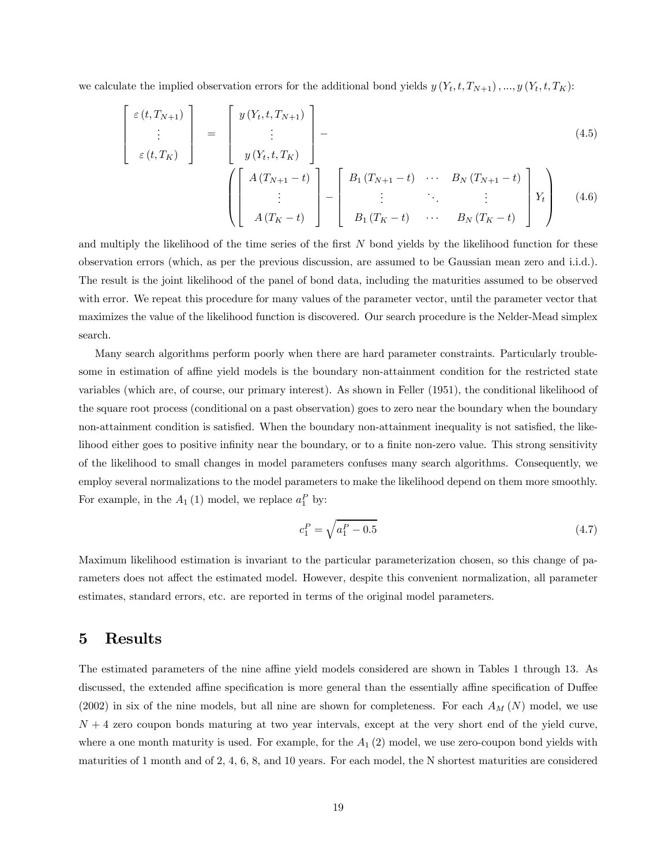we calculate the implied observation errors for the additional bond yields  $y(Y_t, t, T_{N+1}), ..., y(Y_t, t, T_K)$ :

$$
\begin{bmatrix}\n\varepsilon(t, T_{N+1}) \\
\vdots \\
\varepsilon(t, T_K)\n\end{bmatrix} = \begin{bmatrix}\ny(Y_t, t, T_{N+1}) \\
\vdots \\
y(Y_t, t, T_K)\n\end{bmatrix} - (4.5)
$$

$$
\left(\begin{bmatrix} A(T_{N+1}-t) \\ \vdots \\ A(T_{K}-t) \end{bmatrix} - \begin{bmatrix} B_{1}(T_{N+1}-t) & \cdots & B_{N}(T_{N+1}-t) \\ \vdots & \ddots & \vdots \\ B_{1}(T_{K}-t) & \cdots & B_{N}(T_{K}-t) \end{bmatrix} Y_{t} \right)
$$
(4.6)

and multiply the likelihood of the time series of the first N bond yields by the likelihood function for these observation errors (which, as per the previous discussion, are assumed to be Gaussian mean zero and i.i.d.). The result is the joint likelihood of the panel of bond data, including the maturities assumed to be observed with error. We repeat this procedure for many values of the parameter vector, until the parameter vector that maximizes the value of the likelihood function is discovered. Our search procedure is the Nelder-Mead simplex search.

Many search algorithms perform poorly when there are hard parameter constraints. Particularly troublesome in estimation of affine yield models is the boundary non-attainment condition for the restricted state variables (which are, of course, our primary interest). As shown in Feller (1951), the conditional likelihood of the square root process (conditional on a past observation) goes to zero near the boundary when the boundary non-attainment condition is satisfied. When the boundary non-attainment inequality is not satisfied, the likelihood either goes to positive infinity near the boundary, or to a finite non-zero value. This strong sensitivity of the likelihood to small changes in model parameters confuses many search algorithms. Consequently, we employ several normalizations to the model parameters to make the likelihood depend on them more smoothly. For example, in the  $A_1(1)$  model, we replace  $a_1^P$  by:

$$
c_1^P = \sqrt{a_1^P - 0.5} \tag{4.7}
$$

Maximum likelihood estimation is invariant to the particular parameterization chosen, so this change of parameters does not affect the estimated model. However, despite this convenient normalization, all parameter estimates, standard errors, etc. are reported in terms of the original model parameters.

### 5 Results

The estimated parameters of the nine affine yield models considered are shown in Tables 1 through 13. As discussed, the extended affine specification is more general than the essentially affine specification of Duffee  $(2002)$  in six of the nine models, but all nine are shown for completeness. For each  $A_M(N)$  model, we use  $N + 4$  zero coupon bonds maturing at two year intervals, except at the very short end of the yield curve, where a one month maturity is used. For example, for the  $A_1$  (2) model, we use zero-coupon bond yields with maturities of 1 month and of 2, 4, 6, 8, and 10 years. For each model, the N shortest maturities are considered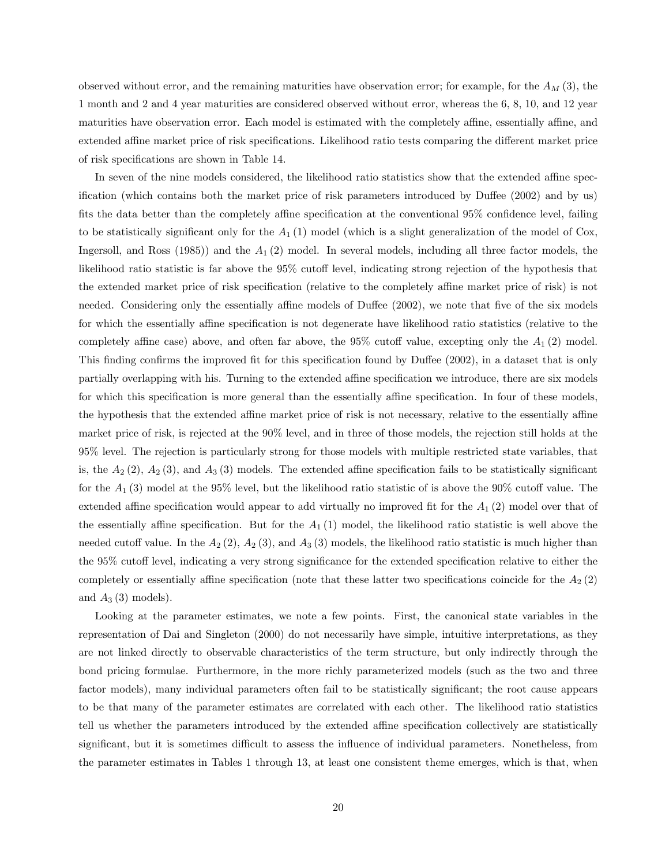observed without error, and the remaining maturities have observation error; for example, for the  $A_M$  (3), the 1 month and 2 and 4 year maturities are considered observed without error, whereas the 6, 8, 10, and 12 year maturities have observation error. Each model is estimated with the completely affine, essentially affine, and extended affine market price of risk specifications. Likelihood ratio tests comparing the different market price of risk specifications are shown in Table 14.

In seven of the nine models considered, the likelihood ratio statistics show that the extended affine specification (which contains both the market price of risk parameters introduced by Duffee (2002) and by us) fits the data better than the completely affine specification at the conventional 95% confidence level, failing to be statistically significant only for the  $A_1$  (1) model (which is a slight generalization of the model of Cox, Ingersoll, and Ross  $(1985)$ ) and the  $A_1(2)$  model. In several models, including all three factor models, the likelihood ratio statistic is far above the 95% cutoff level, indicating strong rejection of the hypothesis that the extended market price of risk specification (relative to the completely affine market price of risk) is not needed. Considering only the essentially affine models of Duffee (2002), we note that five of the six models for which the essentially affine specification is not degenerate have likelihood ratio statistics (relative to the completely affine case) above, and often far above, the  $95\%$  cutoff value, excepting only the  $A_1$  (2) model. This finding confirms the improved fit for this specification found by Duffee (2002), in a dataset that is only partially overlapping with his. Turning to the extended affine specification we introduce, there are six models for which this specification is more general than the essentially affine specification. In four of these models, the hypothesis that the extended affine market price of risk is not necessary, relative to the essentially affine market price of risk, is rejected at the 90% level, and in three of those models, the rejection still holds at the 95% level. The rejection is particularly strong for those models with multiple restricted state variables, that is, the  $A_2$  (2),  $A_2$  (3), and  $A_3$  (3) models. The extended affine specification fails to be statistically significant for the  $A_1$  (3) model at the 95% level, but the likelihood ratio statistic of is above the 90% cutoff value. The extended affine specification would appear to add virtually no improved fit for the  $A_1$  (2) model over that of the essentially affine specification. But for the  $A_1(1)$  model, the likelihood ratio statistic is well above the needed cutoff value. In the  $A_2(2)$ ,  $A_2(3)$ , and  $A_3(3)$  models, the likelihood ratio statistic is much higher than the 95% cutoff level, indicating a very strong significance for the extended specification relative to either the completely or essentially affine specification (note that these latter two specifications coincide for the  $A_2$  (2) and  $A_3(3)$  models).

Looking at the parameter estimates, we note a few points. First, the canonical state variables in the representation of Dai and Singleton (2000) do not necessarily have simple, intuitive interpretations, as they are not linked directly to observable characteristics of the term structure, but only indirectly through the bond pricing formulae. Furthermore, in the more richly parameterized models (such as the two and three factor models), many individual parameters often fail to be statistically significant; the root cause appears to be that many of the parameter estimates are correlated with each other. The likelihood ratio statistics tell us whether the parameters introduced by the extended affine specification collectively are statistically significant, but it is sometimes difficult to assess the influence of individual parameters. Nonetheless, from the parameter estimates in Tables 1 through 13, at least one consistent theme emerges, which is that, when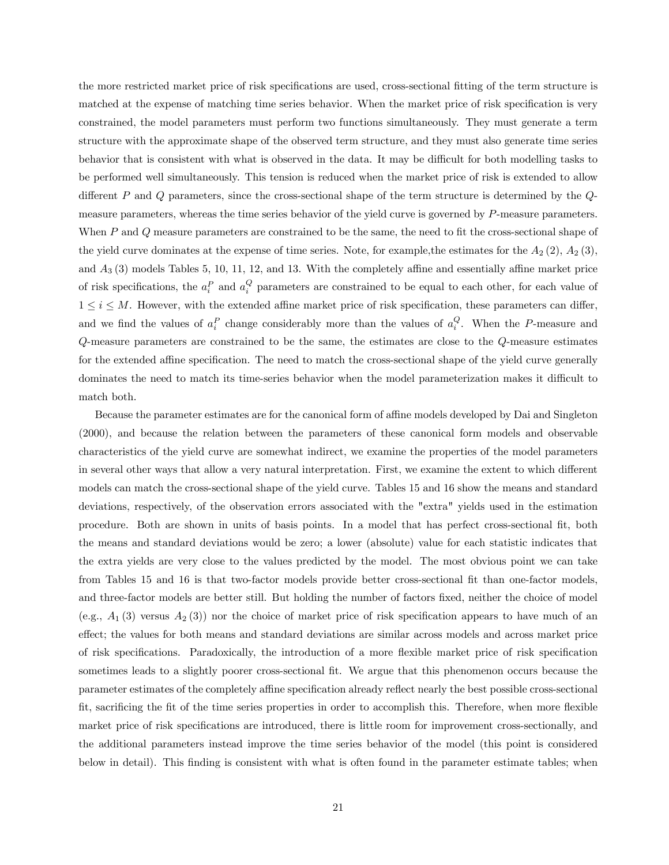the more restricted market price of risk specifications are used, cross-sectional fitting of the term structure is matched at the expense of matching time series behavior. When the market price of risk specification is very constrained, the model parameters must perform two functions simultaneously. They must generate a term structure with the approximate shape of the observed term structure, and they must also generate time series behavior that is consistent with what is observed in the data. It may be difficult for both modelling tasks to be performed well simultaneously. This tension is reduced when the market price of risk is extended to allow different P and Q parameters, since the cross-sectional shape of the term structure is determined by the Qmeasure parameters, whereas the time series behavior of the yield curve is governed by P-measure parameters. When P and Q measure parameters are constrained to be the same, the need to fit the cross-sectional shape of the yield curve dominates at the expense of time series. Note, for example, the estimates for the  $A_2$  (2),  $A_2$  (3), and  $A_3$  (3) models Tables 5, 10, 11, 12, and 13. With the completely affine and essentially affine market price of risk specifications, the  $a_i^P$  and  $a_i^Q$  parameters are constrained to be equal to each other, for each value of  $1 \leq i \leq M$ . However, with the extended affine market price of risk specification, these parameters can differ, and we find the values of  $a_i^P$  change considerably more than the values of  $a_i^Q$ . When the P-measure and Q-measure parameters are constrained to be the same, the estimates are close to the Q-measure estimates for the extended affine specification. The need to match the cross-sectional shape of the yield curve generally dominates the need to match its time-series behavior when the model parameterization makes it difficult to match both.

Because the parameter estimates are for the canonical form of affine models developed by Dai and Singleton (2000), and because the relation between the parameters of these canonical form models and observable characteristics of the yield curve are somewhat indirect, we examine the properties of the model parameters in several other ways that allow a very natural interpretation. First, we examine the extent to which different models can match the cross-sectional shape of the yield curve. Tables 15 and 16 show the means and standard deviations, respectively, of the observation errors associated with the "extra" yields used in the estimation procedure. Both are shown in units of basis points. In a model that has perfect cross-sectional fit, both the means and standard deviations would be zero; a lower (absolute) value for each statistic indicates that the extra yields are very close to the values predicted by the model. The most obvious point we can take from Tables 15 and 16 is that two-factor models provide better cross-sectional fit than one-factor models, and three-factor models are better still. But holding the number of factors fixed, neither the choice of model (e.g.,  $A_1$  (3) versus  $A_2$  (3)) nor the choice of market price of risk specification appears to have much of an effect; the values for both means and standard deviations are similar across models and across market price of risk specifications. Paradoxically, the introduction of a more flexible market price of risk specification sometimes leads to a slightly poorer cross-sectional fit. We argue that this phenomenon occurs because the parameter estimates of the completely affine specification already reflect nearly the best possible cross-sectional fit, sacrificing the fit of the time series properties in order to accomplish this. Therefore, when more flexible market price of risk specifications are introduced, there is little room for improvement cross-sectionally, and the additional parameters instead improve the time series behavior of the model (this point is considered below in detail). This finding is consistent with what is often found in the parameter estimate tables; when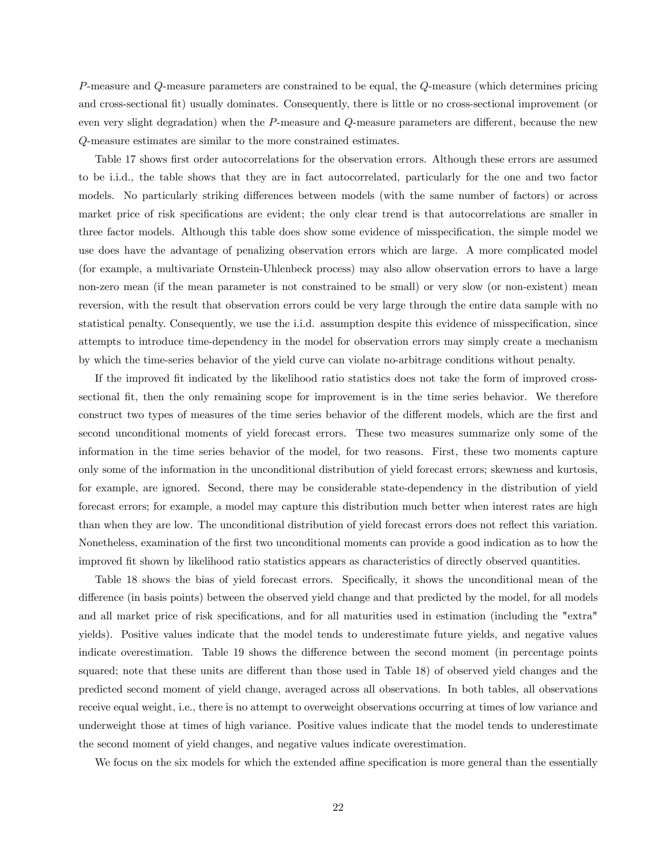P-measure and Q-measure parameters are constrained to be equal, the Q-measure (which determines pricing and cross-sectional fit) usually dominates. Consequently, there is little or no cross-sectional improvement (or even very slight degradation) when the P-measure and Q-measure parameters are different, because the new Q-measure estimates are similar to the more constrained estimates.

Table 17 shows first order autocorrelations for the observation errors. Although these errors are assumed to be i.i.d., the table shows that they are in fact autocorrelated, particularly for the one and two factor models. No particularly striking differences between models (with the same number of factors) or across market price of risk specifications are evident; the only clear trend is that autocorrelations are smaller in three factor models. Although this table does show some evidence of misspecification, the simple model we use does have the advantage of penalizing observation errors which are large. A more complicated model (for example, a multivariate Ornstein-Uhlenbeck process) may also allow observation errors to have a large non-zero mean (if the mean parameter is not constrained to be small) or very slow (or non-existent) mean reversion, with the result that observation errors could be very large through the entire data sample with no statistical penalty. Consequently, we use the i.i.d. assumption despite this evidence of misspecification, since attempts to introduce time-dependency in the model for observation errors may simply create a mechanism by which the time-series behavior of the yield curve can violate no-arbitrage conditions without penalty.

If the improved fit indicated by the likelihood ratio statistics does not take the form of improved crosssectional fit, then the only remaining scope for improvement is in the time series behavior. We therefore construct two types of measures of the time series behavior of the different models, which are the first and second unconditional moments of yield forecast errors. These two measures summarize only some of the information in the time series behavior of the model, for two reasons. First, these two moments capture only some of the information in the unconditional distribution of yield forecast errors; skewness and kurtosis, for example, are ignored. Second, there may be considerable state-dependency in the distribution of yield forecast errors; for example, a model may capture this distribution much better when interest rates are high than when they are low. The unconditional distribution of yield forecast errors does not reflect this variation. Nonetheless, examination of the first two unconditional moments can provide a good indication as to how the improved fit shown by likelihood ratio statistics appears as characteristics of directly observed quantities.

Table 18 shows the bias of yield forecast errors. Specifically, it shows the unconditional mean of the difference (in basis points) between the observed yield change and that predicted by the model, for all models and all market price of risk specifications, and for all maturities used in estimation (including the "extra" yields). Positive values indicate that the model tends to underestimate future yields, and negative values indicate overestimation. Table 19 shows the difference between the second moment (in percentage points squared; note that these units are different than those used in Table 18) of observed yield changes and the predicted second moment of yield change, averaged across all observations. In both tables, all observations receive equal weight, i.e., there is no attempt to overweight observations occurring at times of low variance and underweight those at times of high variance. Positive values indicate that the model tends to underestimate the second moment of yield changes, and negative values indicate overestimation.

We focus on the six models for which the extended affine specification is more general than the essentially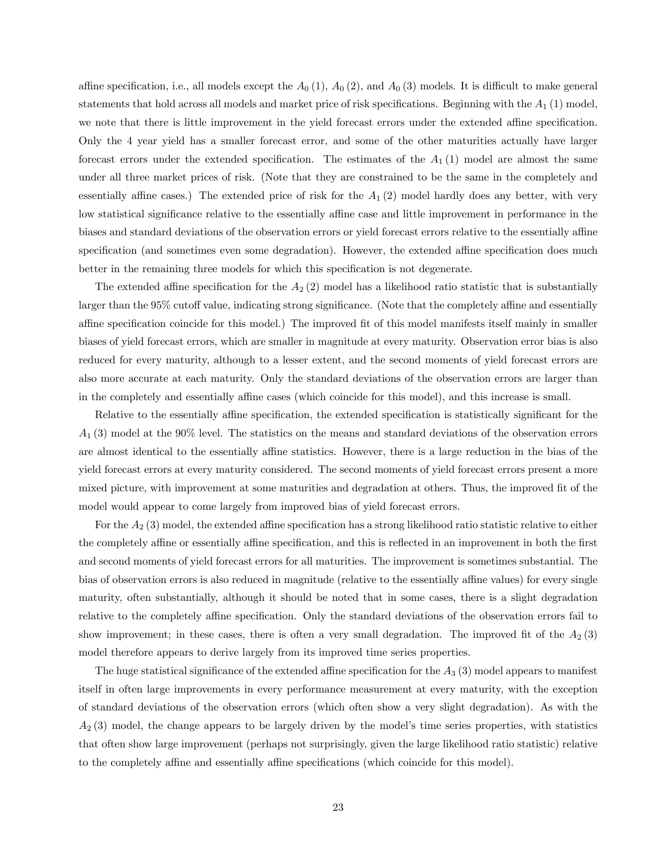affine specification, i.e., all models except the  $A_0(1)$ ,  $A_0(2)$ , and  $A_0(3)$  models. It is difficult to make general statements that hold across all models and market price of risk specifications. Beginning with the  $A_1$  (1) model, we note that there is little improvement in the yield forecast errors under the extended affine specification. Only the 4 year yield has a smaller forecast error, and some of the other maturities actually have larger forecast errors under the extended specification. The estimates of the  $A_1(1)$  model are almost the same under all three market prices of risk. (Note that they are constrained to be the same in the completely and essentially affine cases.) The extended price of risk for the  $A_1(2)$  model hardly does any better, with very low statistical significance relative to the essentially affine case and little improvement in performance in the biases and standard deviations of the observation errors or yield forecast errors relative to the essentially affine specification (and sometimes even some degradation). However, the extended affine specification does much better in the remaining three models for which this specification is not degenerate.

The extended affine specification for the  $A_2(2)$  model has a likelihood ratio statistic that is substantially larger than the 95% cutoff value, indicating strong significance. (Note that the completely affine and essentially affine specification coincide for this model.) The improved fit of this model manifests itself mainly in smaller biases of yield forecast errors, which are smaller in magnitude at every maturity. Observation error bias is also reduced for every maturity, although to a lesser extent, and the second moments of yield forecast errors are also more accurate at each maturity. Only the standard deviations of the observation errors are larger than in the completely and essentially affine cases (which coincide for this model), and this increase is small.

Relative to the essentially affine specification, the extended specification is statistically significant for the  $A_1$  (3) model at the 90% level. The statistics on the means and standard deviations of the observation errors are almost identical to the essentially affine statistics. However, there is a large reduction in the bias of the yield forecast errors at every maturity considered. The second moments of yield forecast errors present a more mixed picture, with improvement at some maturities and degradation at others. Thus, the improved fit of the model would appear to come largely from improved bias of yield forecast errors.

For the  $A_2$  (3) model, the extended affine specification has a strong likelihood ratio statistic relative to either the completely affine or essentially affine specification, and this is reflected in an improvement in both the first and second moments of yield forecast errors for all maturities. The improvement is sometimes substantial. The bias of observation errors is also reduced in magnitude (relative to the essentially affine values) for every single maturity, often substantially, although it should be noted that in some cases, there is a slight degradation relative to the completely affine specification. Only the standard deviations of the observation errors fail to show improvement; in these cases, there is often a very small degradation. The improved fit of the  $A_2(3)$ model therefore appears to derive largely from its improved time series properties.

The huge statistical significance of the extended affine specification for the  $A_3$  (3) model appears to manifest itself in often large improvements in every performance measurement at every maturity, with the exception of standard deviations of the observation errors (which often show a very slight degradation). As with the  $A_2$  (3) model, the change appears to be largely driven by the model's time series properties, with statistics that often show large improvement (perhaps not surprisingly, given the large likelihood ratio statistic) relative to the completely affine and essentially affine specifications (which coincide for this model).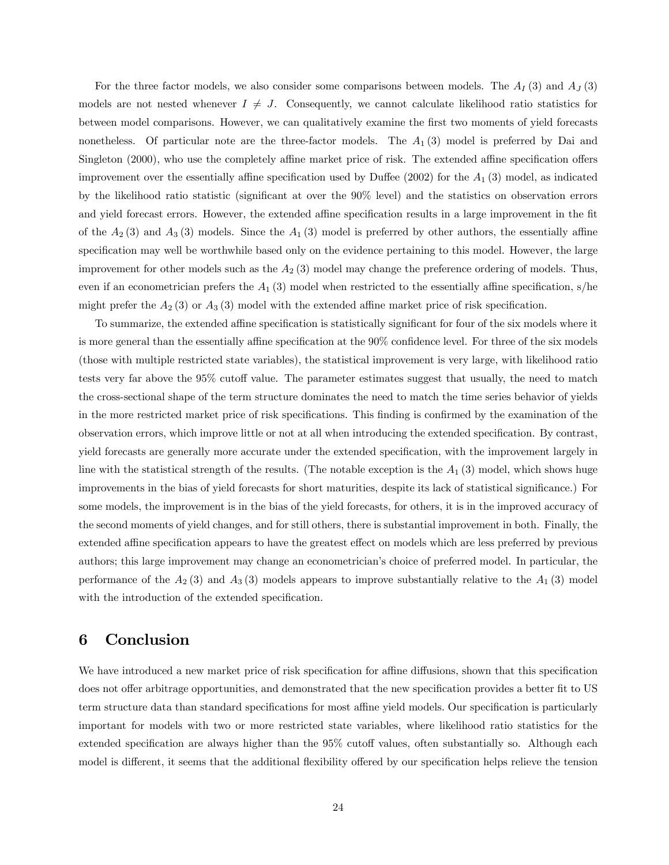For the three factor models, we also consider some comparisons between models. The  $A_I(3)$  and  $A_J(3)$ models are not nested whenever  $I \neq J$ . Consequently, we cannot calculate likelihood ratio statistics for between model comparisons. However, we can qualitatively examine the first two moments of yield forecasts nonetheless. Of particular note are the three-factor models. The  $A_1(3)$  model is preferred by Dai and Singleton (2000), who use the completely affine market price of risk. The extended affine specification offers improvement over the essentially affine specification used by Duffee (2002) for the  $A_1$  (3) model, as indicated by the likelihood ratio statistic (significant at over the 90% level) and the statistics on observation errors and yield forecast errors. However, the extended affine specification results in a large improvement in the fit of the  $A_2$  (3) and  $A_3$  (3) models. Since the  $A_1$  (3) model is preferred by other authors, the essentially affine specification may well be worthwhile based only on the evidence pertaining to this model. However, the large improvement for other models such as the  $A_2$  (3) model may change the preference ordering of models. Thus, even if an econometrician prefers the  $A_1$  (3) model when restricted to the essentially affine specification, s/he might prefer the  $A_2(3)$  or  $A_3(3)$  model with the extended affine market price of risk specification.

To summarize, the extended affine specification is statistically significant for four of the six models where it is more general than the essentially affine specification at the 90% confidence level. For three of the six models (those with multiple restricted state variables), the statistical improvement is very large, with likelihood ratio tests very far above the 95% cutoff value. The parameter estimates suggest that usually, the need to match the cross-sectional shape of the term structure dominates the need to match the time series behavior of yields in the more restricted market price of risk specifications. This finding is confirmed by the examination of the observation errors, which improve little or not at all when introducing the extended specification. By contrast, yield forecasts are generally more accurate under the extended specification, with the improvement largely in line with the statistical strength of the results. (The notable exception is the  $A_1(3)$  model, which shows huge improvements in the bias of yield forecasts for short maturities, despite its lack of statistical significance.) For some models, the improvement is in the bias of the yield forecasts, for others, it is in the improved accuracy of the second moments of yield changes, and for still others, there is substantial improvement in both. Finally, the extended affine specification appears to have the greatest effect on models which are less preferred by previous authors; this large improvement may change an econometrician's choice of preferred model. In particular, the performance of the  $A_2$  (3) and  $A_3$  (3) models appears to improve substantially relative to the  $A_1$  (3) model with the introduction of the extended specification.

### 6 Conclusion

We have introduced a new market price of risk specification for affine diffusions, shown that this specification does not offer arbitrage opportunities, and demonstrated that the new specification provides a better fit to US term structure data than standard specifications for most affine yield models. Our specification is particularly important for models with two or more restricted state variables, where likelihood ratio statistics for the extended specification are always higher than the 95% cutoff values, often substantially so. Although each model is different, it seems that the additional flexibility offered by our specification helps relieve the tension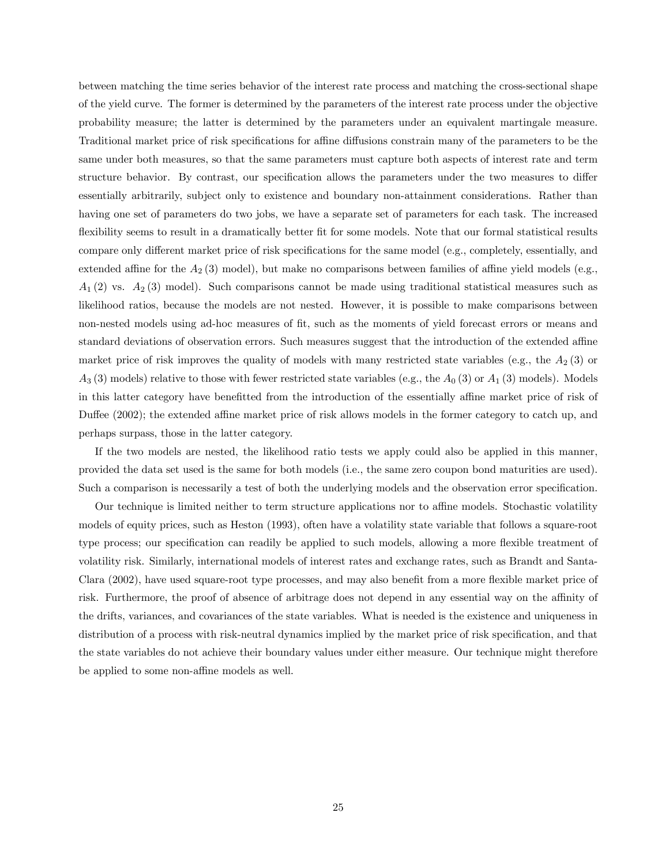between matching the time series behavior of the interest rate process and matching the cross-sectional shape of the yield curve. The former is determined by the parameters of the interest rate process under the objective probability measure; the latter is determined by the parameters under an equivalent martingale measure. Traditional market price of risk specifications for affine diffusions constrain many of the parameters to be the same under both measures, so that the same parameters must capture both aspects of interest rate and term structure behavior. By contrast, our specification allows the parameters under the two measures to differ essentially arbitrarily, subject only to existence and boundary non-attainment considerations. Rather than having one set of parameters do two jobs, we have a separate set of parameters for each task. The increased flexibility seems to result in a dramatically better fit for some models. Note that our formal statistical results compare only different market price of risk specifications for the same model (e.g., completely, essentially, and extended affine for the  $A_2$  (3) model), but make no comparisons between families of affine yield models (e.g.,  $A_1$  (2) vs.  $A_2$  (3) model). Such comparisons cannot be made using traditional statistical measures such as likelihood ratios, because the models are not nested. However, it is possible to make comparisons between non-nested models using ad-hoc measures of fit, such as the moments of yield forecast errors or means and standard deviations of observation errors. Such measures suggest that the introduction of the extended affine market price of risk improves the quality of models with many restricted state variables (e.g., the  $A_2(3)$  or  $A_3$  (3) models) relative to those with fewer restricted state variables (e.g., the  $A_0$  (3) or  $A_1$  (3) models). Models in this latter category have benefitted from the introduction of the essentially affine market price of risk of Duffee (2002); the extended affine market price of risk allows models in the former category to catch up, and perhaps surpass, those in the latter category.

If the two models are nested, the likelihood ratio tests we apply could also be applied in this manner, provided the data set used is the same for both models (i.e., the same zero coupon bond maturities are used). Such a comparison is necessarily a test of both the underlying models and the observation error specification.

Our technique is limited neither to term structure applications nor to affine models. Stochastic volatility models of equity prices, such as Heston (1993), often have a volatility state variable that follows a square-root type process; our specification can readily be applied to such models, allowing a more flexible treatment of volatility risk. Similarly, international models of interest rates and exchange rates, such as Brandt and Santa-Clara (2002), have used square-root type processes, and may also benefit from a more flexible market price of risk. Furthermore, the proof of absence of arbitrage does not depend in any essential way on the affinity of the drifts, variances, and covariances of the state variables. What is needed is the existence and uniqueness in distribution of a process with risk-neutral dynamics implied by the market price of risk specification, and that the state variables do not achieve their boundary values under either measure. Our technique might therefore be applied to some non-affine models as well.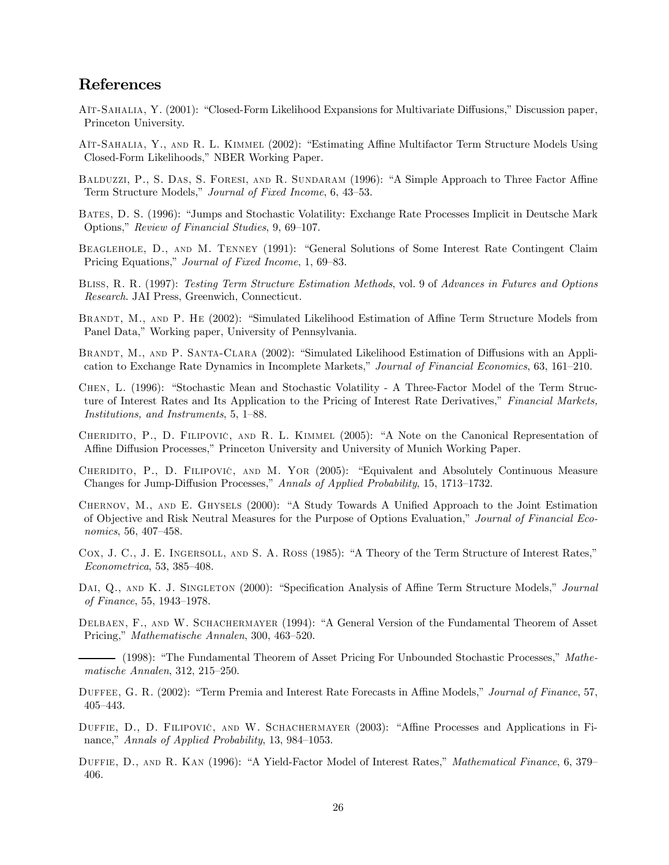# References

Aït-Sahalia, Y. (2001): "Closed-Form Likelihood Expansions for Multivariate Diffusions," Discussion paper, Princeton University.

- Aït-Sahalia, Y., and R. L. Kimmel (2002): "Estimating Affine Multifactor Term Structure Models Using Closed-Form Likelihoods," NBER Working Paper.
- Balduzzi, P., S. Das, S. Foresi, and R. Sundaram (1996): "A Simple Approach to Three Factor Affine Term Structure Models," Journal of Fixed Income, 6, 43—53.
- Bates, D. S. (1996): "Jumps and Stochastic Volatility: Exchange Rate Processes Implicit in Deutsche Mark Options," Review of Financial Studies, 9, 69—107.
- BEAGLEHOLE, D., AND M. TENNEY (1991): "General Solutions of Some Interest Rate Contingent Claim Pricing Equations," Journal of Fixed Income, 1, 69—83.
- Bliss, R. R. (1997): Testing Term Structure Estimation Methods, vol. 9 of Advances in Futures and Options Research. JAI Press, Greenwich, Connecticut.
- BRANDT, M., AND P. HE (2002): "Simulated Likelihood Estimation of Affine Term Structure Models from Panel Data," Working paper, University of Pennsylvania.
- BRANDT, M., AND P. SANTA-CLARA (2002): "Simulated Likelihood Estimation of Diffusions with an Application to Exchange Rate Dynamics in Incomplete Markets," Journal of Financial Economics, 63, 161—210.
- Chen, L. (1996): "Stochastic Mean and Stochastic Volatility A Three-Factor Model of the Term Structure of Interest Rates and Its Application to the Pricing of Interest Rate Derivatives," Financial Markets, Institutions, and Instruments, 5, 1—88.
- CHERIDITO, P., D. FILIPOVIC, AND R. L. KIMMEL (2005): "A Note on the Canonical Representation of Affine Diffusion Processes," Princeton University and University of Munich Working Paper.
- CHERIDITO, P., D. FILIPOVIC, AND M. YOR (2005): "Equivalent and Absolutely Continuous Measure Changes for Jump-Diffusion Processes," Annals of Applied Probability, 15, 1713—1732.
- Chernov, M., and E. Ghysels (2000): "A Study Towards A Unified Approach to the Joint Estimation of Objective and Risk Neutral Measures for the Purpose of Options Evaluation," Journal of Financial Economics, 56, 407—458.
- Cox, J. C., J. E. Ingersoll, and S. A. Ross (1985): "A Theory of the Term Structure of Interest Rates," Econometrica, 53, 385—408.
- DAI, Q., AND K. J. SINGLETON (2000): "Specification Analysis of Affine Term Structure Models," Journal of Finance, 55, 1943—1978.
- DELBAEN, F., AND W. SCHACHERMAYER (1994): "A General Version of the Fundamental Theorem of Asset Pricing," Mathematische Annalen, 300, 463—520.
- (1998): "The Fundamental Theorem of Asset Pricing For Unbounded Stochastic Processes," Mathematische Annalen, 312, 215—250.
- Duffee, G. R. (2002): "Term Premia and Interest Rate Forecasts in Affine Models," Journal of Finance, 57, 405—443.
- DUFFIE, D., D. FILIPOVIC, AND W. SCHACHERMAYER (2003): "Affine Processes and Applications in Finance," Annals of Applied Probability, 13, 984—1053.
- DUFFIE, D., AND R. KAN (1996): "A Yield-Factor Model of Interest Rates," Mathematical Finance, 6, 379– 406.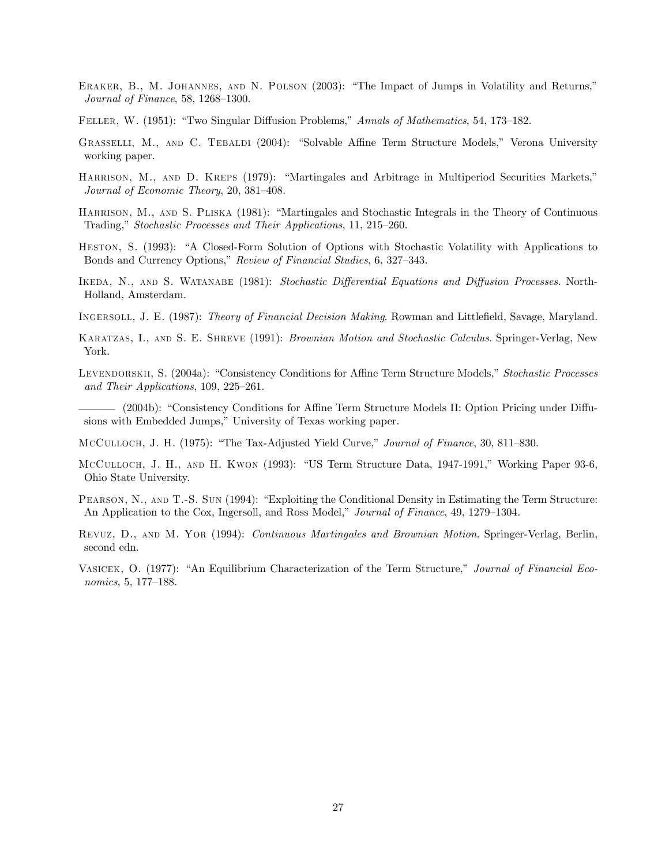- ERAKER, B., M. JOHANNES, AND N. POLSON (2003): "The Impact of Jumps in Volatility and Returns," Journal of Finance, 58, 1268—1300.
- Feller, W. (1951): "Two Singular Diffusion Problems," Annals of Mathematics, 54, 173—182.
- Grasselli, M., and C. Tebaldi (2004): "Solvable Affine Term Structure Models," Verona University working paper.
- HARRISON, M., AND D. KREPS (1979): "Martingales and Arbitrage in Multiperiod Securities Markets," Journal of Economic Theory, 20, 381—408.
- HARRISON, M., AND S. PLISKA (1981): "Martingales and Stochastic Integrals in the Theory of Continuous Trading," Stochastic Processes and Their Applications, 11, 215—260.
- Heston, S. (1993): "A Closed-Form Solution of Options with Stochastic Volatility with Applications to Bonds and Currency Options," Review of Financial Studies, 6, 327—343.
- Ikeda, N., and S. Watanabe (1981): Stochastic Differential Equations and Diffusion Processes. North-Holland, Amsterdam.
- Ingersoll, J. E. (1987): Theory of Financial Decision Making. Rowman and Littlefield, Savage, Maryland.
- Karatzas, I., and S. E. Shreve (1991): Brownian Motion and Stochastic Calculus. Springer-Verlag, New York.
- LEVENDORSKII, S. (2004a): "Consistency Conditions for Affine Term Structure Models," Stochastic Processes and Their Applications, 109, 225—261.
- (2004b): "Consistency Conditions for Affine Term Structure Models II: Option Pricing under Diffusions with Embedded Jumps," University of Texas working paper.
- McCulloch, J. H. (1975): "The Tax-Adjusted Yield Curve," Journal of Finance, 30, 811—830.
- McCulloch, J. H., and H. Kwon (1993): "US Term Structure Data, 1947-1991," Working Paper 93-6, Ohio State University.
- Pearson, N., and T.-S. Sun (1994): "Exploiting the Conditional Density in Estimating the Term Structure: An Application to the Cox, Ingersoll, and Ross Model," Journal of Finance, 49, 1279—1304.
- Revuz, D., and M. Yor (1994): Continuous Martingales and Brownian Motion. Springer-Verlag, Berlin, second edn.
- Vasicek, O. (1977): "An Equilibrium Characterization of the Term Structure," Journal of Financial Economics, 5, 177—188.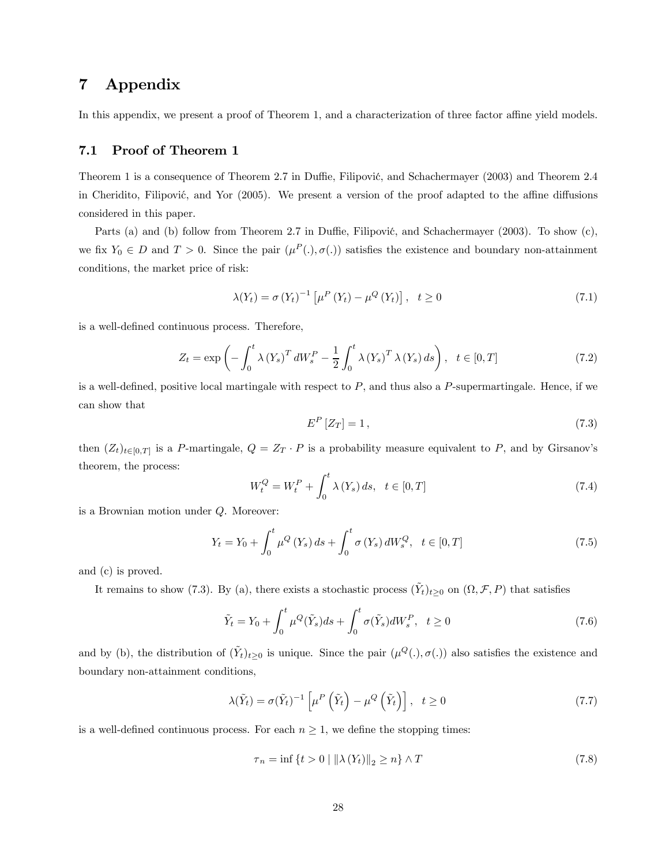# 7 Appendix

In this appendix, we present a proof of Theorem 1, and a characterization of three factor affine yield models.

#### 7.1 Proof of Theorem 1

Theorem 1 is a consequence of Theorem 2.7 in Duffie, Filipović, and Schachermayer (2003) and Theorem 2.4 in Cheridito, Filipović, and Yor (2005). We present a version of the proof adapted to the affine diffusions considered in this paper.

Parts (a) and (b) follow from Theorem 2.7 in Duffie, Filipović, and Schachermayer (2003). To show  $(c)$ , we fix  $Y_0 \in D$  and  $T > 0$ . Since the pair  $(\mu^P(.), \sigma(.))$  satisfies the existence and boundary non-attainment conditions, the market price of risk:

$$
\lambda(Y_t) = \sigma(Y_t)^{-1} \left[ \mu^P(Y_t) - \mu^Q(Y_t) \right], \quad t \ge 0 \tag{7.1}
$$

is a well-defined continuous process. Therefore,

$$
Z_t = \exp\left(-\int_0^t \lambda \left(Y_s\right)^T dW_s^P - \frac{1}{2} \int_0^t \lambda \left(Y_s\right)^T \lambda \left(Y_s\right) ds\right), \quad t \in [0, T] \tag{7.2}
$$

is a well-defined, positive local martingale with respect to  $P$ , and thus also a  $P$ -supermartingale. Hence, if we can show that

$$
E^{P}[Z_T] = 1, \t\t(7.3)
$$

then  $(Z_t)_{t\in[0,T]}$  is a P-martingale,  $Q = Z_T \cdot P$  is a probability measure equivalent to P, and by Girsanov's theorem, the process:

$$
W_t^Q = W_t^P + \int_0^t \lambda(Y_s) \, ds, \ \ t \in [0, T] \tag{7.4}
$$

is a Brownian motion under Q. Moreover:

$$
Y_{t} = Y_{0} + \int_{0}^{t} \mu^{Q} \left( Y_{s} \right) ds + \int_{0}^{t} \sigma \left( Y_{s} \right) dW_{s}^{Q}, \quad t \in [0, T]
$$
\n(7.5)

and (c) is proved.

It remains to show (7.3). By (a), there exists a stochastic process  $(Y_t)_{t\geq0}$  on  $(\Omega, \mathcal{F}, P)$  that satisfies

$$
\tilde{Y}_t = Y_0 + \int_0^t \mu^Q(\tilde{Y}_s)ds + \int_0^t \sigma(\tilde{Y}_s)dW_s^P, \quad t \ge 0
$$
\n(7.6)

and by (b), the distribution of  $(\tilde{Y}_t)_{t\geq 0}$  is unique. Since the pair  $(\mu^Q(.),\sigma(.)$  also satisfies the existence and boundary non-attainment conditions,

$$
\lambda(\tilde{Y}_t) = \sigma(\tilde{Y}_t)^{-1} \left[ \mu^P \left( \tilde{Y}_t \right) - \mu^Q \left( \tilde{Y}_t \right) \right], \quad t \ge 0 \tag{7.7}
$$

is a well-defined continuous process. For each  $n \geq 1$ , we define the stopping times:

$$
\tau_n = \inf \left\{ t > 0 \mid \left\| \lambda \left( Y_t \right) \right\|_2 \ge n \right\} \wedge T \tag{7.8}
$$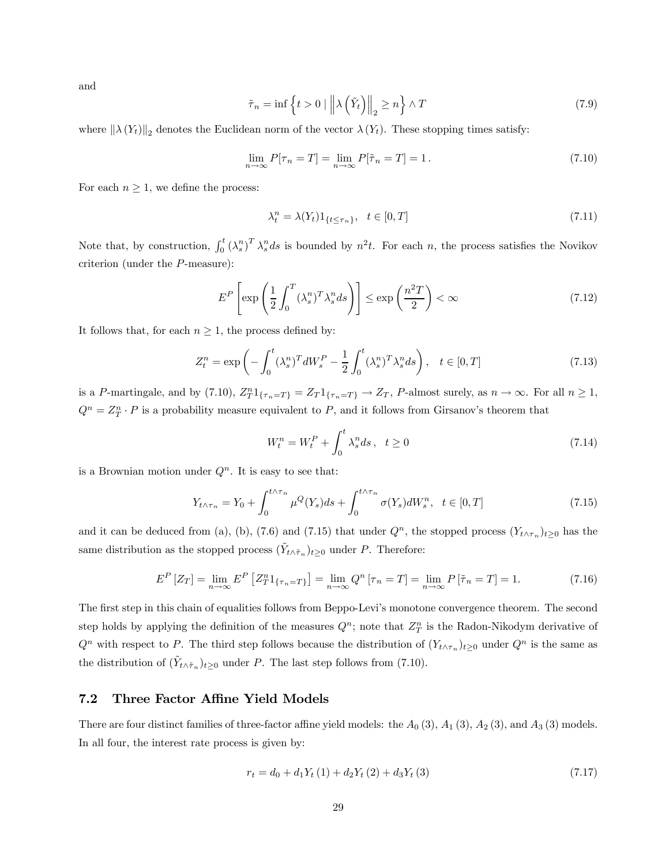and

$$
\tilde{\tau}_n = \inf \left\{ t > 0 \mid \left\| \lambda \left( \tilde{Y}_t \right) \right\|_2 \ge n \right\} \wedge T \tag{7.9}
$$

where  $\|\lambda(Y_t)\|_2$  denotes the Euclidean norm of the vector  $\lambda(Y_t)$ . These stopping times satisfy:

$$
\lim_{n \to \infty} P[\tau_n = T] = \lim_{n \to \infty} P[\tilde{\tau}_n = T] = 1. \tag{7.10}
$$

For each  $n \geq 1$ , we define the process:

$$
\lambda_t^n = \lambda(Y_t) \mathbf{1}_{\{t \le \tau_n\}}, \quad t \in [0, T] \tag{7.11}
$$

Note that, by construction,  $\int_0^t (\lambda_s^n)^T \lambda_s^n ds$  is bounded by  $n^2t$ . For each n, the process satisfies the Novikov criterion (under the P-measure):

$$
E^{P}\left[\exp\left(\frac{1}{2}\int_{0}^{T}(\lambda_{s}^{n})^{T}\lambda_{s}^{n}ds\right)\right] \leq \exp\left(\frac{n^{2}T}{2}\right) < \infty
$$
\n(7.12)

It follows that, for each  $n \geq 1$ , the process defined by:

$$
Z_t^n = \exp\left(-\int_0^t (\lambda_s^n)^T dW_s^P - \frac{1}{2} \int_0^t (\lambda_s^n)^T \lambda_s^n ds\right), \quad t \in [0, T]
$$
\n
$$
(7.13)
$$

is a P-martingale, and by (7.10),  $Z_T^n 1_{\{\tau_n = T\}} = Z_T 1_{\{\tau_n = T\}} \to Z_T$ , P-almost surely, as  $n \to \infty$ . For all  $n \ge 1$ ,  $Q^n = Z_T^n \cdot P$  is a probability measure equivalent to P, and it follows from Girsanov's theorem that

$$
W_t^n = W_t^P + \int_0^t \lambda_s^n ds \,, \quad t \ge 0 \tag{7.14}
$$

is a Brownian motion under  $Q<sup>n</sup>$ . It is easy to see that:

$$
Y_{t \wedge \tau_n} = Y_0 + \int_0^{t \wedge \tau_n} \mu^Q(Y_s) ds + \int_0^{t \wedge \tau_n} \sigma(Y_s) dW_s^n, \ \ t \in [0, T] \tag{7.15}
$$

and it can be deduced from (a), (b), (7.6) and (7.15) that under  $Q<sup>n</sup>$ , the stopped process  $(Y<sub>t\wedge\tau_n</sub>)<sub>t≥0</sub>$  has the same distribution as the stopped process  $(Y_{t \wedge \tilde{\tau}_n})_{t \geq 0}$  under P. Therefore:

$$
E^{P}[Z_{T}] = \lim_{n \to \infty} E^{P}[Z_{T}^{n}1_{\{\tau_{n} = T\}}] = \lim_{n \to \infty} Q^{n}[\tau_{n} = T] = \lim_{n \to \infty} P[\tilde{\tau}_{n} = T] = 1.
$$
 (7.16)

The first step in this chain of equalities follows from Beppo-Levi's monotone convergence theorem. The second step holds by applying the definition of the measures  $Q^n$ ; note that  $Z^n_T$  is the Radon-Nikodym derivative of  $Q^n$  with respect to P. The third step follows because the distribution of  $(Y_{t \wedge \tau_n})_{t \geq 0}$  under  $Q^n$  is the same as the distribution of  $(Y_{t \wedge \tilde{\tau}_n})_{t \geq 0}$  under P. The last step follows from (7.10).

#### 7.2 Three Factor Affine Yield Models

There are four distinct families of three-factor affine yield models: the  $A_0$  (3),  $A_1$  (3),  $A_2$  (3), and  $A_3$  (3) models. In all four, the interest rate process is given by:

$$
r_t = d_0 + d_1 Y_t (1) + d_2 Y_t (2) + d_3 Y_t (3)
$$
\n
$$
(7.17)
$$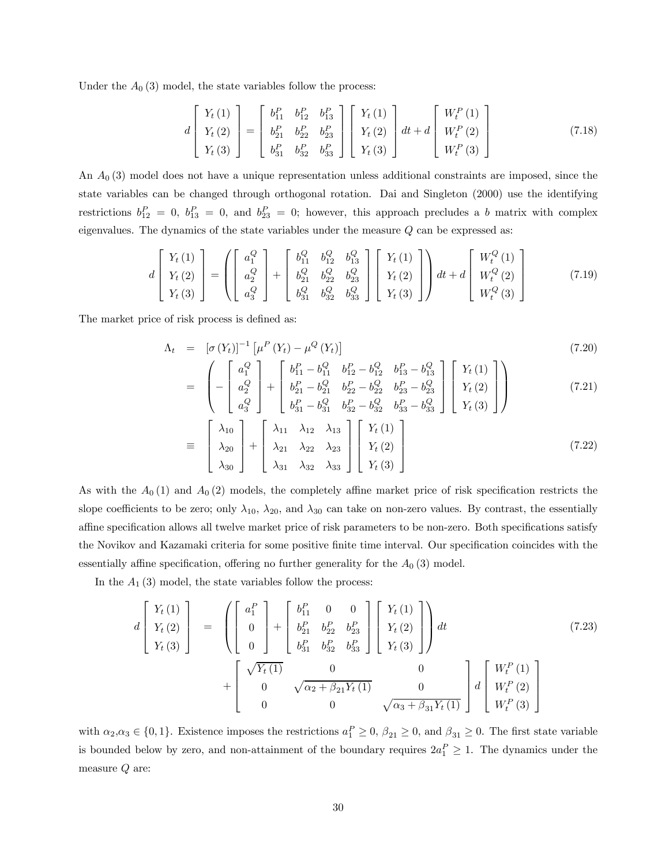Under the  $A_0$  (3) model, the state variables follow the process:

$$
d\begin{bmatrix} Y_t(1) \\ Y_t(2) \\ Y_t(3) \end{bmatrix} = \begin{bmatrix} b_{11}^P & b_{12}^P & b_{13}^P \\ b_{21}^P & b_{22}^P & b_{23}^P \\ b_{31}^P & b_{32}^P & b_{33}^P \end{bmatrix} \begin{bmatrix} Y_t(1) \\ Y_t(2) \\ Y_t(3) \end{bmatrix} dt + d \begin{bmatrix} W_t^P(1) \\ W_t^P(2) \\ W_t^P(3) \end{bmatrix}
$$
(7.18)

An  $A_0$  (3) model does not have a unique representation unless additional constraints are imposed, since the state variables can be changed through orthogonal rotation. Dai and Singleton (2000) use the identifying restrictions  $b_{12}^P = 0$ ,  $b_{13}^P = 0$ , and  $b_{23}^P = 0$ ; however, this approach precludes a b matrix with complex eigenvalues. The dynamics of the state variables under the measure  $Q$  can be expressed as:

$$
d\begin{bmatrix} Y_t(1) \\ Y_t(2) \\ Y_t(3) \end{bmatrix} = \left( \begin{bmatrix} a_1^Q \\ a_2^Q \\ a_3^Q \end{bmatrix} + \begin{bmatrix} b_{11}^Q & b_{12}^Q & b_{13}^Q \\ b_{21}^Q & b_{22}^Q & b_{23}^Q \\ b_{31}^Q & b_{32}^Q & b_{33}^Q \end{bmatrix} \begin{bmatrix} Y_t(1) \\ Y_t(2) \\ Y_t(3) \end{bmatrix} \right) dt + d \begin{bmatrix} W_t^Q(1) \\ W_t^Q(2) \\ W_t^Q(3) \end{bmatrix}
$$
(7.19)

The market price of risk process is defined as:

$$
\Lambda_t = [\sigma(Y_t)]^{-1} [\mu^P(Y_t) - \mu^Q(Y_t)]
$$
\n
$$
\begin{pmatrix} a_1^Q \end{pmatrix} [\sigma_1^P] [\sigma_1^P - b_{11}^Q b_{12}^P - b_{12}^Q b_{13}^P - b_{13}^Q] [\gamma_t(1)]
$$
\n
$$
(7.20)
$$

$$
= \left(-\begin{bmatrix} a_1^Q \\ a_2^Q \\ a_3^Q \end{bmatrix} + \begin{bmatrix} b_{11}^P - b_{11}^Q & b_{12}^P - b_{12}^Q & b_{13}^P - b_{13}^Q \\ b_{21}^P - b_{21}^Q & b_{22}^P - b_{22}^Q & b_{23}^P - b_{23}^Q \\ b_{31}^P - b_{31}^Q & b_{32}^P - b_{32}^Q & b_{33}^P - b_{33}^Q \end{bmatrix} \begin{bmatrix} Y_t(1) \\ Y_t(2) \\ Y_t(3) \end{bmatrix} \right)
$$
(7.21)

$$
\equiv \begin{bmatrix} \lambda_{10} \\ \lambda_{20} \\ \lambda_{30} \end{bmatrix} + \begin{bmatrix} \lambda_{11} & \lambda_{12} & \lambda_{13} \\ \lambda_{21} & \lambda_{22} & \lambda_{23} \\ \lambda_{31} & \lambda_{32} & \lambda_{33} \end{bmatrix} \begin{bmatrix} Y_t(1) \\ Y_t(2) \\ Y_t(3) \end{bmatrix} \tag{7.22}
$$

As with the  $A_0(1)$  and  $A_0(2)$  models, the completely affine market price of risk specification restricts the slope coefficients to be zero; only  $\lambda_{10}$ ,  $\lambda_{20}$ , and  $\lambda_{30}$  can take on non-zero values. By contrast, the essentially affine specification allows all twelve market price of risk parameters to be non-zero. Both specifications satisfy the Novikov and Kazamaki criteria for some positive finite time interval. Our specification coincides with the essentially affine specification, offering no further generality for the  $A_0$  (3) model.

In the  $A_1$  (3) model, the state variables follow the process:

$$
d\begin{bmatrix} Y_t(1) \\ Y_t(2) \\ Y_t(3) \end{bmatrix} = \begin{bmatrix} \begin{bmatrix} a_1^P \\ 0 \\ 0 \end{bmatrix} + \begin{bmatrix} b_{11}^P & 0 & 0 \\ b_{21}^P & b_{22}^P & b_{23}^P \\ b_{31}^P & b_{32}^P & b_{33}^P \end{bmatrix} \begin{bmatrix} Y_t(1) \\ Y_t(2) \\ Y_t(3) \end{bmatrix} dt + \begin{bmatrix} \sqrt{Y_t(1)} & 0 & 0 \\ 0 & \sqrt{\alpha_2 + \beta_{21} Y_t(1)} & 0 \\ 0 & 0 & \sqrt{\alpha_3 + \beta_{31} Y_t(1)} \end{bmatrix} d\begin{bmatrix} W_t^P(1) \\ W_t^P(2) \\ W_t^P(3) \end{bmatrix}
$$
(7.23)

with  $\alpha_2, \alpha_3 \in \{0, 1\}$ . Existence imposes the restrictions  $a_1^P \ge 0$ ,  $\beta_{21} \ge 0$ , and  $\beta_{31} \ge 0$ . The first state variable is bounded below by zero, and non-attainment of the boundary requires  $2a_1^P \geq 1$ . The dynamics under the measure  $Q$  are: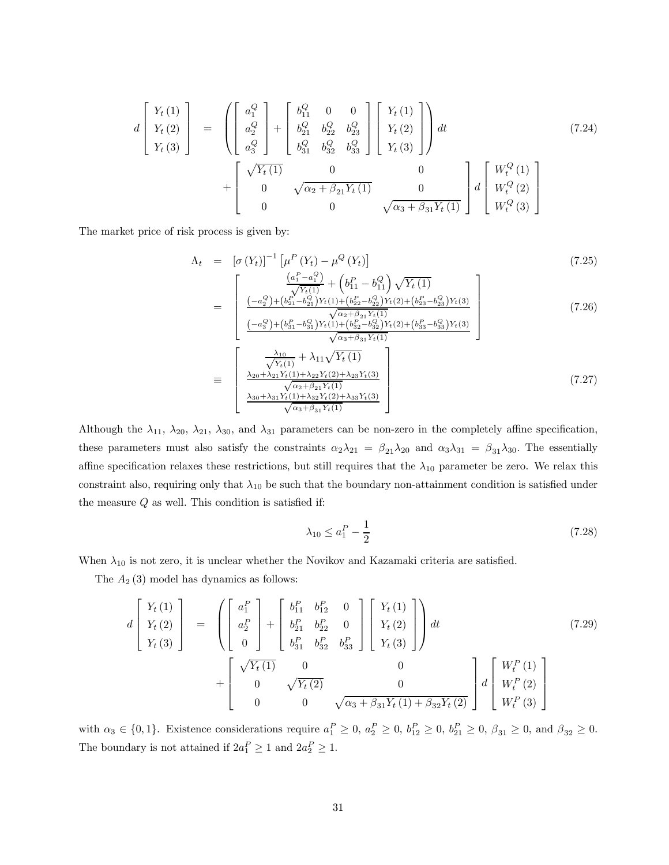$$
d\begin{bmatrix} Y_t(1) \\ Y_t(2) \\ Y_t(3) \end{bmatrix} = \begin{bmatrix} a_1^Q \\ a_2^Q \\ a_3^Q \end{bmatrix} + \begin{bmatrix} b_{11}^Q & 0 & 0 \\ b_{21}^Q & b_{22}^Q & b_{23}^Q \\ b_{31}^Q & b_{32}^Q & b_{33}^Q \end{bmatrix} \begin{bmatrix} Y_t(1) \\ Y_t(2) \\ Y_t(3) \end{bmatrix} dt + \begin{bmatrix} \sqrt{Y_t(1)} & 0 & 0 \\ 0 & \sqrt{\alpha_2 + \beta_{21} Y_t(1)} & 0 \\ 0 & 0 & \sqrt{\alpha_3 + \beta_{31} Y_t(1)} \end{bmatrix} d\begin{bmatrix} W_t^Q(1) \\ W_t^Q(2) \\ W_t^Q(3) \end{bmatrix}
$$
(7.24)

The market price of risk process is given by:

$$
\Lambda_{t} = [\sigma(Y_{t})]^{-1} [\mu^{P}(Y_{t}) - \mu^{Q}(Y_{t})]
$$
(7.25)  
\n
$$
= \begin{bmatrix}\n\frac{(a_{1}^{P} - a_{1}^{Q})}{\sqrt{Y_{t}(1)}} + (b_{11}^{P} - b_{11}^{Q}) \sqrt{Y_{t}(1)} \\
\frac{(-a_{2}^{Q}) + (b_{21}^{P} - b_{21}^{Q}) Y_{t}(1) + (b_{22}^{P} - b_{22}^{Q}) Y_{t}(2) + (b_{23}^{P} - b_{23}^{Q}) Y_{t}(3)}{\sqrt{\alpha_{2} + \beta_{21} Y_{t}(1)}} \\
\frac{(-a_{3}^{Q}) + (b_{31}^{P} - b_{31}^{Q}) Y_{t}(1) + (b_{32}^{P} - b_{32}^{Q}) Y_{t}(2) + (b_{33}^{P} - b_{33}^{Q}) Y_{t}(3)}{\sqrt{\alpha_{3} + \beta_{31} Y_{t}(1)}}\n\end{bmatrix}
$$
(7.26)  
\n
$$
\equiv \begin{bmatrix}\n\frac{\lambda_{10}}{\sqrt{Y_{t}(1)}} + \lambda_{11} \sqrt{Y_{t}(1)} \\
\frac{\lambda_{20} + \lambda_{21} Y_{t}(1) + \lambda_{22} Y_{t}(2) + \lambda_{23} Y_{t}(3)}{\sqrt{\alpha_{2} + \beta_{21} Y_{t}(1)}} \\
\frac{\lambda_{30} + \lambda_{31} Y_{t}(1) + \lambda_{32} Y_{t}(2) + \lambda_{33} Y_{t}(3)}{\sqrt{\alpha_{3} + \beta_{31} Y_{t}(1)}}\n\end{bmatrix}
$$
(7.27)

Although the  $\lambda_{11}$ ,  $\lambda_{20}$ ,  $\lambda_{21}$ ,  $\lambda_{30}$ , and  $\lambda_{31}$  parameters can be non-zero in the completely affine specification, these parameters must also satisfy the constraints  $\alpha_2\lambda_{21} = \beta_{21}\lambda_{20}$  and  $\alpha_3\lambda_{31} = \beta_{31}\lambda_{30}$ . The essentially affine specification relaxes these restrictions, but still requires that the  $\lambda_{10}$  parameter be zero. We relax this constraint also, requiring only that  $\lambda_{10}$  be such that the boundary non-attainment condition is satisfied under the measure  $Q$  as well. This condition is satisfied if:

$$
\lambda_{10} \le a_1^P - \frac{1}{2} \tag{7.28}
$$

When  $\lambda_{10}$  is not zero, it is unclear whether the Novikov and Kazamaki criteria are satisfied.

The  $A_2$  (3) model has dynamics as follows:

$$
d\begin{bmatrix} Y_t(1) \\ Y_t(2) \\ Y_t(3) \end{bmatrix} = \begin{bmatrix} \begin{bmatrix} a_1^P \\ a_2^P \end{bmatrix} + \begin{bmatrix} b_{11}^P & b_{12}^P & 0 \\ b_{21}^P & b_{22}^P & 0 \\ b_{31}^P & b_{32}^P & b_{33}^P \end{bmatrix} \begin{bmatrix} Y_t(1) \\ Y_t(2) \\ Y_t(3) \end{bmatrix} dt + \begin{bmatrix} \sqrt{Y_t(1)} & 0 & 0 \\ 0 & \sqrt{Y_t(2)} & 0 \\ 0 & 0 & \sqrt{\alpha_3 + \beta_{31} Y_t(1) + \beta_{32} Y_t(2)} \end{bmatrix} d\begin{bmatrix} W_t^P(1) \\ W_t^P(2) \\ W_t^P(3) \end{bmatrix}
$$
(7.29)

with  $\alpha_3 \in \{0, 1\}$ . Existence considerations require  $a_1^P \geq 0$ ,  $a_2^P \geq 0$ ,  $b_{12}^P \geq 0$ ,  $b_{21}^P \geq 0$ ,  $\beta_{31} \geq 0$ , and  $\beta_{32} \geq 0$ . The boundary is not attained if  $2a_1^P \ge 1$  and  $2a_2^P \ge 1$ .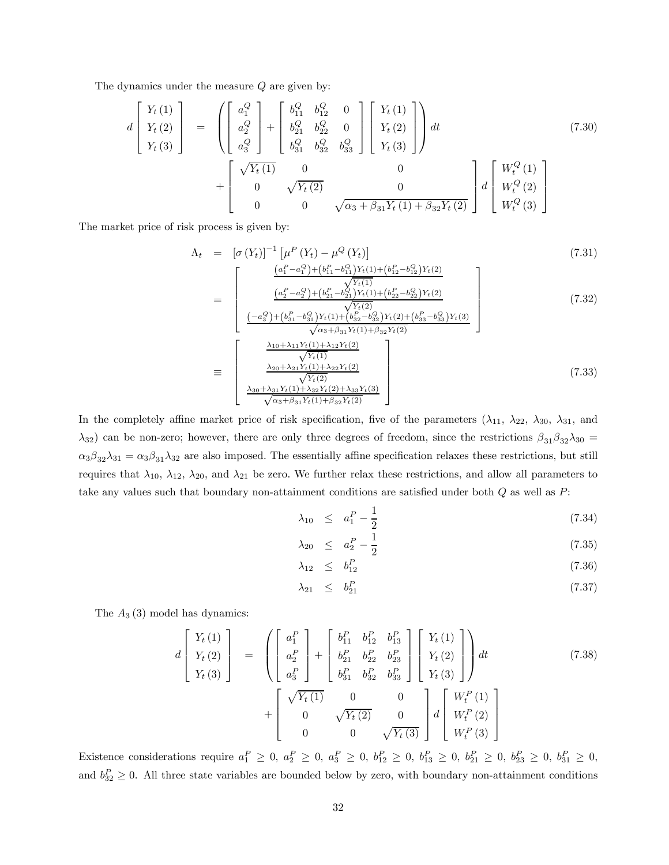The dynamics under the measure  $Q$  are given by:

$$
d\begin{bmatrix} Y_t(1) \\ Y_t(2) \\ Y_t(3) \end{bmatrix} = \begin{pmatrix} \begin{bmatrix} a_1^Q \\ a_2^Q \\ a_3^Q \end{bmatrix} + \begin{bmatrix} b_{11}^Q & b_{12}^Q & 0 \\ b_{21}^Q & b_{22}^Q & 0 \\ b_{31}^Q & b_{32}^Q & b_{33}^Q \end{bmatrix} \begin{bmatrix} Y_t(1) \\ Y_t(2) \\ Y_t(3) \end{bmatrix} dt + \begin{bmatrix} \sqrt{Y_t(1)} & 0 & 0 \\ 0 & \sqrt{Y_t(2)} & 0 \\ 0 & 0 & \sqrt{\alpha_3 + \beta_{31} Y_t(1) + \beta_{32} Y_t(2)} \end{bmatrix} d\begin{bmatrix} W_t^Q(1) \\ W_t^Q(2) \\ W_t^Q(3) \end{bmatrix}
$$
(7.30)

The market price of risk process is given by:

$$
\Lambda_{t} = [\sigma(Y_{t})]^{-1} [\mu^{P}(Y_{t}) - \mu^{Q}(Y_{t})]
$$
(7.31)  
\n
$$
= \begin{bmatrix}\n\frac{(a_{1}^{P} - a_{1}^{Q}) + (b_{11}^{P} - b_{11}^{Q}) Y_{t}(1) + (b_{12}^{P} - b_{12}^{Q}) Y_{t}(2)}{(x_{2}^{P} - a_{2}^{Q}) + (b_{21}^{P} - b_{21}^{Q}) Y_{t}(1) + (b_{22}^{P} - b_{22}^{Q}) Y_{t}(2)} \\
\frac{(a_{2}^{P} - a_{2}^{Q}) + (b_{21}^{P} - b_{21}^{Q}) Y_{t}(1) + (b_{22}^{P} - b_{22}^{Q}) Y_{t}(2)}{\sqrt{Y_{t}(2)}} \\
\frac{(-a_{3}^{Q}) + (b_{31}^{P} - b_{31}^{Q}) Y_{t}(1) + (b_{32}^{P} - b_{32}^{Q}) Y_{t}(2) + (b_{33}^{P} - b_{33}^{Q}) Y_{t}(3)}{\sqrt{\alpha_{3} + \beta_{31} Y_{t}(1) + \lambda_{32} Y_{t}(2)}}\n\end{bmatrix}
$$
(7.32)  
\n
$$
\equiv \begin{bmatrix}\n\frac{\lambda_{10} + \lambda_{11} Y_{t}(1) + \lambda_{12} Y_{t}(2)}{\sqrt{Y_{t}(1)}} \\
\frac{\lambda_{20} + \lambda_{21} Y_{t}(1) + \lambda_{22} Y_{t}(2)}{\sqrt{Y_{t}(2)}} \\
\frac{\lambda_{30} + \lambda_{31} Y_{t}(1) + \lambda_{32} Y_{t}(2) + \lambda_{33} Y_{t}(3)}{\sqrt{\alpha_{3} + \beta_{31} Y_{t}(1) + \beta_{32} Y_{t}(2)}}\n\end{bmatrix}
$$
(7.33)

In the completely affine market price of risk specification, five of the parameters  $(\lambda_{11}, \lambda_{22}, \lambda_{30}, \lambda_{31},$  and  $\lambda_{32}$ ) can be non-zero; however, there are only three degrees of freedom, since the restrictions  $\beta_{31}\beta_{32}\lambda_{30} =$  $\alpha_3\beta_{32}\lambda_{31} = \alpha_3\beta_{31}\lambda_{32}$  are also imposed. The essentially affine specification relaxes these restrictions, but still requires that  $\lambda_{10}$ ,  $\lambda_{12}$ ,  $\lambda_{20}$ , and  $\lambda_{21}$  be zero. We further relax these restrictions, and allow all parameters to take any values such that boundary non-attainment conditions are satisfied under both  $Q$  as well as  $P$ :

$$
\lambda_{10} \leq a_1^P - \frac{1}{2} \tag{7.34}
$$

$$
\lambda_{20} \leq a_2^P - \frac{1}{2} \tag{7.35}
$$

$$
\lambda_{12} \leq b_{12}^P \tag{7.36}
$$

$$
\lambda_{21} \leq b_{21}^P \tag{7.37}
$$

The  $A_3(3)$  model has dynamics:

$$
d\begin{bmatrix} Y_t(1) \\ Y_t(2) \\ Y_t(3) \end{bmatrix} = \begin{bmatrix} \begin{bmatrix} a_1^P \\ a_2^P \\ a_3^P \end{bmatrix} + \begin{bmatrix} b_{11}^P & b_{12}^P & b_{13}^P \\ b_{21}^P & b_{22}^P & b_{23}^P \\ b_{31}^P & b_{32}^P & b_{33}^P \end{bmatrix} \begin{bmatrix} Y_t(1) \\ Y_t(2) \\ Y_t(3) \end{bmatrix} dt + \begin{bmatrix} \sqrt{Y_t(1)} & 0 & 0 \\ 0 & \sqrt{Y_t(2)} & 0 \\ 0 & 0 & \sqrt{Y_t(3)} \end{bmatrix} d\begin{bmatrix} W_t^P(1) \\ W_t^P(2) \\ W_t^P(3) \end{bmatrix}
$$
(7.38)

Existence considerations require  $a_1^P \geq 0$ ,  $a_2^P \geq 0$ ,  $a_3^P \geq 0$ ,  $b_{12}^P \geq 0$ ,  $b_{13}^P \geq 0$ ,  $b_{21}^P \geq 0$ ,  $b_{23}^P \geq 0$ ,  $b_{31}^P \geq 0$ , and  $b_{32}^P \geq 0$ . All three state variables are bounded below by zero, with boundary non-attainment conditions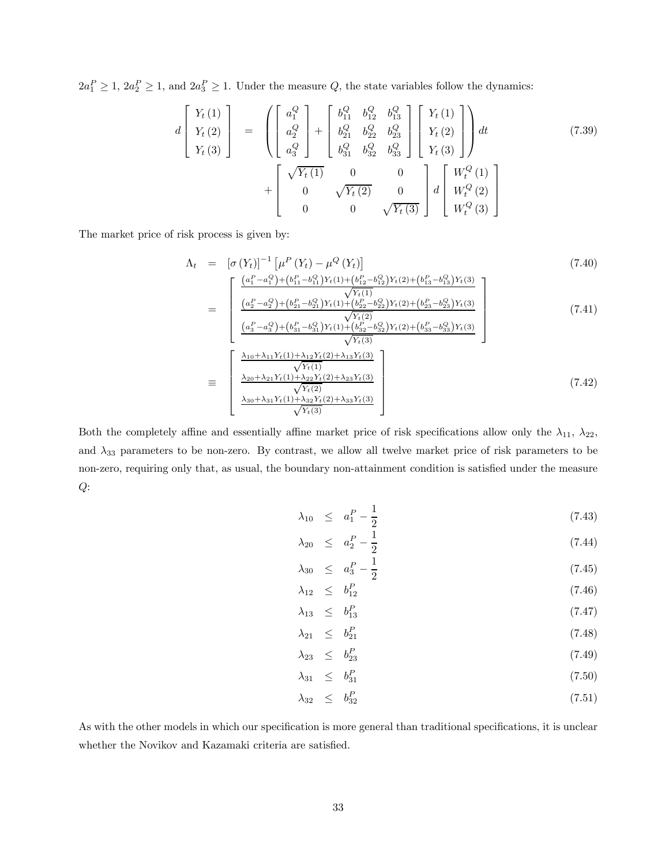$2a_1^P \geq 1$ ,  $2a_2^P \geq 1$ , and  $2a_3^P \geq 1$ . Under the measure Q, the state variables follow the dynamics:

$$
d\begin{bmatrix} Y_t(1) \\ Y_t(2) \\ Y_t(3) \end{bmatrix} = \begin{bmatrix} \begin{bmatrix} a_1^Q \\ a_2^Q \\ a_3^Q \end{bmatrix} + \begin{bmatrix} b_{11}^Q & b_{12}^Q & b_{13}^Q \\ b_{21}^Q & b_{22}^Q & b_{23}^Q \\ b_{31}^Q & b_{32}^Q & b_{33}^Q \end{bmatrix} \begin{bmatrix} Y_t(1) \\ Y_t(2) \\ Y_t(3) \end{bmatrix} dt + \begin{bmatrix} \sqrt{Y_t(1)} & 0 & 0 \\ 0 & \sqrt{Y_t(2)} & 0 \\ 0 & 0 & \sqrt{Y_t(3)} \end{bmatrix} d \begin{bmatrix} W_t^Q(1) \\ W_t^Q(2) \\ W_t^Q(3) \end{bmatrix}
$$
(7.39)

The market price of risk process is given by:

$$
\Lambda_{t} = \left[ \sigma \left( Y_{t} \right) \right]^{-1} \left[ \mu^{P} \left( Y_{t} \right) - \mu^{Q} \left( Y_{t} \right) \right]
$$
\n
$$
= \begin{bmatrix}\n\frac{\left( a_{1}^{P} - a_{1}^{Q} \right) + \left( b_{11}^{P} - b_{11}^{Q} \right) Y_{t} \left( 1 \right) + \left( b_{12}^{P} - b_{12}^{Q} \right) Y_{t} \left( 2 \right) + \left( b_{13}^{P} - b_{13}^{Q} \right) Y_{t} \left( 3 \right)}{\left( \frac{a_{2}^{P} - a_{2}^{Q} \right) + \left( b_{21}^{P} - b_{21}^{Q} \right) Y_{t} \left( 1 \right) + \left( b_{22}^{P} - b_{22}^{Q} \right) Y_{t} \left( 2 \right) + \left( b_{23}^{P} - b_{23}^{Q} \right) Y_{t} \left( 3 \right)}{\sqrt{Y_{t} \left( 2 \right)}} \\
\frac{\left( a_{3}^{P} - a_{3}^{Q} \right) + \left( b_{31}^{P} - b_{31}^{Q} \right) Y_{t} \left( 1 \right) + \left( b_{32}^{P} - b_{32}^{Q} \right) Y_{t} \left( 2 \right) + \left( b_{33}^{P} - b_{33}^{Q} \right) Y_{t} \left( 3 \right)}{\sqrt{Y_{t} \left( 3 \right)}} \\
\frac{\lambda_{10} + \lambda_{11} Y_{t} \left( 1 \right) + \lambda_{12} Y_{t} \left( 2 \right) + \lambda_{13} Y_{t} \left( 3 \right)}{\sqrt{Y_{t} \left( 1 \right)}} \\
\frac{\lambda_{20} + \lambda_{21} Y_{t} \left( 1 \right) + \lambda_{22} Y_{t} \left( 2 \right) + \lambda_{23} Y_{t} \left( 3 \right)}{\sqrt{Y_{t} \left( 2 \right)}} \\
\frac{\lambda_{30} + \lambda_{31} Y_{t} \left( 1 \right) + \lambda_{32} Y_{t} \left( 2 \right) + \lambda_{33} Y_{t} \left( 3 \right)}{\sqrt{Y_{t} \left( 3 \right)}} \\
\end{bmatrix} \tag{7
$$

Both the completely affine and essentially affine market price of risk specifications allow only the  $\lambda_{11}$ ,  $\lambda_{22}$ , and  $\lambda_{33}$  parameters to be non-zero. By contrast, we allow all twelve market price of risk parameters to be non-zero, requiring only that, as usual, the boundary non-attainment condition is satisfied under the measure  $Q$ :

 $Y_t(3)$ 

$$
\lambda_{10} \leq a_1^P - \frac{1}{2} \tag{7.43}
$$

$$
\lambda_{20} \leq a_2^P - \frac{1}{2} \tag{7.44}
$$

$$
\lambda_{30} \leq a_3^P - \frac{1}{2} \n\lambda_{12} \leq b_{12}^P
$$
\n(7.45)\n(7.46)

$$
\lambda_{13} \leq b_{13}^P \tag{7.47}
$$

$$
\lambda_{21} \leq b_{21}^P \tag{7.48}
$$

$$
\lambda_{23} \leq b_{23}^P \tag{7.49}
$$

$$
\lambda_{31} \leq b_{31}^P \tag{7.50}
$$

$$
\lambda_{32} \leq b_{32}^P \tag{7.51}
$$

As with the other models in which our specification is more general than traditional specifications, it is unclear whether the Novikov and Kazamaki criteria are satisfied.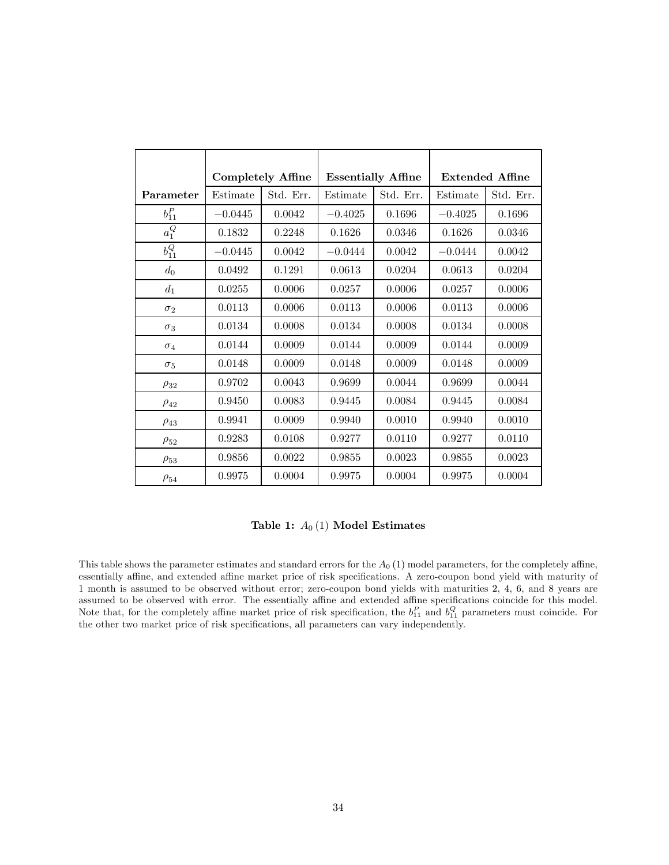|                    |           | <b>Completely Affine</b> | <b>Essentially Affine</b> |           | <b>Extended Affine</b> |           |
|--------------------|-----------|--------------------------|---------------------------|-----------|------------------------|-----------|
| Parameter          | Estimate  | Std. Err.                | Estimate                  | Std. Err. | Estimate               | Std. Err. |
| $b_{11}^P$         | $-0.0445$ | 0.0042                   | $-0.4025$                 | 0.1696    | $-0.4025$              | 0.1696    |
| $\overline{a_1^Q}$ | 0.1832    | 0.2248                   | 0.1626                    | 0.0346    | 0.1626                 | 0.0346    |
| $b_{11}^Q$         | $-0.0445$ | 0.0042                   | $-0.0444$                 | 0.0042    | $-0.0444$              | 0.0042    |
| $d_0$              | 0.0492    | 0.1291                   | 0.0613                    | 0.0204    | 0.0613                 | 0.0204    |
| $d_1$              | 0.0255    | 0.0006                   | 0.0257                    | 0.0006    | 0.0257                 | 0.0006    |
| $\sigma_2$         | 0.0113    | 0.0006                   | 0.0113                    | 0.0006    | 0.0113                 | 0.0006    |
| $\sigma_3$         | 0.0134    | 0.0008                   | 0.0134                    | 0.0008    | 0.0134                 | 0.0008    |
| $\sigma_4$         | 0.0144    | 0.0009                   | 0.0144                    | 0.0009    | 0.0144                 | 0.0009    |
| $\sigma_5$         | 0.0148    | 0.0009                   | 0.0148                    | 0.0009    | 0.0148                 | 0.0009    |
| $\rho_{32}$        | 0.9702    | 0.0043                   | 0.9699                    | 0.0044    | 0.9699                 | 0.0044    |
| $\rho_{42}$        | 0.9450    | 0.0083                   | 0.9445                    | 0.0084    | 0.9445                 | 0.0084    |
| $\rho_{43}$        | 0.9941    | 0.0009                   | 0.9940                    | 0.0010    | 0.9940                 | 0.0010    |
| $\rho_{52}$        | 0.9283    | 0.0108                   | 0.9277                    | 0.0110    | 0.9277                 | 0.0110    |
| $\rho_{53}$        | 0.9856    | 0.0022                   | 0.9855                    | 0.0023    | 0.9855                 | 0.0023    |
| $\rho_{54}$        | 0.9975    | 0.0004                   | 0.9975                    | 0.0004    | 0.9975                 | 0.0004    |

Table 1:  $A_0(1)$  Model Estimates

This table shows the parameter estimates and standard errors for the  $A_0$  (1) model parameters, for the completely affine, essentially affine, and extended affine market price of risk specifications. A zero-coupon bond yield with maturity of 1 month is assumed to be observed without error; zero-coupon bond yields with maturities 2, 4, 6, and 8 years are assumed to be observed with error. The essentially affine and extended affine specifications coincide for this model. Note that, for the completely affine market price of risk specification, the  $b_{11}^P$  and  $b_{11}^Q$  parameters must coincide. For the other two market price of risk specifications, all parameters can vary independently.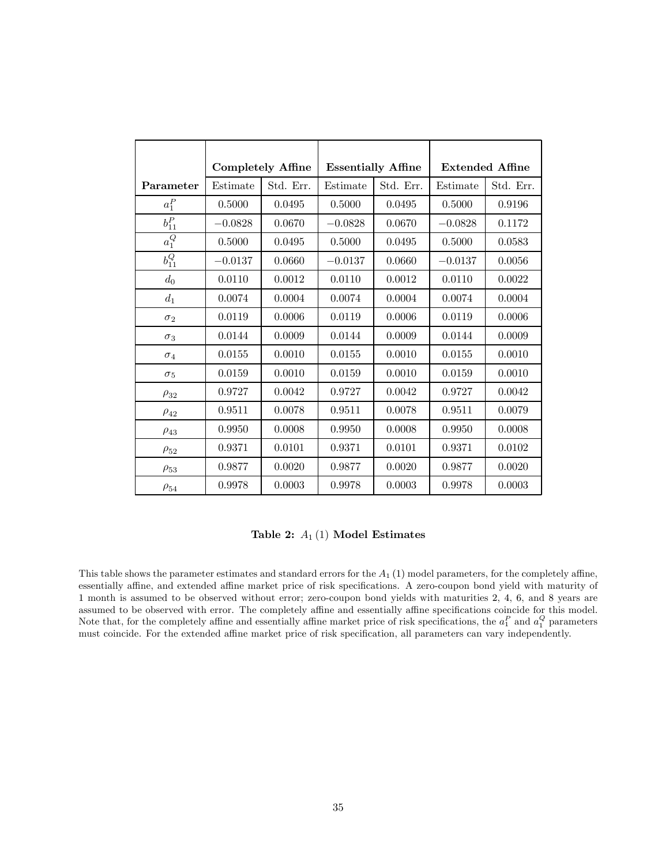|                       |           | <b>Completely Affine</b> |           | <b>Essentially Affine</b> |           | <b>Extended Affine</b> |  |
|-----------------------|-----------|--------------------------|-----------|---------------------------|-----------|------------------------|--|
| Parameter             | Estimate  | Std. Err.                | Estimate  | Std. Err.                 | Estimate  | Std. Err.              |  |
| $a_1^P$               | 0.5000    | 0.0495                   | 0.5000    | 0.0495                    | 0.5000    | 0.9196                 |  |
| $b_{11}^P$            | $-0.0828$ | 0.0670                   | $-0.0828$ | 0.0670                    | $-0.0828$ | 0.1172                 |  |
| $\overline{a_1^Q}$    | 0.5000    | 0.0495                   | 0.5000    | 0.0495                    | 0.5000    | 0.0583                 |  |
| $\overline{b_{11}^Q}$ | $-0.0137$ | 0.0660                   | $-0.0137$ | 0.0660                    | $-0.0137$ | 0.0056                 |  |
| $d_0$                 | 0.0110    | 0.0012                   | 0.0110    | 0.0012                    | 0.0110    | 0.0022                 |  |
| $d_1$                 | 0.0074    | 0.0004                   | 0.0074    | 0.0004                    | 0.0074    | 0.0004                 |  |
| $\sigma_2$            | 0.0119    | 0.0006                   | 0.0119    | 0.0006                    | 0.0119    | 0.0006                 |  |
| $\sigma_3$            | 0.0144    | 0.0009                   | 0.0144    | 0.0009                    | 0.0144    | 0.0009                 |  |
| $\sigma_4$            | 0.0155    | 0.0010                   | 0.0155    | 0.0010                    | 0.0155    | 0.0010                 |  |
| $\sigma_5$            | 0.0159    | 0.0010                   | 0.0159    | 0.0010                    | 0.0159    | 0.0010                 |  |
| $\rho_{32}$           | 0.9727    | 0.0042                   | 0.9727    | 0.0042                    | 0.9727    | 0.0042                 |  |
| $\rho_{42}$           | 0.9511    | 0.0078                   | 0.9511    | 0.0078                    | 0.9511    | 0.0079                 |  |
| $\rho_{43}$           | 0.9950    | 0.0008                   | 0.9950    | 0.0008                    | 0.9950    | 0.0008                 |  |
| $\rho_{52}$           | 0.9371    | 0.0101                   | 0.9371    | 0.0101                    | 0.9371    | 0.0102                 |  |
| $\rho_{53}$           | 0.9877    | 0.0020                   | 0.9877    | 0.0020                    | 0.9877    | 0.0020                 |  |
| $\rho_{54}$           | 0.9978    | 0.0003                   | 0.9978    | 0.0003                    | 0.9978    | 0.0003                 |  |

Table 2:  $A_1(1)$  Model Estimates

This table shows the parameter estimates and standard errors for the  $A_1$  (1) model parameters, for the completely affine, essentially affine, and extended affine market price of risk specifications. A zero-coupon bond yield with maturity of 1 month is assumed to be observed without error; zero-coupon bond yields with maturities 2, 4, 6, and 8 years are assumed to be observed with error. The completely affine and essentially affine specifications coincide for this model. Note that, for the completely affine and essentially affine market price of risk specifications, the  $a_1^P$  and  $a_1^Q$  parameters must coincide. For the extended affine market price of risk specification, all parameters can vary independently.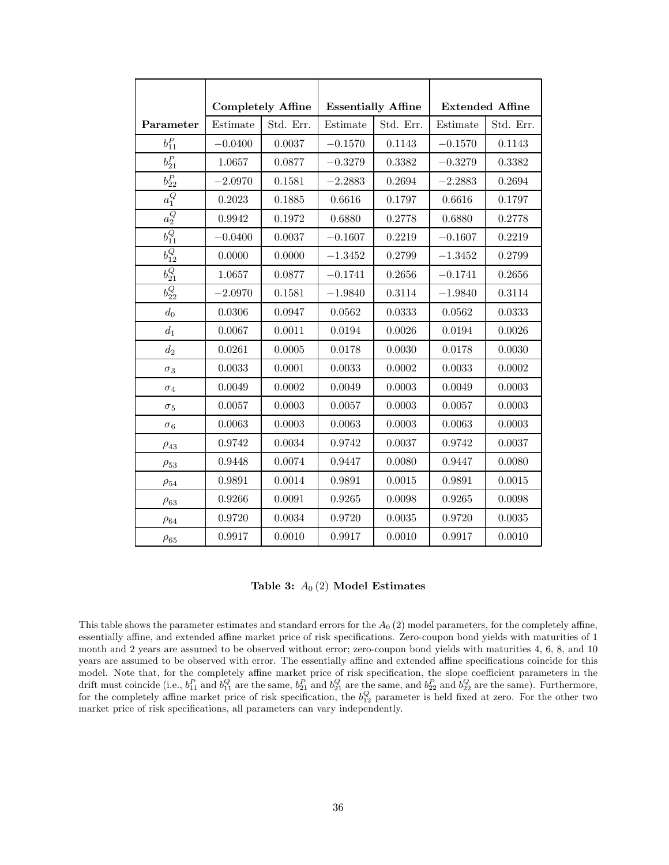|                       |           | <b>Completely Affine</b> |           | <b>Essentially Affine</b> |           | <b>Extended Affine</b> |
|-----------------------|-----------|--------------------------|-----------|---------------------------|-----------|------------------------|
| Parameter             | Estimate  | Std. Err.                | Estimate  | Std. Err.                 | Estimate  | Std. Err.              |
| $b^P_{11}$            | $-0.0400$ | 0.0037                   | $-0.1570$ | 0.1143                    | $-0.1570$ | 0.1143                 |
| $b^P_{21}$            | 1.0657    | 0.0877                   | $-0.3279$ | 0.3382                    | $-0.3279$ | 0.3382                 |
| $b^P_{22}$            | $-2.0970$ | 0.1581                   | $-2.2883$ | 0.2694                    | $-2.2883$ | 0.2694                 |
| $\overline{a_1^Q}$    | 0.2023    | 0.1885                   | 0.6616    | 0.1797                    | 0.6616    | 0.1797                 |
| $\overline{a_2^Q}$    | 0.9942    | 0.1972                   | 0.6880    | 0.2778                    | 0.6880    | 0.2778                 |
| $\overline{b_{11}^Q}$ | $-0.0400$ | 0.0037                   | $-0.1607$ | 0.2219                    | $-0.1607$ | 0.2219                 |
| $b_{12}^Q$            | 0.0000    | 0.0000                   | $-1.3452$ | 0.2799                    | $-1.3452$ | 0.2799                 |
| $\overline{b_{21}^Q}$ | 1.0657    | 0.0877                   | $-0.1741$ | 0.2656                    | $-0.1741$ | 0.2656                 |
| $\overline{b_{22}^Q}$ | $-2.0970$ | 0.1581                   | $-1.9840$ | 0.3114                    | $-1.9840$ | 0.3114                 |
| $d_0$                 | 0.0306    | 0.0947                   | 0.0562    | 0.0333                    | 0.0562    | 0.0333                 |
| $d_1$                 | 0.0067    | 0.0011                   | 0.0194    | 0.0026                    | 0.0194    | 0.0026                 |
| $d_2$                 | 0.0261    | 0.0005                   | 0.0178    | 0.0030                    | 0.0178    | 0.0030                 |
| $\sigma_3$            | 0.0033    | 0.0001                   | 0.0033    | 0.0002                    | 0.0033    | 0.0002                 |
| $\sigma_4$            | 0.0049    | 0.0002                   | 0.0049    | 0.0003                    | 0.0049    | 0.0003                 |
| $\sigma_5$            | 0.0057    | 0.0003                   | 0.0057    | 0.0003                    | 0.0057    | 0.0003                 |
| $\sigma_6$            | 0.0063    | 0.0003                   | 0.0063    | 0.0003                    | 0.0063    | 0.0003                 |
| $\rho_{43}$           | 0.9742    | 0.0034                   | 0.9742    | 0.0037                    | 0.9742    | 0.0037                 |
| $\rho_{53}$           | 0.9448    | 0.0074                   | 0.9447    | 0.0080                    | 0.9447    | 0.0080                 |
| $\rho_{54}$           | 0.9891    | 0.0014                   | 0.9891    | 0.0015                    | 0.9891    | 0.0015                 |
| $\rho_{63}$           | 0.9266    | 0.0091                   | 0.9265    | 0.0098                    | 0.9265    | 0.0098                 |
| $\rho_{64}$           | 0.9720    | 0.0034                   | 0.9720    | 0.0035                    | 0.9720    | 0.0035                 |
| $\rho_{65}$           | 0.9917    | 0.0010                   | 0.9917    | 0.0010                    | 0.9917    | 0.0010                 |

Table 3:  $A_0(2)$  Model Estimates

This table shows the parameter estimates and standard errors for the  $A<sub>0</sub>(2)$  model parameters, for the completely affine, essentially affine, and extended affine market price of risk specifications. Zero-coupon bond yields with maturities of 1 month and 2 years are assumed to be observed without error; zero-coupon bond yields with maturities 4, 6, 8, and 10 years are assumed to be observed with error. The essentially affine and extended affine specifications coincide for this model. Note that, for the completely affine market price of risk specification, the slope coefficient parameters in the drift must coincide (i.e.,  $b_{11}^P$  and  $b_{11}^Q$  are the same,  $b_{21}^P$  and  $b_{21}^Q$  are the same, and  $b_{22}^P$  and  $b_{22}^Q$  are the same). Furthermore, for the completely affine market price of risk specification, the  $b_{12}^Q$  parameter is held fixed at zero. For the other two market price of risk specifications, all parameters can vary independently.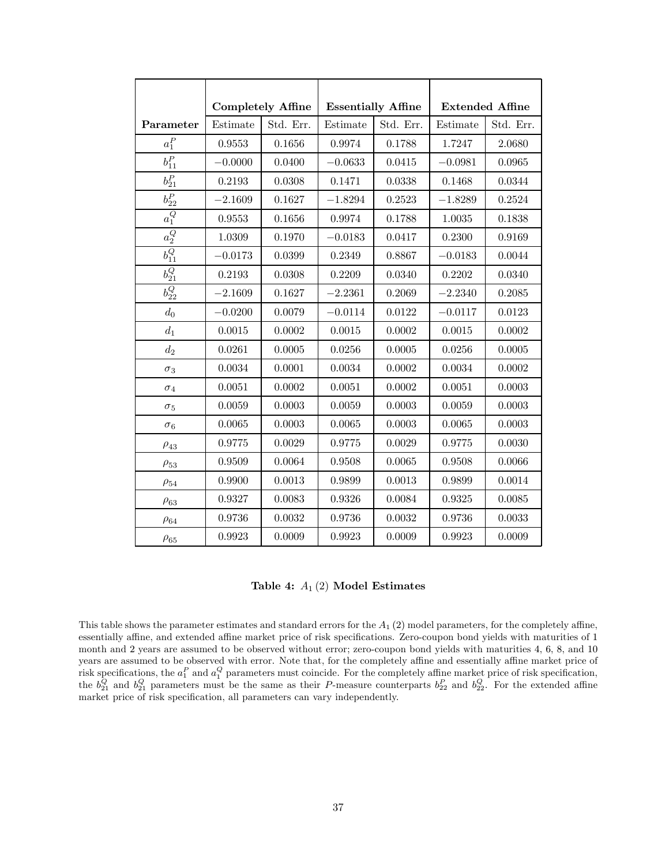|                       |           | <b>Completely Affine</b> |           | <b>Essentially Affine</b> |           | <b>Extended Affine</b> |
|-----------------------|-----------|--------------------------|-----------|---------------------------|-----------|------------------------|
| Parameter             | Estimate  | Std. Err.                | Estimate  | Std. Err.                 | Estimate  | Std. Err.              |
| $a_1^P$               | 0.9553    | 0.1656                   | 0.9974    | 0.1788                    | 1.7247    | 2.0680                 |
| $b^P_{11}$            | $-0.0000$ | 0.0400                   | $-0.0633$ | 0.0415                    | $-0.0981$ | 0.0965                 |
| $b^P_{21}$            | 0.2193    | 0.0308                   | 0.1471    | 0.0338                    | 0.1468    | 0.0344                 |
| $b^P_{22}$            | $-2.1609$ | 0.1627                   | $-1.8294$ | 0.2523                    | $-1.8289$ | 0.2524                 |
| $\overline{a_1^Q}$    | 0.9553    | 0.1656                   | 0.9974    | 0.1788                    | 1.0035    | 0.1838                 |
| $\overline{a_2^Q}$    | 1.0309    | 0.1970                   | $-0.0183$ | 0.0417                    | 0.2300    | 0.9169                 |
| $b_{11}^Q$            | $-0.0173$ | 0.0399                   | 0.2349    | 0.8867                    | $-0.0183$ | 0.0044                 |
| $\overline{b_{21}^Q}$ | 0.2193    | 0.0308                   | 0.2209    | 0.0340                    | 0.2202    | 0.0340                 |
| $\overline{b_{22}^Q}$ | $-2.1609$ | 0.1627                   | $-2.2361$ | 0.2069                    | $-2.2340$ | 0.2085                 |
| $d_0$                 | $-0.0200$ | 0.0079                   | $-0.0114$ | 0.0122                    | $-0.0117$ | 0.0123                 |
| $d_1$                 | 0.0015    | 0.0002                   | 0.0015    | 0.0002                    | 0.0015    | 0.0002                 |
| $d_2$                 | 0.0261    | 0.0005                   | 0.0256    | 0.0005                    | 0.0256    | 0.0005                 |
| $\sigma_3$            | 0.0034    | 0.0001                   | 0.0034    | 0.0002                    | 0.0034    | 0.0002                 |
| $\sigma_4$            | 0.0051    | 0.0002                   | 0.0051    | 0.0002                    | 0.0051    | 0.0003                 |
| $\sigma_5$            | 0.0059    | 0.0003                   | 0.0059    | 0.0003                    | 0.0059    | 0.0003                 |
| $\sigma_6$            | 0.0065    | 0.0003                   | 0.0065    | 0.0003                    | 0.0065    | 0.0003                 |
| $\rho_{43}$           | 0.9775    | 0.0029                   | 0.9775    | 0.0029                    | 0.9775    | 0.0030                 |
| $\rho_{53}$           | 0.9509    | 0.0064                   | 0.9508    | 0.0065                    | 0.9508    | 0.0066                 |
| $\rho_{54}$           | 0.9900    | 0.0013                   | 0.9899    | 0.0013                    | 0.9899    | 0.0014                 |
| $\rho_{63}$           | 0.9327    | 0.0083                   | 0.9326    | 0.0084                    | 0.9325    | 0.0085                 |
| $\rho_{64}$           | 0.9736    | 0.0032                   | 0.9736    | 0.0032                    | 0.9736    | 0.0033                 |
| $\rho_{65}$           | 0.9923    | 0.0009                   | 0.9923    | 0.0009                    | 0.9923    | 0.0009                 |

Table 4:  $A_1$  (2) Model Estimates

This table shows the parameter estimates and standard errors for the  $A_1$  (2) model parameters, for the completely affine, essentially affine, and extended affine market price of risk specifications. Zero-coupon bond yields with maturities of 1 month and 2 years are assumed to be observed without error; zero-coupon bond yields with maturities 4, 6, 8, and 10 years are assumed to be observed with error. Note that, for the completely affine and essentially affine market price of risk specifications, the  $a_1^P$  and  $a_1^Q$  parameters must coincide. For the completely affine market price of risk specification, the  $b_{21}^Q$  and  $b_{21}^Q$  parameters must be the same as their P-measure counterparts  $b_{22}^P$  and  $b_{22}^Q$ . For the extended affine market price of risk specification, all parameters can vary independently.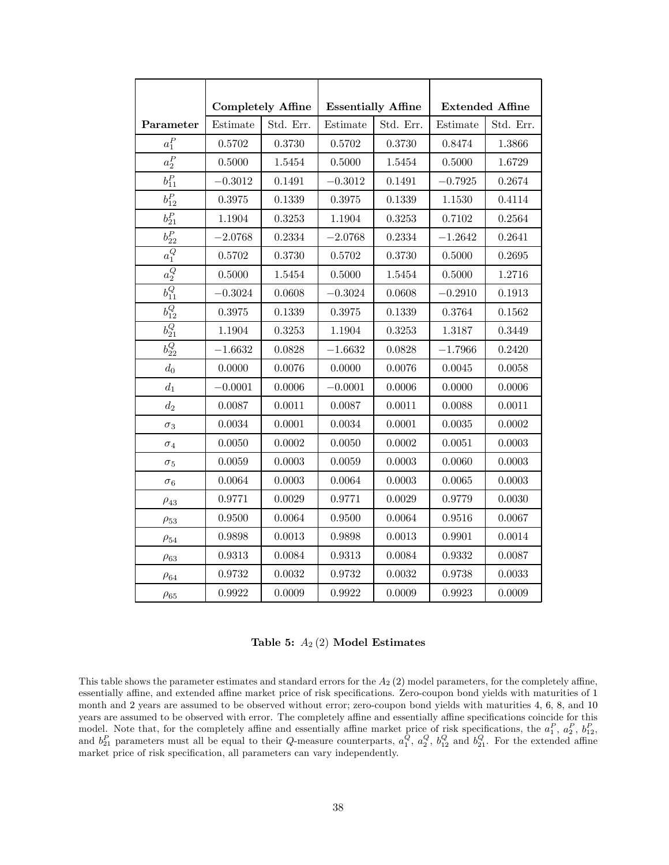|                       |                                             | <b>Completely Affine</b> |           | <b>Essentially Affine</b> |           | <b>Extended Affine</b> |
|-----------------------|---------------------------------------------|--------------------------|-----------|---------------------------|-----------|------------------------|
| Parameter             | $\begin{array}{c} \rm Estimate \end{array}$ | Std. Err.                | Estimate  | Std. Err.                 | Estimate  | Std. Err.              |
| $a_1^P$               | 0.5702                                      | 0.3730                   | 0.5702    | 0.3730                    | 0.8474    | 1.3866                 |
| $a_2^P$               | 0.5000                                      | 1.5454                   | 0.5000    | 1.5454                    | 0.5000    | 1.6729                 |
| $b_{11}^P$            | $-0.3012$                                   | 0.1491                   | $-0.3012$ | 0.1491                    | $-0.7925$ | 0.2674                 |
| $b_{12}^P$            | 0.3975                                      | 0.1339                   | 0.3975    | 0.1339                    | 1.1530    | 0.4114                 |
| $b_{21}^P$            | 1.1904                                      | 0.3253                   | 1.1904    | 0.3253                    | 0.7102    | 0.2564                 |
| $b^P_{22}$            | $-2.0768$                                   | 0.2334                   | $-2.0768$ | 0.2334                    | $-1.2642$ | 0.2641                 |
| $a_1^Q$               | 0.5702                                      | 0.3730                   | 0.5702    | 0.3730                    | 0.5000    | 0.2695                 |
| $\overline{a_2^Q}$    | 0.5000                                      | 1.5454                   | 0.5000    | 1.5454                    | 0.5000    | 1.2716                 |
| $\overline{b_{11}^Q}$ | $-0.3024$                                   | 0.0608                   | $-0.3024$ | 0.0608                    | $-0.2910$ | 0.1913                 |
| $\overline{b_{12}^Q}$ | 0.3975                                      | 0.1339                   | 0.3975    | 0.1339                    | 0.3764    | 0.1562                 |
| $b_{21}^Q$            | 1.1904                                      | 0.3253                   | 1.1904    | 0.3253                    | 1.3187    | 0.3449                 |
| $b_{22}^Q$            | $-1.6632$                                   | 0.0828                   | $-1.6632$ | 0.0828                    | $-1.7966$ | 0.2420                 |
| $d_0$                 | 0.0000                                      | 0.0076                   | 0.0000    | 0.0076                    | 0.0045    | 0.0058                 |
| $\mathfrak{d}_1$      | $-0.0001$                                   | 0.0006                   | $-0.0001$ | 0.0006                    | 0.0000    | 0.0006                 |
| $d_2$                 | 0.0087                                      | 0.0011                   | 0.0087    | 0.0011                    | 0.0088    | 0.0011                 |
| $\sigma_3$            | 0.0034                                      | 0.0001                   | 0.0034    | 0.0001                    | 0.0035    | 0.0002                 |
| $\sigma_4$            | 0.0050                                      | 0.0002                   | 0.0050    | 0.0002                    | 0.0051    | 0.0003                 |
| $\sigma_5$            | 0.0059                                      | 0.0003                   | 0.0059    | 0.0003                    | 0.0060    | 0.0003                 |
| $\sigma_6$            | 0.0064                                      | 0.0003                   | 0.0064    | 0.0003                    | 0.0065    | 0.0003                 |
| $\rho_{43}$           | 0.9771                                      | 0.0029                   | 0.9771    | 0.0029                    | 0.9779    | 0.0030                 |
| $\rho_{53}$           | 0.9500                                      | 0.0064                   | 0.9500    | 0.0064                    | 0.9516    | 0.0067                 |
| $\rho_{54}$           | 0.9898                                      | 0.0013                   | 0.9898    | 0.0013                    | 0.9901    | 0.0014                 |
| $\rho_{63}$           | 0.9313                                      | 0.0084                   | 0.9313    | 0.0084                    | 0.9332    | 0.0087                 |
| $\rho_{64}$           | 0.9732                                      | 0.0032                   | 0.9732    | 0.0032                    | 0.9738    | 0.0033                 |
| $\rho_{65}$           | 0.9922                                      | 0.0009                   | 0.9922    | 0.0009                    | 0.9923    | 0.0009                 |

Table 5:  $A_2(2)$  Model Estimates

This table shows the parameter estimates and standard errors for the  $A<sub>2</sub>(2)$  model parameters, for the completely affine, essentially affine, and extended affine market price of risk specifications. Zero-coupon bond yields with maturities of 1 month and 2 years are assumed to be observed without error; zero-coupon bond yields with maturities 4, 6, 8, and 10 years are assumed to be observed with error. The completely affine and essentially affine specifications coincide for this model. Note that, for the completely affine and essentially affine market price of risk specifications, the  $a_1^P$ ,  $a_2^P$ ,  $b_{12}^P$ , and  $b_{21}^P$  parameters must all be equal to their Q-measure counterparts,  $a_1^Q$ ,  $a_2^Q$ ,  $b_{12}^Q$  and  $b_{21}^Q$ . For the extended affine market price of risk specification, all parameters can vary independently.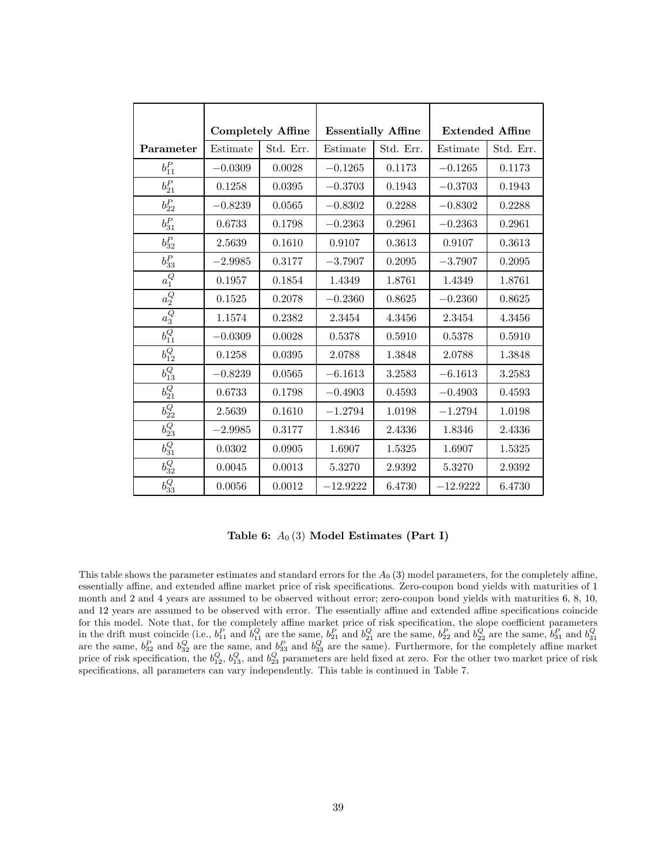|                       |           | <b>Completely Affine</b> | <b>Essentially Affine</b> |           | <b>Extended Affine</b> |           |
|-----------------------|-----------|--------------------------|---------------------------|-----------|------------------------|-----------|
| Parameter             | Estimate  | Std. Err.                | Estimate                  | Std. Err. | Estimate               | Std. Err. |
| $b^P_{11}$            | $-0.0309$ | 0.0028                   | $-0.1265$                 | 0.1173    | $-0.1265$              | 0.1173    |
| $b^P_{21}$            | 0.1258    | 0.0395                   | $-0.3703$                 | 0.1943    | $-0.3703$              | 0.1943    |
| $b^P_{22}$            | $-0.8239$ | 0.0565                   | $-0.8302$                 | 0.2288    | $-0.8302$              | 0.2288    |
| $b^P_{31}$            | 0.6733    | 0.1798                   | $-0.2363$                 | 0.2961    | $-0.2363$              | 0.2961    |
| $b^P_{32}$            | 2.5639    | 0.1610                   | 0.9107                    | 0.3613    | 0.9107                 | 0.3613    |
| $b^P_{33}$            | $-2.9985$ | 0.3177                   | $-3.7907$                 | 0.2095    | $-3.7907$              | 0.2095    |
| $\overline{a_1^Q}$    | 0.1957    | 0.1854                   | 1.4349                    | 1.8761    | 1.4349                 | 1.8761    |
| $\overline{a_2^Q}$    | 0.1525    | 0.2078                   | $-0.2360$                 | 0.8625    | $-0.2360$              | 0.8625    |
| $\overline{a_3^Q}$    | 1.1574    | 0.2382                   | 2.3454                    | 4.3456    | 2.3454                 | 4.3456    |
| $b_{11}^Q$            | $-0.0309$ | 0.0028                   | 0.5378                    | 0.5910    | 0.5378                 | 0.5910    |
| $b_{12}^Q$            | 0.1258    | 0.0395                   | 2.0788                    | 1.3848    | 2.0788                 | 1.3848    |
| $b_{13}^Q$            | $-0.8239$ | 0.0565                   | $-6.1613$                 | 3.2583    | $-6.1613$              | 3.2583    |
| $b^Q_{21}$            | 0.6733    | 0.1798                   | $-0.4903$                 | 0.4593    | $-0.4903$              | 0.4593    |
| $b^Q_{22}$            | 2.5639    | 0.1610                   | $-1.2794$                 | 1.0198    | $-1.2794$              | 1.0198    |
| $b^Q_{23}$            | $-2.9985$ | 0.3177                   | 1.8346                    | 2.4336    | 1.8346                 | 2.4336    |
| $\overline{b^Q_{31}}$ | 0.0302    | 0.0905                   | 1.6907                    | 1.5325    | 1.6907                 | 1.5325    |
| $b^Q_{32}$            | 0.0045    | 0.0013                   | 5.3270                    | 2.9392    | 5.3270                 | 2.9392    |
| $b_{33}^Q$            | 0.0056    | 0.0012                   | $-12.9222$                | 6.4730    | $-12.9222$             | 6.4730    |

Table 6:  $A_0(3)$  Model Estimates (Part I)

This table shows the parameter estimates and standard errors for the  $A<sub>0</sub>(3)$  model parameters, for the completely affine, essentially affine, and extended affine market price of risk specifications. Zero-coupon bond yields with maturities of 1 month and 2 and 4 years are assumed to be observed without error; zero-coupon bond yields with maturities 6, 8, 10, and 12 years are assumed to be observed with error. The essentially affine and extended affine specifications coincide for this model. Note that, for the completely affine market price of risk specification, the slope coefficient parameters in the drift must coincide (i.e.,  $b_{11}^P$  and  $b_{11}^Q$  are the same,  $b_{21}^P$  and  $b_{21}^Q$  are the same,  $b_{22}^P$  and  $b_{22}^Q$  are the same,  $b_{31}^P$  and  $b_{31}^Q$  are the same,  $b_{32}^P$  and  $b_{33}^Q$  are the sam price of risk specification, the  $b_{12}^Q$ ,  $b_{13}^Q$ , and  $b_{23}^Q$  parameters are held fixed at zero. For the other two market price of risk specifications, all parameters can vary independently. This table is continued in Table 7.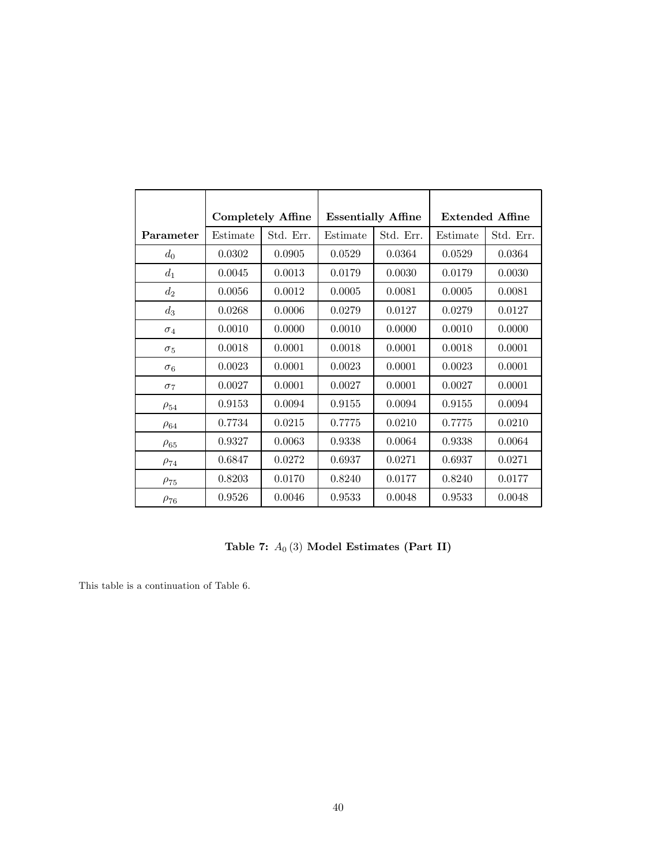|             |          | <b>Completely Affine</b> | <b>Essentially Affine</b> |           | <b>Extended Affine</b> |           |
|-------------|----------|--------------------------|---------------------------|-----------|------------------------|-----------|
| Parameter   | Estimate | Std. Err.                | Estimate                  | Std. Err. | Estimate               | Std. Err. |
| $d_0$       | 0.0302   | 0.0905                   | 0.0529                    | 0.0364    | 0.0529                 | 0.0364    |
| $d_1$       | 0.0045   | 0.0013                   | 0.0179                    | 0.0030    | 0.0179                 | 0.0030    |
| $d_2$       | 0.0056   | 0.0012                   | 0.0005                    | 0.0081    | 0.0005                 | 0.0081    |
| $d_3$       | 0.0268   | 0.0006                   | 0.0279                    | 0.0127    | 0.0279                 | 0.0127    |
| $\sigma_4$  | 0.0010   | 0.0000                   | 0.0010                    | 0.0000    | 0.0010                 | 0.0000    |
| $\sigma_5$  | 0.0018   | 0.0001                   | 0.0018                    | 0.0001    | 0.0018                 | 0.0001    |
| $\sigma_6$  | 0.0023   | 0.0001                   | 0.0023                    | 0.0001    | 0.0023                 | 0.0001    |
| $\sigma$ 7  | 0.0027   | 0.0001                   | 0.0027                    | 0.0001    | 0.0027                 | 0.0001    |
| $\rho_{54}$ | 0.9153   | 0.0094                   | 0.9155                    | 0.0094    | 0.9155                 | 0.0094    |
| $\rho_{64}$ | 0.7734   | 0.0215                   | 0.7775                    | 0.0210    | 0.7775                 | 0.0210    |
| $\rho_{65}$ | 0.9327   | 0.0063                   | 0.9338                    | 0.0064    | 0.9338                 | 0.0064    |
| $\rho_{74}$ | 0.6847   | 0.0272                   | 0.6937                    | 0.0271    | 0.6937                 | 0.0271    |
| $\rho_{75}$ | 0.8203   | 0.0170                   | 0.8240                    | 0.0177    | 0.8240                 | 0.0177    |
| $\rho_{76}$ | 0.9526   | 0.0046                   | 0.9533                    | 0.0048    | 0.9533                 | 0.0048    |

Table 7:  $A_0(3)$  Model Estimates (Part II)

This table is a continuation of Table 6.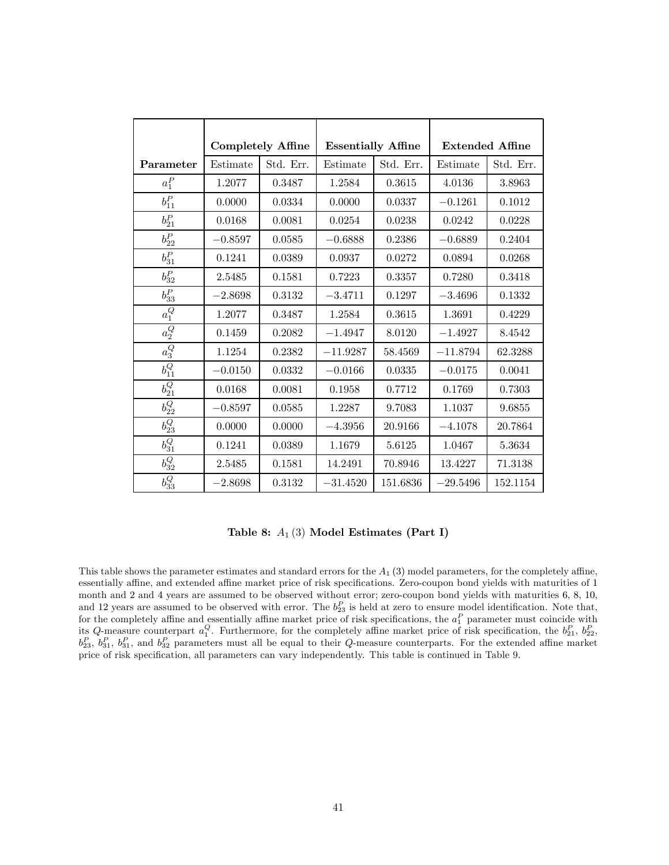|                       |           | <b>Completely Affine</b> |            | <b>Essentially Affine</b> |            | <b>Extended Affine</b> |  |
|-----------------------|-----------|--------------------------|------------|---------------------------|------------|------------------------|--|
| Parameter             | Estimate  | Std. Err.                | Estimate   | Std. Err.                 | Estimate   | Std. Err.              |  |
| $a_1^P$               | 1.2077    | 0.3487                   | 1.2584     | 0.3615                    | 4.0136     | 3.8963                 |  |
| $b^P_{11}$            | 0.0000    | 0.0334                   | 0.0000     | 0.0337                    | $-0.1261$  | 0.1012                 |  |
| $b_{21}^P$            | 0.0168    | 0.0081                   | 0.0254     | 0.0238                    | 0.0242     | 0.0228                 |  |
| $b^P_{22}$            | $-0.8597$ | 0.0585                   | $-0.6888$  | 0.2386                    | $-0.6889$  | 0.2404                 |  |
| $b^P_{31}$            | 0.1241    | 0.0389                   | 0.0937     | 0.0272                    | 0.0894     | 0.0268                 |  |
| $b^P_{32}$            | 2.5485    | 0.1581                   | 0.7223     | 0.3357                    | 0.7280     | 0.3418                 |  |
| $b^P_{33}$            | $-2.8698$ | 0.3132                   | $-3.4711$  | 0.1297                    | $-3.4696$  | 0.1332                 |  |
| $a_1^Q$               | 1.2077    | 0.3487                   | 1.2584     | 0.3615                    | 1.3691     | 0.4229                 |  |
| $a_2^Q$               | 0.1459    | 0.2082                   | $-1.4947$  | 8.0120                    | $-1.4927$  | 8.4542                 |  |
| $\overline{a_3^Q}$    | 1.1254    | 0.2382                   | $-11.9287$ | 58.4569                   | $-11.8794$ | 62.3288                |  |
| $\overline{b_{11}^Q}$ | $-0.0150$ | 0.0332                   | $-0.0166$  | 0.0335                    | $-0.0175$  | 0.0041                 |  |
| $b^Q_{21}$            | 0.0168    | 0.0081                   | 0.1958     | 0.7712                    | 0.1769     | 0.7303                 |  |
| $b^Q_{22}$            | $-0.8597$ | 0.0585                   | 1.2287     | 9.7083                    | 1.1037     | 9.6855                 |  |
| $\overline{b_{23}^Q}$ | 0.0000    | 0.0000                   | $-4.3956$  | 20.9166                   | $-4.1078$  | 20.7864                |  |
| $b_{31}^Q$            | 0.1241    | 0.0389                   | 1.1679     | 5.6125                    | 1.0467     | 5.3634                 |  |
| $b^Q_{32}$            | 2.5485    | 0.1581                   | 14.2491    | 70.8946                   | 13.4227    | 71.3138                |  |
| $b_{33}^Q$            | $-2.8698$ | 0.3132                   | $-31.4520$ | 151.6836                  | $-29.5496$ | 152.1154               |  |

Table 8:  $A_1$  (3) Model Estimates (Part I)

This table shows the parameter estimates and standard errors for the  $A_1$  (3) model parameters, for the completely affine, essentially affine, and extended affine market price of risk specifications. Zero-coupon bond yields with maturities of 1 month and 2 and 4 years are assumed to be observed without error; zero-coupon bond yields with maturities 6, 8, 10, and 12 years are assumed to be observed with error. The  $b_{23}^P$  is held at zero to ensure model identification. Note that, for the completely affine and essentially affine market price of risk specifications, the  $a_1^P$  parameter must coincide with its Q-measure counterpart  $a_1^Q$ . Furthermore, for the completely affine market price of risk specification, the  $b_{21}^P$ ,  $b_{22}^P$ ,  $b_{23}^P$ ,  $b_{31}^P$ ,  $b_{31}^P$ , and  $b_{32}^P$  parameters must all be equal to their Q-measure counterparts. For the extended affine market price of risk specification, all parameters can vary independently. This table is continued in Table 9.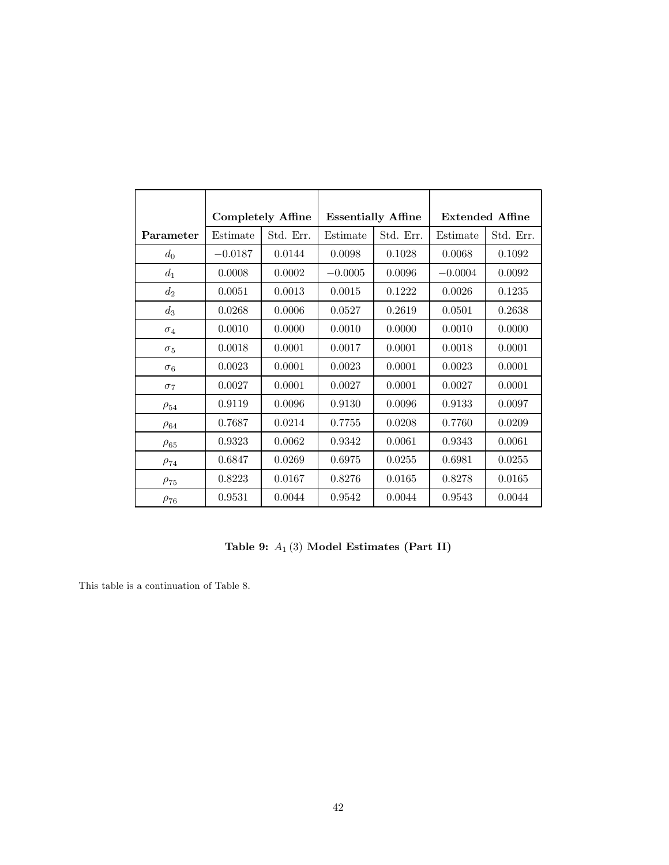|             |           | <b>Completely Affine</b> |           | <b>Essentially Affine</b> |           | <b>Extended Affine</b> |  |
|-------------|-----------|--------------------------|-----------|---------------------------|-----------|------------------------|--|
| Parameter   | Estimate  | Std. Err.                | Estimate  | Std. Err.                 | Estimate  | Std. Err.              |  |
| $d_0$       | $-0.0187$ | 0.0144                   | 0.0098    | 0.1028                    | 0.0068    | 0.1092                 |  |
| $d_1$       | 0.0008    | 0.0002                   | $-0.0005$ | 0.0096                    | $-0.0004$ | 0.0092                 |  |
| $d_2$       | 0.0051    | 0.0013                   | 0.0015    | 0.1222                    | 0.0026    | 0.1235                 |  |
| $d_3$       | 0.0268    | 0.0006                   | 0.0527    | 0.2619                    | 0.0501    | 0.2638                 |  |
| $\sigma_4$  | 0.0010    | 0.0000                   | 0.0010    | 0.0000                    | 0.0010    | 0.0000                 |  |
| $\sigma_5$  | 0.0018    | 0.0001                   | 0.0017    | 0.0001                    | 0.0018    | 0.0001                 |  |
| $\sigma_6$  | 0.0023    | 0.0001                   | 0.0023    | 0.0001                    | 0.0023    | 0.0001                 |  |
| $\sigma$ 7  | 0.0027    | 0.0001                   | 0.0027    | 0.0001                    | 0.0027    | 0.0001                 |  |
| $\rho_{54}$ | 0.9119    | 0.0096                   | 0.9130    | 0.0096                    | 0.9133    | 0.0097                 |  |
| $\rho_{64}$ | 0.7687    | 0.0214                   | 0.7755    | 0.0208                    | 0.7760    | 0.0209                 |  |
| $\rho_{65}$ | 0.9323    | 0.0062                   | 0.9342    | 0.0061                    | 0.9343    | 0.0061                 |  |
| $\rho_{74}$ | 0.6847    | 0.0269                   | 0.6975    | 0.0255                    | 0.6981    | 0.0255                 |  |
| $\rho_{75}$ | 0.8223    | 0.0167                   | 0.8276    | 0.0165                    | 0.8278    | 0.0165                 |  |
| $\rho_{76}$ | 0.9531    | 0.0044                   | 0.9542    | 0.0044                    | 0.9543    | 0.0044                 |  |

Table 9:  $A_1(3)$  Model Estimates (Part II)

This table is a continuation of Table 8.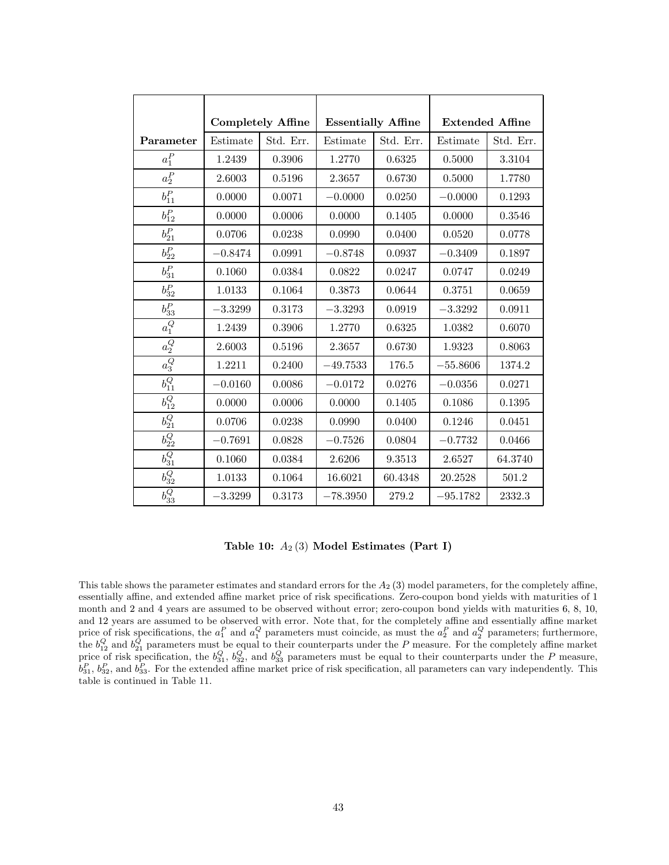|                       |           | <b>Completely Affine</b> | <b>Essentially Affine</b> |           | <b>Extended Affine</b> |           |
|-----------------------|-----------|--------------------------|---------------------------|-----------|------------------------|-----------|
| Parameter             | Estimate  | Std. Err.                | Estimate                  | Std. Err. | Estimate               | Std. Err. |
| $a_1^P$               | 1.2439    | 0.3906                   | 1.2770                    | 0.6325    | 0.5000                 | 3.3104    |
| $a_2^{\cal P}$        | 2.6003    | 0.5196                   | 2.3657                    | 0.6730    | 0.5000                 | 1.7780    |
| $b^P_{11}$            | 0.0000    | 0.0071                   | $-0.0000$                 | 0.0250    | $-0.0000$              | 0.1293    |
| $b^P_{12}$            | 0.0000    | 0.0006                   | 0.0000                    | 0.1405    | 0.0000                 | 0.3546    |
| $b^P_{21}$            | 0.0706    | 0.0238                   | 0.0990                    | 0.0400    | 0.0520                 | 0.0778    |
| $b^P_{22}$            | $-0.8474$ | 0.0991                   | $-0.8748$                 | 0.0937    | $-0.3409$              | 0.1897    |
| $b_{31}^P$            | 0.1060    | 0.0384                   | 0.0822                    | 0.0247    | 0.0747                 | 0.0249    |
| $b^P_{32}$            | 1.0133    | 0.1064                   | 0.3873                    | 0.0644    | 0.3751                 | 0.0659    |
| $b^P_{33}$            | $-3.3299$ | 0.3173                   | $-3.3293$                 | 0.0919    | $-3.3292$              | 0.0911    |
| $\overline{a_1^Q}$    | 1.2439    | 0.3906                   | 1.2770                    | 0.6325    | 1.0382                 | 0.6070    |
| $\overline{a_2^Q}$    | 2.6003    | 0.5196                   | 2.3657                    | 0.6730    | 1.9323                 | 0.8063    |
| $\overline{a_3^Q}$    | 1.2211    | 0.2400                   | $-49.7533$                | 176.5     | $-55.8606$             | 1374.2    |
| $\overline{b_{11}^Q}$ | $-0.0160$ | 0.0086                   | $-0.0172$                 | 0.0276    | $-0.0356$              | 0.0271    |
| $b_{12}^Q$            | 0.0000    | 0.0006                   | 0.0000                    | 0.1405    | 0.1086                 | 0.1395    |
| $b^Q_{21}$            | 0.0706    | 0.0238                   | 0.0990                    | 0.0400    | 0.1246                 | 0.0451    |
| $b^Q_{22}$            | $-0.7691$ | 0.0828                   | $-0.7526$                 | 0.0804    | $-0.7732$              | 0.0466    |
| $\overline{b^Q_{31}}$ | 0.1060    | 0.0384                   | 2.6206                    | 9.3513    | 2.6527                 | 64.3740   |
| $b_{32}^Q$            | 1.0133    | 0.1064                   | 16.6021                   | 60.4348   | 20.2528                | 501.2     |
| $b^Q_{33}$            | $-3.3299$ | 0.3173                   | $-78.3950$                | 279.2     | $-95.1782$             | 2332.3    |

Table 10:  $A_2$  (3) Model Estimates (Part I)

This table shows the parameter estimates and standard errors for the  $A<sub>2</sub>(3)$  model parameters, for the completely affine, essentially affine, and extended affine market price of risk specifications. Zero-coupon bond yields with maturities of 1 month and 2 and 4 years are assumed to be observed without error; zero-coupon bond yields with maturities 6, 8, 10, and 12 years are assumed to be observed with error. Note that, for the completely affine and essentially affine market price of risk specifications, the  $a_1^P$  and  $a_1^Q$  parameters must coincide, as must the  $a_2^P$  and  $a_2^Q$  parameters; furthermore, the  $b_{12}^Q$  and  $b_{21}^Q$  parameters must be equal to their counterparts under the P measure. For the completely affine market price of risk specification, the  $b_{31}^Q$ ,  $b_{32}^Q$ , and  $b_{33}^Q$  parameters must be equal to their counterparts under the P measure,  $b_{31}^P$ ,  $b_{32}^P$ , and  $b_{33}^P$ . For the extended affine market price of risk specification, all parameters can vary independently. This table is continued in Table 11.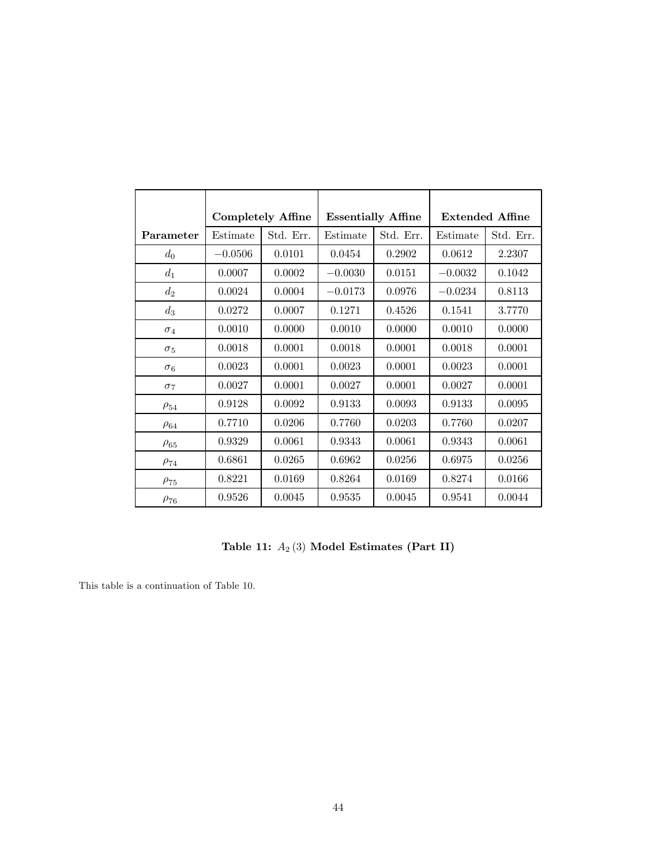|             |           | <b>Completely Affine</b> | <b>Essentially Affine</b> |           | <b>Extended Affine</b> |           |
|-------------|-----------|--------------------------|---------------------------|-----------|------------------------|-----------|
| Parameter   | Estimate  | Std. Err.                | Estimate                  | Std. Err. | Estimate               | Std. Err. |
| $d_0$       | $-0.0506$ | 0.0101                   | 0.0454                    | 0.2902    | 0.0612                 | 2.2307    |
| $d_1$       | 0.0007    | 0.0002                   | $-0.0030$                 | 0.0151    | $-0.0032$              | 0.1042    |
| $d_2$       | 0.0024    | 0.0004                   | $-0.0173$                 | 0.0976    | $-0.0234$              | 0.8113    |
| $d_3$       | 0.0272    | 0.0007                   | 0.1271                    | 0.4526    | 0.1541                 | 3.7770    |
| $\sigma_4$  | 0.0010    | 0.0000                   | 0.0010                    | 0.0000    | 0.0010                 | 0.0000    |
| $\sigma_5$  | 0.0018    | 0.0001                   | 0.0018                    | 0.0001    | 0.0018                 | 0.0001    |
| $\sigma_6$  | 0.0023    | 0.0001                   | 0.0023                    | 0.0001    | 0.0023                 | 0.0001    |
| $\sigma$ 7  | 0.0027    | 0.0001                   | 0.0027                    | 0.0001    | 0.0027                 | 0.0001    |
| $\rho_{54}$ | 0.9128    | 0.0092                   | 0.9133                    | 0.0093    | 0.9133                 | 0.0095    |
| $\rho_{64}$ | 0.7710    | 0.0206                   | 0.7760                    | 0.0203    | 0.7760                 | 0.0207    |
| $\rho_{65}$ | 0.9329    | 0.0061                   | 0.9343                    | 0.0061    | 0.9343                 | 0.0061    |
| $\rho_{74}$ | 0.6861    | 0.0265                   | 0.6962                    | 0.0256    | 0.6975                 | 0.0256    |
| $\rho_{75}$ | 0.8221    | 0.0169                   | 0.8264                    | 0.0169    | 0.8274                 | 0.0166    |
| $\rho_{76}$ | 0.9526    | 0.0045                   | 0.9535                    | 0.0045    | 0.9541                 | 0.0044    |

Table 11:  $A_2(3)$  Model Estimates (Part II)

This table is a continuation of Table 10.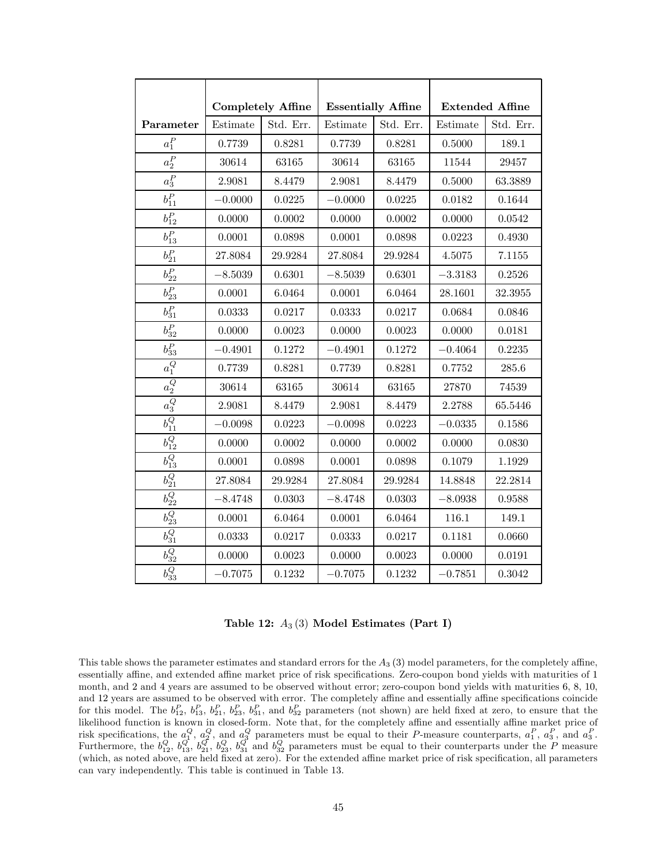|                       | <b>Completely Affine</b> |           |           |                           | <b>Extended Affine</b> |           |
|-----------------------|--------------------------|-----------|-----------|---------------------------|------------------------|-----------|
|                       |                          |           |           | <b>Essentially Affine</b> |                        |           |
| Parameter             | Estimate                 | Std. Err. | Estimate  | Std. Err.                 | Estimate               | Std. Err. |
| $a_1^P$               | 0.7739                   | 0.8281    | 0.7739    | 0.8281                    | 0.5000                 | 189.1     |
| $a_2^P$               | 30614                    | 63165     | 30614     | 63165                     | 11544                  | 29457     |
| $a_3^P\,$             | 2.9081                   | 8.4479    | 2.9081    | 8.4479                    | 0.5000                 | 63.3889   |
| $b^P_{11}$            | $-0.0000$                | 0.0225    | $-0.0000$ | 0.0225                    | 0.0182                 | 0.1644    |
| $b^P_{12}$            | 0.0000                   | 0.0002    | 0.0000    | 0.0002                    | 0.0000                 | 0.0542    |
| $b_{13}^P$            | 0.0001                   | 0.0898    | 0.0001    | 0.0898                    | 0.0223                 | 0.4930    |
| $b_{21}^P$            | 27.8084                  | 29.9284   | 27.8084   | 29.9284                   | 4.5075                 | 7.1155    |
| $b^P_{22}$            | $-8.5039$                | 0.6301    | $-8.5039$ | 0.6301                    | $-3.3183$              | 0.2526    |
| $b^P_{23}$            | 0.0001                   | 6.0464    | 0.0001    | 6.0464                    | 28.1601                | 32.3955   |
| $b_{31}^P$            | 0.0333                   | 0.0217    | 0.0333    | 0.0217                    | 0.0684                 | 0.0846    |
| $b^P_{32}$            | 0.0000                   | 0.0023    | 0.0000    | 0.0023                    | 0.0000                 | 0.0181    |
| $b^P_{33}$            | $-0.4901$                | 0.1272    | $-0.4901$ | 0.1272                    | $-0.4064$              | 0.2235    |
| $a_1^Q$               | 0.7739                   | 0.8281    | 0.7739    | 0.8281                    | 0.7752                 | 285.6     |
| $\overline{a_2^Q}$    | 30614                    | 63165     | 30614     | 63165                     | 27870                  | 74539     |
| $a_3^Q$               | 2.9081                   | 8.4479    | 2.9081    | 8.4479                    | 2.2788                 | 65.5446   |
| $\overline{b_{11}^Q}$ | $-0.0098$                | 0.0223    | $-0.0098$ | 0.0223                    | $-0.0335$              | 0.1586    |
| $b_{12}^Q$            | 0.0000                   | 0.0002    | 0.0000    | 0.0002                    | 0.0000                 | 0.0830    |
| $b_{13}^Q$            | 0.0001                   | 0.0898    | 0.0001    | 0.0898                    | 0.1079                 | 1.1929    |
| $\overline{b^Q_{21}}$ | 27.8084                  | 29.9284   | 27.8084   | 29.9284                   | 14.8848                | 22.2814   |
| $\overline{b_{22}^Q}$ | $-8.4748$                | 0.0303    | $-8.4748$ | 0.0303                    | $-8.0938$              | 0.9588    |
| $b_{23}^Q$            | 0.0001                   | 6.0464    | 0.0001    | 6.0464                    | 116.1                  | 149.1     |
| $b_{31}^Q$            | 0.0333                   | 0.0217    | 0.0333    | 0.0217                    | 0.1181                 | 0.0660    |
| $b^Q_{32}$            | 0.0000                   | 0.0023    | 0.0000    | 0.0023                    | 0.0000                 | 0.0191    |
| $\overline{b_{33}^Q}$ | $-0.7075$                | 0.1232    | $-0.7075$ | 0.1232                    | $-0.7851$              | 0.3042    |

Table 12:  $A_3(3)$  Model Estimates (Part I)

This table shows the parameter estimates and standard errors for the  $A_3$  (3) model parameters, for the completely affine, essentially affine, and extended affine market price of risk specifications. Zero-coupon bond yields with maturities of 1 month, and 2 and 4 years are assumed to be observed without error; zero-coupon bond yields with maturities 6, 8, 10, and 12 years are assumed to be observed with error. The completely affine and essentially affine specifications coincide for this model. The  $b_{12}^P$ ,  $b_{13}^P$ ,  $b_{21}^P$ ,  $b_{23}^P$ ,  $b_{31}^P$ , and  $b_{32}^P$  parameters (not shown) are held fixed at zero, to ensure that the likelihood function is known in closed-form. Note that, for the completely affine and essentially affine market price of risk specifications, the  $a_1^Q$ ,  $a_2^Q$ , and  $a_3^Q$  parameters must be equal to their P-measure counterparts,  $a_1^P$ ,  $a_3^P$ , and  $a_3^P$ . Furthermore, the  $b_{12}^Q$ ,  $b_{21}^Q$ ,  $b_{21}^Q$ ,  $b_{23}^Q$ ,  $b_{31}^Q$  and  $b_{32}^Q$  parameters must be equal to their counterparts under the P measure (which, as noted above, are held fixed at zero). For the extended affine market price of risk specification, all parameters can vary independently. This table is continued in Table 13.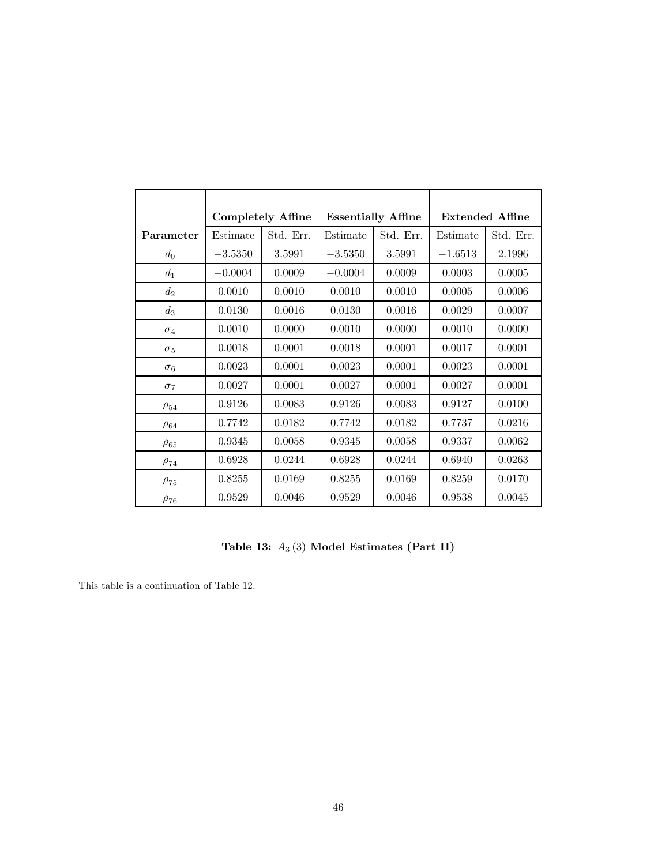|             | <b>Completely Affine</b> |           |           | <b>Essentially Affine</b> |           | <b>Extended Affine</b> |
|-------------|--------------------------|-----------|-----------|---------------------------|-----------|------------------------|
| Parameter   | Estimate                 | Std. Err. | Estimate  | Std. Err.                 | Estimate  | Std. Err.              |
| $d_0$       | $-3.5350$                | 3.5991    | $-3.5350$ | 3.5991                    | $-1.6513$ | 2.1996                 |
| $d_1$       | $-0.0004$                | 0.0009    | $-0.0004$ | 0.0009                    | 0.0003    | 0.0005                 |
| $d_2$       | 0.0010                   | 0.0010    | 0.0010    | 0.0010                    | 0.0005    | 0.0006                 |
| $d_3$       | 0.0130                   | 0.0016    | 0.0130    | 0.0016                    | 0.0029    | 0.0007                 |
| $\sigma_4$  | 0.0010                   | 0.0000    | 0.0010    | 0.0000                    | 0.0010    | 0.0000                 |
| $\sigma_5$  | 0.0018                   | 0.0001    | 0.0018    | 0.0001                    | 0.0017    | 0.0001                 |
| $\sigma_6$  | 0.0023                   | 0.0001    | 0.0023    | 0.0001                    | 0.0023    | 0.0001                 |
| $\sigma$ 7  | 0.0027                   | 0.0001    | 0.0027    | 0.0001                    | 0.0027    | 0.0001                 |
| $\rho_{54}$ | 0.9126                   | 0.0083    | 0.9126    | 0.0083                    | 0.9127    | 0.0100                 |
| $\rho_{64}$ | 0.7742                   | 0.0182    | 0.7742    | 0.0182                    | 0.7737    | 0.0216                 |
| $\rho_{65}$ | 0.9345                   | 0.0058    | 0.9345    | 0.0058                    | 0.9337    | 0.0062                 |
| $\rho_{74}$ | 0.6928                   | 0.0244    | 0.6928    | 0.0244                    | 0.6940    | 0.0263                 |
| $\rho_{75}$ | 0.8255                   | 0.0169    | 0.8255    | 0.0169                    | 0.8259    | 0.0170                 |
| $\rho_{76}$ | 0.9529                   | 0.0046    | 0.9529    | 0.0046                    | 0.9538    | 0.0045                 |

Table 13:  $A_3(3)$  Model Estimates (Part II)

This table is a continuation of Table 12.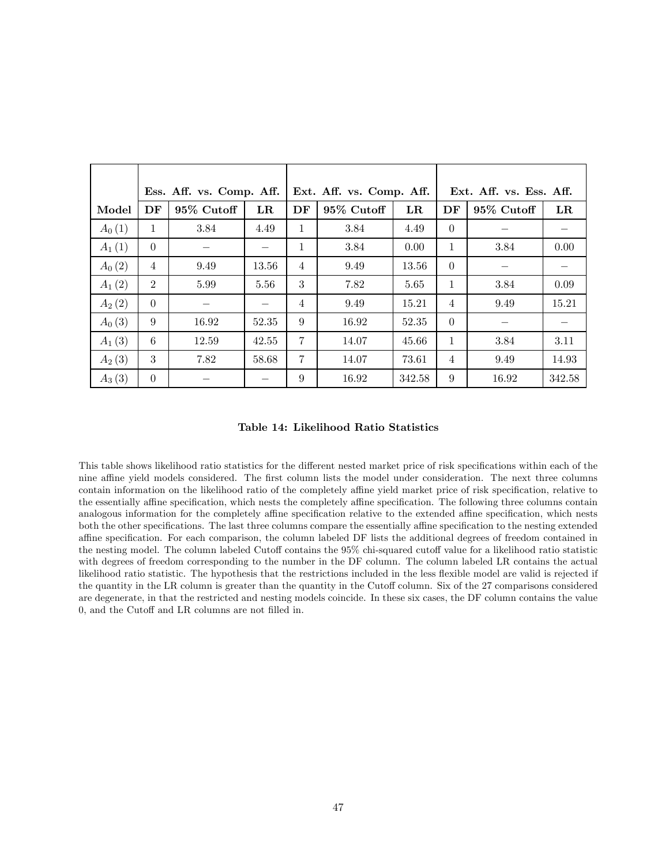|            |                | Ess. Aff. vs. Comp. Aff. |             | Ext. Aff. vs. Ess. Aff.<br>Ext. Aff. vs. Comp. Aff. |             |             |                |            |             |
|------------|----------------|--------------------------|-------------|-----------------------------------------------------|-------------|-------------|----------------|------------|-------------|
| Model      | DF             | 95% Cutoff               | $_{\rm LR}$ | DF                                                  | 95\% Cutoff | $_{\rm LR}$ | DF             | 95% Cutoff | $_{\rm LR}$ |
| $A_0(1)$   | 1              | 3.84                     | 4.49        | 1                                                   | 3.84        | 4.49        | $\Omega$       |            |             |
| $A_1(1)$   | $\Omega$       |                          |             | 1                                                   | 3.84        | 0.00        | 1              | 3.84       | 0.00        |
| $A_0(2)$   | 4              | 9.49                     | 13.56       | 4                                                   | 9.49        | 13.56       | $\Omega$       |            |             |
| $A_1(2)$   | $\overline{2}$ | 5.99                     | 5.56        | 3                                                   | 7.82        | 5.65        | 1              | 3.84       | 0.09        |
| $A_{2}(2)$ | $\theta$       |                          |             | 4                                                   | 9.49        | 15.21       | $\overline{4}$ | 9.49       | 15.21       |
| $A_0(3)$   | 9              | 16.92                    | 52.35       | 9                                                   | 16.92       | 52.35       | $\Omega$       |            |             |
| $A_1(3)$   | 6              | 12.59                    | 42.55       | 7                                                   | 14.07       | 45.66       | 1              | 3.84       | 3.11        |
| $A_2(3)$   | 3              | 7.82                     | 58.68       | 7                                                   | 14.07       | 73.61       | $\overline{4}$ | 9.49       | 14.93       |
| $A_3(3)$   | $\theta$       |                          |             | 9                                                   | 16.92       | 342.58      | 9              | 16.92      | 342.58      |

Table 14: Likelihood Ratio Statistics

This table shows likelihood ratio statistics for the different nested market price of risk specifications within each of the nine affine yield models considered. The first column lists the model under consideration. The next three columns contain information on the likelihood ratio of the completely affine yield market price of risk specification, relative to the essentially affine specification, which nests the completely affine specification. The following three columns contain analogous information for the completely affine specification relative to the extended affine specification, which nests both the other specifications. The last three columns compare the essentially affine specification to the nesting extended affine specification. For each comparison, the column labeled DF lists the additional degrees of freedom contained in the nesting model. The column labeled Cutoff contains the 95% chi-squared cutoff value for a likelihood ratio statistic with degrees of freedom corresponding to the number in the DF column. The column labeled LR contains the actual likelihood ratio statistic. The hypothesis that the restrictions included in the less flexible model are valid is rejected if the quantity in the LR column is greater than the quantity in the Cutoff column. Six of the 27 comparisons considered are degenerate, in that the restricted and nesting models coincide. In these six cases, the DF column contains the value 0, and the Cutoff and LR columns are not filled in.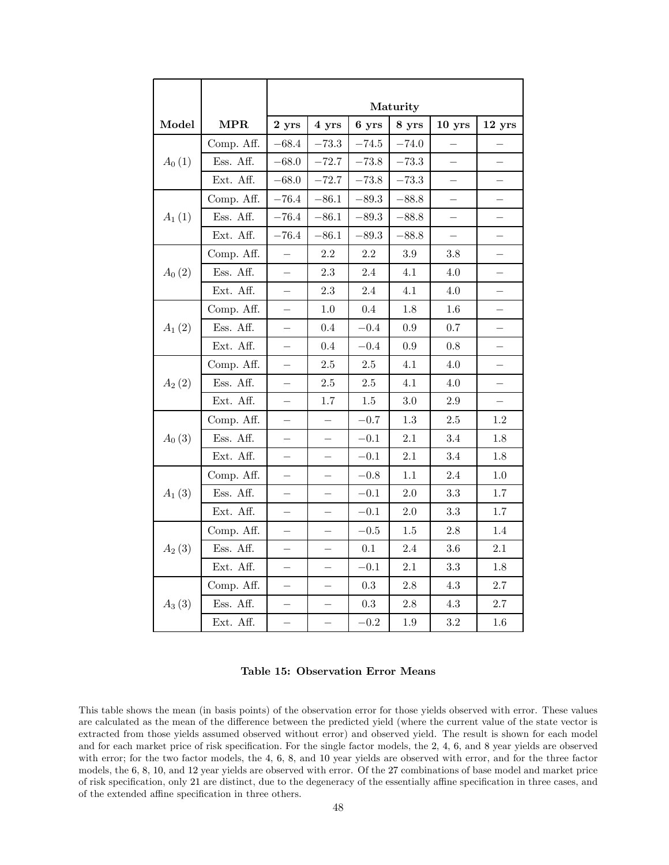|                       |            | Maturity                 |                          |            |         |                          |         |  |
|-----------------------|------------|--------------------------|--------------------------|------------|---------|--------------------------|---------|--|
| Model                 | <b>MPR</b> | 2 yrs                    | 4 yrs                    | 6 yrs      | 8 yrs   | $10$ yrs                 | 12 yrs  |  |
|                       | Comp. Aff. | $-68.4$                  | $-73.3$                  | $-74.5$    | $-74.0$ |                          |         |  |
| $A_0(1)$              | Ess. Aff.  | $-68.0$                  | $-72.7$                  | $-73.8$    | $-73.3$ |                          |         |  |
|                       | Ext. Aff.  | $-68.0$                  | $-72.7$                  | $-73.8$    | $-73.3$ |                          |         |  |
|                       | Comp. Aff. | $-76.4$                  | $-86.1$                  | $-89.3$    | $-88.8$ | $\overline{\phantom{0}}$ |         |  |
| $A_{1}(1)$            | Ess. Aff.  | $-76.4$                  | $-86.1$                  | $-89.3$    | $-88.8$ |                          |         |  |
|                       | Ext. Aff.  | $-76.4$                  | $-86.1$                  | $-89.3$    | $-88.8$ | $\overline{\phantom{0}}$ |         |  |
|                       | Comp. Aff. |                          | 2.2                      | 2.2        | 3.9     | 3.8                      |         |  |
| $A_0(2)$              | Ess. Aff.  | 2.3<br>$\equiv$          |                          | 2.4        | 4.1     | 4.0                      |         |  |
|                       | Ext. Aff.  |                          | 2.3                      | 2.4        | 4.1     | 4.0                      |         |  |
|                       | Comp. Aff. |                          | $1.0\,$                  | 0.4        | 1.8     | $1.6\,$                  |         |  |
| $A_1(2)$              | Ess. Aff.  |                          | 0.4                      | $\!-0.4\!$ | 0.9     | 0.7                      |         |  |
|                       | Ext. Aff.  |                          | 0.4                      | $-0.4$     | 0.9     | 0.8                      |         |  |
|                       | Comp. Aff. |                          | 2.5                      | $2.5\,$    | 4.1     | 4.0                      |         |  |
| $A_{2}(2)$            | Ess. Aff.  |                          | $2.5\,$                  | 2.5        | 4.1     | 4.0                      |         |  |
|                       | Ext. Aff.  |                          | 1.7                      | 1.5        | 3.0     | 2.9                      |         |  |
|                       | Comp. Aff. |                          |                          | $-0.7$     | 1.3     | 2.5                      | 1.2     |  |
| $A_0(3)$              | Ess. Aff.  |                          |                          | $-0.1$     | 2.1     | 3.4                      | 1.8     |  |
|                       | Ext. Aff.  | $\overline{\phantom{0}}$ | $\overline{\phantom{0}}$ | $-0.1$     | $2.1\,$ | 3.4                      | 1.8     |  |
|                       | Comp. Aff. |                          |                          | $-0.8$     | 1.1     | 2.4                      | $1.0\,$ |  |
| $A_1(3)$              | Ess. Aff.  | $\overline{\phantom{0}}$ | $\equiv$                 | $-0.1$     | 2.0     | 3.3                      | 1.7     |  |
|                       | Ext. Aff.  | $\equiv$                 | $\overline{\phantom{0}}$ | $\!-0.1$   | $2.0\,$ | $\!3.3$                  | 1.7     |  |
|                       | Comp. Aff. |                          |                          | $-0.5$     | $1.5\,$ | 2.8                      | 1.4     |  |
| $A_{2}\left(3\right)$ | Ess. Aff.  |                          |                          | $0.1\,$    | $2.4\,$ | $3.6\,$                  | $2.1\,$ |  |
|                       | Ext. Aff.  |                          |                          | $-0.1$     | $2.1\,$ | $\!3.3$                  | $1.8\,$ |  |
|                       | Comp. Aff. |                          |                          | 0.3        | 2.8     | 4.3                      | 2.7     |  |
| $A_3(3)$              | Ess. Aff.  |                          |                          | $\rm 0.3$  | $2.8\,$ | $4.3\,$                  | 2.7     |  |
|                       | Ext. Aff.  | $\equiv$                 | $\equiv$                 | $-0.2$     | 1.9     | $\!3.2\!$                | 1.6     |  |

Table 15: Observation Error Means

This table shows the mean (in basis points) of the observation error for those yields observed with error. These values are calculated as the mean of the difference between the predicted yield (where the current value of the state vector is extracted from those yields assumed observed without error) and observed yield. The result is shown for each model and for each market price of risk specification. For the single factor models, the 2, 4, 6, and 8 year yields are observed with error; for the two factor models, the 4, 6, 8, and 10 year yields are observed with error, and for the three factor models, the 6, 8, 10, and 12 year yields are observed with error. Of the 27 combinations of base model and market price of risk specification, only 21 are distinct, due to the degeneracy of the essentially affine specification in three cases, and of the extended affine specification in three others.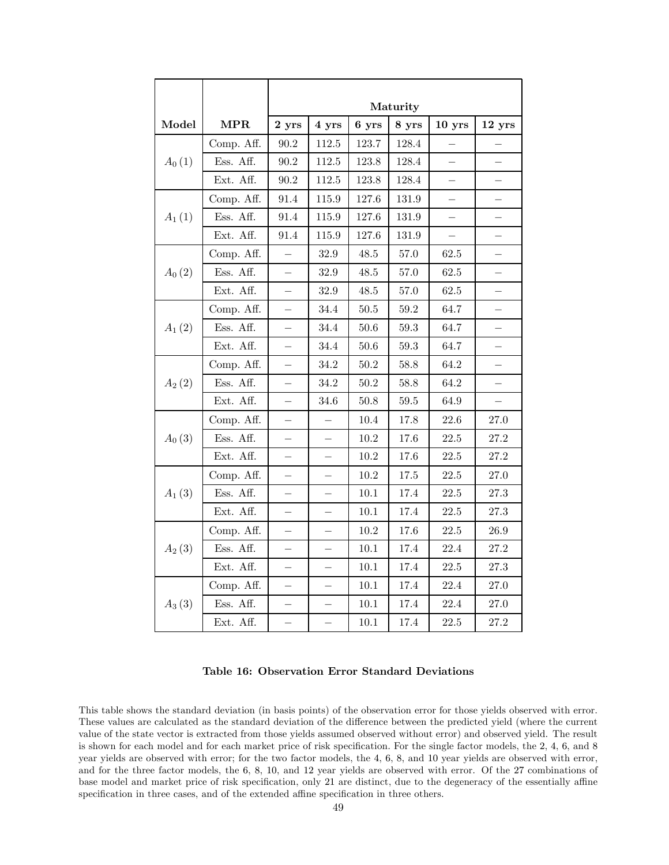|            |            | Maturity                 |                          |              |           |          |          |
|------------|------------|--------------------------|--------------------------|--------------|-----------|----------|----------|
|            |            |                          |                          |              |           |          |          |
| Model      | <b>MPR</b> | 2 yrs                    | 4 yrs                    | 6 yrs        | 8 yrs     | $10$ yrs | 12 yrs   |
|            | Comp. Aff. | $90.2\,$                 | 112.5                    | 123.7        | 128.4     |          |          |
| $A_0(1)$   | Ess. Aff.  | 90.2                     | 112.5                    | 123.8        | 128.4     |          |          |
|            | Ext. Aff.  | 90.2                     | 112.5                    | 123.8        | 128.4     |          |          |
|            | Comp. Aff. | 91.4                     | 115.9                    | 127.6        | 131.9     |          |          |
| $A_1(1)$   | Ess. Aff.  | 91.4                     | 115.9                    | 127.6        | $131.9\,$ |          |          |
|            | Ext. Aff.  | 91.4                     | 115.9                    | 127.6        | 131.9     | $\equiv$ |          |
|            | Comp. Aff. |                          | 32.9                     | 48.5         | 57.0      | $62.5\,$ |          |
| $A_0(2)$   | Ess. Aff.  | $\equiv$                 | 32.9                     | 48.5<br>57.0 |           | $62.5\,$ |          |
|            | Ext. Aff.  |                          | 32.9                     | $48.5\,$     | 57.0      | $62.5\,$ |          |
|            | Comp. Aff. |                          | 34.4                     | 50.5         | 59.2      | 64.7     |          |
| $A_{1}(2)$ | Ess. Aff.  |                          | 34.4                     | $50.6\,$     | $59.3\,$  | 64.7     |          |
|            | Ext. Aff.  |                          | 34.4                     | 50.6         | $59.3\,$  | 64.7     |          |
|            | Comp. Aff. |                          | 34.2                     | 50.2         | 58.8      | 64.2     |          |
| $A_{2}(2)$ | Ess. Aff.  |                          | 34.2                     | 50.2         | 58.8      | 64.2     |          |
|            | Ext. Aff.  | $\overline{\phantom{a}}$ | 34.6                     | 50.8         | $59.5\,$  | 64.9     |          |
|            | Comp. Aff. |                          |                          | 10.4         | 17.8      | 22.6     | 27.0     |
| $A_0(3)$   | Ess. Aff.  |                          |                          | 10.2         | 17.6      | $22.5\,$ | 27.2     |
|            | Ext. Aff.  | $\overline{\phantom{0}}$ | $\overline{\phantom{0}}$ | 10.2         | 17.6      | $22.5\,$ | 27.2     |
|            | Comp. Aff. |                          |                          | 10.2         | 17.5      | 22.5     | 27.0     |
| $A_1(3)$   | Ess. Aff.  | $\equiv$                 | $\overline{\phantom{0}}$ | 10.1         | 17.4      | $22.5\,$ | 27.3     |
|            | Ext. Aff.  | $\overline{\phantom{0}}$ | $\overline{\phantom{0}}$ | 10.1         | 17.4      | $22.5\,$ | 27.3     |
|            | Comp. Aff. |                          |                          | 10.2         | 17.6      | 22.5     | 26.9     |
| $A_2(3)$   | Ess. Aff.  |                          |                          | 10.1         | 17.4      | 22.4     | 27.2     |
|            | Ext. Aff.  |                          |                          | 10.1         | 17.4      | $22.5\,$ | $27.3\,$ |
|            | Comp. Aff. |                          |                          | 10.1         | 17.4      | 22.4     | 27.0     |
| $A_3(3)$   | Ess. Aff.  |                          |                          | $10.1\,$     | 17.4      | 22.4     | 27.0     |
|            | Ext. Aff.  | $\equiv$                 | $\overline{\phantom{0}}$ | $10.1\,$     | 17.4      | $22.5\,$ | 27.2     |

Table 16: Observation Error Standard Deviations

This table shows the standard deviation (in basis points) of the observation error for those yields observed with error. These values are calculated as the standard deviation of the difference between the predicted yield (where the current value of the state vector is extracted from those yields assumed observed without error) and observed yield. The result is shown for each model and for each market price of risk specification. For the single factor models, the 2, 4, 6, and 8 year yields are observed with error; for the two factor models, the 4, 6, 8, and 10 year yields are observed with error, and for the three factor models, the 6, 8, 10, and 12 year yields are observed with error. Of the 27 combinations of base model and market price of risk specification, only 21 are distinct, due to the degeneracy of the essentially affine specification in three cases, and of the extended affine specification in three others.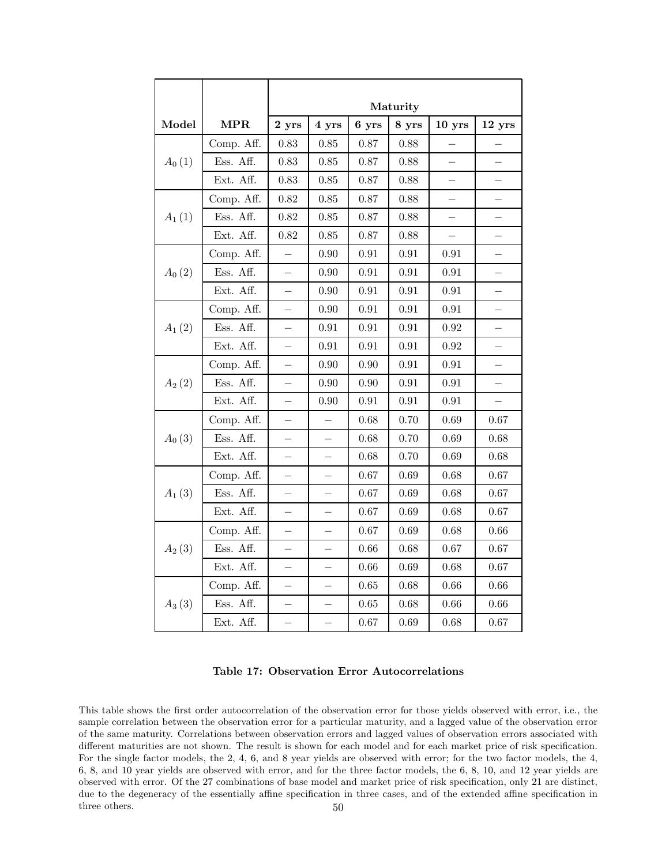|            |                                 | Maturity                 |                                              |                          |            |                          |          |  |  |
|------------|---------------------------------|--------------------------|----------------------------------------------|--------------------------|------------|--------------------------|----------|--|--|
| Model      | <b>MPR</b>                      |                          | 2 yrs<br>4 yrs<br>6 yrs<br>8 yrs<br>$10$ yrs |                          |            |                          |          |  |  |
|            | Comp. Aff.                      | 0.83                     | 0.85                                         | 0.87                     | 0.88       |                          | 12 yrs   |  |  |
| $A_0(1)$   | Ess. Aff.                       | 0.83                     | 0.85                                         | 0.87                     | 0.88       |                          |          |  |  |
|            | Ext. Aff.                       | 0.83                     | 0.85                                         | 0.87                     | 0.88       |                          |          |  |  |
|            | Comp. Aff.                      | 0.82                     | 0.85                                         | 0.87                     | 0.88       |                          |          |  |  |
| $A_1(1)$   | Ess. Aff.                       | 0.82                     | 0.85                                         | 0.87                     | 0.88       |                          |          |  |  |
|            | Ext. Aff.<br>0.82<br>Comp. Aff. |                          | 0.85                                         | 0.87                     | 0.88       | $\overline{\phantom{0}}$ |          |  |  |
|            |                                 |                          | 0.90                                         | 0.91                     | 0.91       | 0.91                     |          |  |  |
| $A_0(2)$   | Ess. Aff.                       | $\overline{\phantom{0}}$ | 0.90                                         | $\rm 0.91$<br>$\rm 0.91$ |            | $\rm 0.91$               |          |  |  |
|            | Ext. Aff.                       |                          | 0.90                                         | 0.91                     | 0.91       | 0.91                     |          |  |  |
|            | Comp. Aff.                      |                          | 0.90                                         | 0.91                     | 0.91       | 0.91                     |          |  |  |
| $A_1(2)$   | Ess. Aff.                       |                          | 0.91                                         | $\rm 0.91$               | $\rm 0.91$ | 0.92                     |          |  |  |
|            | Ext. Aff.                       |                          | 0.91                                         | 0.91                     | 0.91       | 0.92                     |          |  |  |
|            | Comp. Aff.                      |                          | 0.90                                         | 0.90<br>0.91             |            | 0.91                     |          |  |  |
| $A_{2}(2)$ | Ess. Aff.                       |                          | 0.90                                         | 0.90                     | 0.91       | 0.91                     |          |  |  |
|            | Ext. Aff.                       |                          | 0.90                                         | 0.91                     | $\rm 0.91$ | 0.91                     |          |  |  |
|            | Comp. Aff.                      |                          |                                              | 0.68                     | 0.70       | 0.69                     | 0.67     |  |  |
| $A_0(3)$   | Ess. Aff.                       |                          |                                              | 0.68                     | 0.70       | 0.69                     | 0.68     |  |  |
|            | Ext. Aff.                       | $\overline{\phantom{0}}$ | $\overline{\phantom{0}}$                     | 0.68                     | $0.70\,$   | 0.69                     | 0.68     |  |  |
|            | Comp. Aff.                      |                          |                                              | 0.67                     | 0.69       | 0.68                     | 0.67     |  |  |
| $A_1(3)$   | Ess. Aff.                       | $\overline{\phantom{0}}$ |                                              | 0.67                     | 0.69       | 0.68                     | 0.67     |  |  |
|            | Ext. Aff.                       | $\overline{\phantom{0}}$ | $\overline{\phantom{0}}$                     | 0.67                     | 0.69       | $0.68\,$                 | 0.67     |  |  |
|            | Comp. Aff.                      |                          |                                              | 0.67                     | 0.69       | 0.68                     | 0.66     |  |  |
| $A_2(3)$   | Ess. Aff.                       |                          |                                              | 0.66                     | 0.68       | 0.67                     | $0.67\,$ |  |  |
|            | Ext. Aff.                       |                          |                                              | 0.66                     | 0.69       | 0.68                     | 0.67     |  |  |
|            | Comp. Aff.                      |                          |                                              | 0.65                     | 0.68       | 0.66                     | 0.66     |  |  |
| $A_3(3)$   | Ess. Aff.                       |                          |                                              | 0.65                     | 0.68       | 0.66                     | 0.66     |  |  |
|            | Ext. Aff.                       | $\overline{\phantom{0}}$ | $\overline{\phantom{0}}$                     | 0.67                     | 0.69       | 0.68                     | 0.67     |  |  |

Table 17: Observation Error Autocorrelations

This table shows the first order autocorrelation of the observation error for those yields observed with error, i.e., the sample correlation between the observation error for a particular maturity, and a lagged value of the observation error of the same maturity. Correlations between observation errors and lagged values of observation errors associated with different maturities are not shown. The result is shown for each model and for each market price of risk specification. For the single factor models, the 2, 4, 6, and 8 year yields are observed with error; for the two factor models, the 4, 6, 8, and 10 year yields are observed with error, and for the three factor models, the 6, 8, 10, and 12 year yields are observed with error. Of the 27 combinations of base model and market price of risk specification, only 21 are distinct, due to the degeneracy of the essentially affine specification in three cases, and of the extended affine specification in three others. 50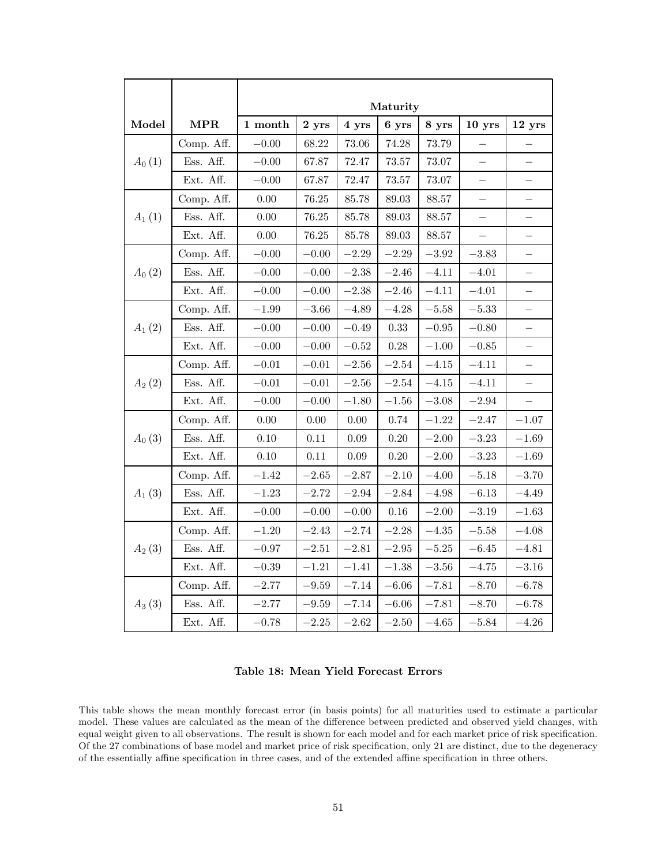|            |            |                     |           |           | Maturity  |           |                          |                          |
|------------|------------|---------------------|-----------|-----------|-----------|-----------|--------------------------|--------------------------|
| Model      | MPR        | $1\ \mathbf{month}$ | 2 yrs     | 4 yrs     | 6 yrs     | 8 yrs     | $10$ yrs                 | 12 yrs                   |
|            | Comp. Aff. | $-0.00$             | 68.22     | 73.06     | 74.28     | 73.79     |                          |                          |
| $A_0(1)$   | Ess. Aff.  | $-0.00$             | 67.87     | 72.47     | $73.57\,$ | $73.07\,$ | $\equiv$                 |                          |
|            | Ext. Aff.  | $-0.00$             | 67.87     | 72.47     | 73.57     | $73.07\,$ | —                        | —                        |
|            | Comp. Aff. | 0.00                | 76.25     | 85.78     | 89.03     | 88.57     | $\overline{\phantom{0}}$ | —                        |
| $A_{1}(1)$ | Ess. Aff.  | 0.00                | 76.25     | 85.78     | 89.03     | 88.57     |                          |                          |
|            | Ext. Aff.  | $0.00\,$            | 76.25     | 85.78     | 89.03     | 88.57     | $\overline{\phantom{0}}$ | $\overline{\phantom{0}}$ |
|            | Comp. Aff. | $-0.00$             | $-0.00$   | $-2.29$   | $-2.29$   | $-3.92$   | $-3.83$                  | —                        |
| $A_0(2)$   | Ess. Aff.  | $-0.00$             | $-0.00\,$ | $-2.38$   | $-2.46$   | $-4.11\,$ | $-4.01$                  | —                        |
|            | Ext. Aff.  | $-0.00$             | $-0.00$   | $-2.38$   | $-2.46$   | $-4.11\,$ | $-4.01$                  |                          |
|            | Comp. Aff. | $-1.99$             | $-3.66$   | $-4.89$   | $-4.28$   | $\!-5.58$ | $-5.33$                  | —                        |
| $A_1(2)$   | Ess. Aff.  | $-0.00$             | $-0.00$   | $-0.49$   | 0.33      | $-0.95$   | $-0.80$                  |                          |
|            | Ext. Aff.  | $-0.00$             | $-0.00$   | $-0.52$   | 0.28      | $-1.00$   | $-0.85$                  | —                        |
|            | Comp. Aff. | $-0.01$             | $-0.01$   | $-2.56$   | $-2.54$   | $-4.15$   | $-4.11$                  |                          |
| $A_{2}(2)$ | Ess. Aff.  | $-0.01$             | $-0.01$   | $-2.56$   | $-2.54$   | $-4.15$   | $-4.11$                  | —                        |
|            | Ext. Aff.  | $-0.00$             | $-0.00$   | $-1.80$   | $-1.56$   | $-3.08$   | $-2.94\,$                |                          |
|            | Comp. Aff. | 0.00                | 0.00      | 0.00      | 0.74      | $-1.22$   | $-2.47$                  | $-1.07$                  |
| $A_0(3)$   | Ess. Aff.  | 0.10                | 0.11      | 0.09      | $0.20\,$  | $-2.00$   | $-3.23$                  | $-1.69\,$                |
|            | Ext. Aff.  | 0.10                | 0.11      | 0.09      | $0.20\,$  | $-2.00$   | $-3.23$                  | $-1.69$                  |
|            | Comp. Aff. | $-1.42$             | $-2.65$   | $-2.87$   | $-2.10$   | $-4.00$   | $-5.18$                  | $-3.70$                  |
| $A_1(3)$   | Ess. Aff.  | $-1.23$             | $-2.72$   | $-2.94$   | $-2.84$   | $-4.98$   | $-6.13$                  | $-4.49$                  |
|            | Ext. Aff.  | $-0.00$             | $-0.00$   | $-0.00$   | $0.16\,$  | $-2.00$   | $-3.19$                  | $-1.63$                  |
|            | Comp. Aff. | $-1.20$             | $-2.43$   | $-2.74$   | $-2.28$   | $-4.35$   | $-5.58$                  | $-4.08$                  |
| $A_{2}(3)$ | Ess. Aff.  | $-0.97$             | $-2.51\,$ | $-2.81$   | $-2.95$   | $-5.25$   | $-6.45\,$                | $-4.81$                  |
|            | Ext. Aff.  | $-0.39$             | $-1.21\,$ | $-1.41$   | $-1.38$   | $-3.56\,$ | $-4.75$                  | $-3.16$                  |
|            | Comp. Aff. | $-2.77$             | $\!-9.59$ | $-7.14\,$ | $-6.06$   | $-7.81$   | $-8.70$                  | $-6.78$                  |
| $A_3(3)$   | Ess. Aff.  | $-2.77$             | $\!-9.59$ | $-7.14$   | $-6.06$   | $-7.81$   | $-8.70$                  | $-6.78$                  |
|            | Ext. Aff.  | $-0.78$             | $-2.25\,$ | $-2.62$   | $-2.50\,$ | $-4.65\,$ | $-5.84$                  | $-4.26\,$                |

Table 18: Mean Yield Forecast Errors

This table shows the mean monthly forecast error (in basis points) for all maturities used to estimate a particular model. These values are calculated as the mean of the difference between predicted and observed yield changes, with equal weight given to all observations. The result is shown for each model and for each market price of risk specification. Of the 27 combinations of base model and market price of risk specification, only 21 are distinct, due to the degeneracy of the essentially affine specification in three cases, and of the extended affine specification in three others.